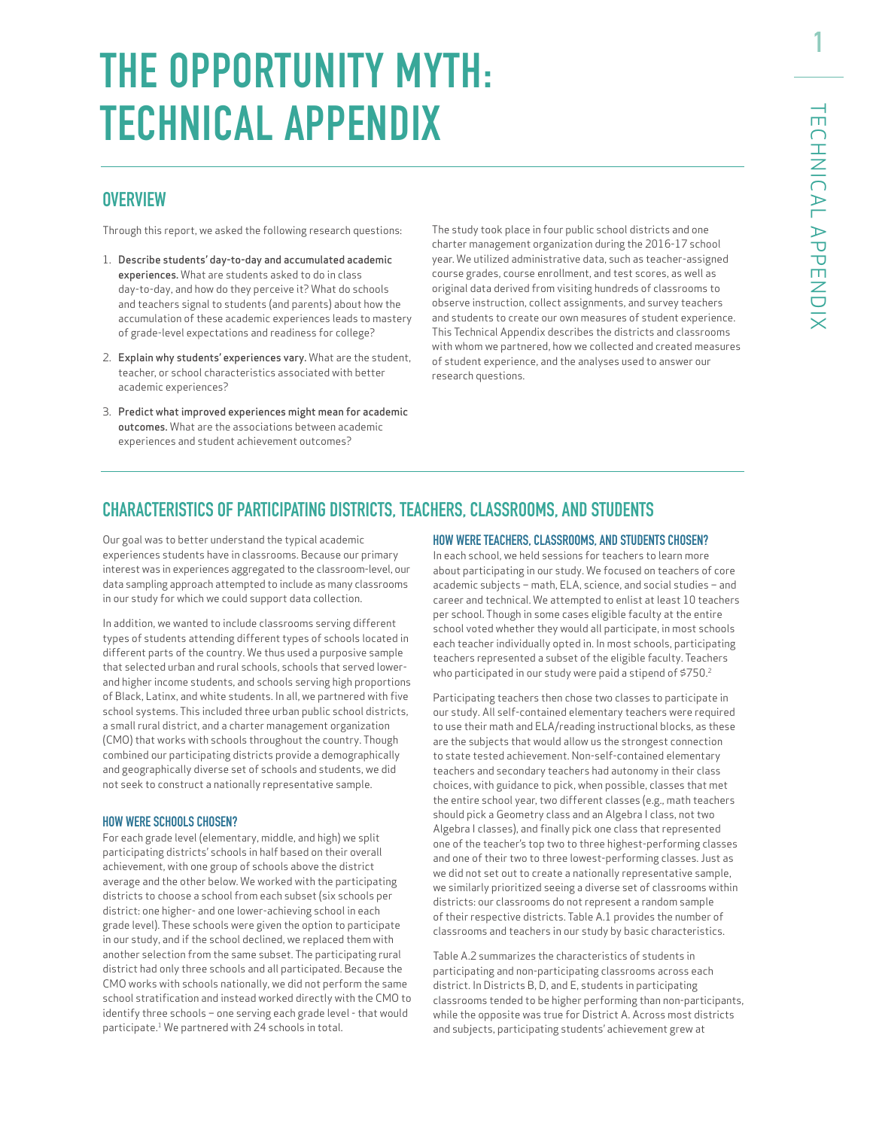# **THE OPPORTUNITY MYTH: TECHNICAL APPENDIX**

# **OVERVIEW**

Through this report, we asked the following research questions:

- 1. Describe students' day-to-day and accumulated academic experiences. What are students asked to do in class day-to-day, and how do they perceive it? What do schools and teachers signal to students (and parents) about how the accumulation of these academic experiences leads to mastery of grade-level expectations and readiness for college?
- 2. Explain why students' experiences vary. What are the student, teacher, or school characteristics associated with better academic experiences?
- 3. Predict what improved experiences might mean for academic outcomes. What are the associations between academic experiences and student achievement outcomes?

The study took place in four public school districts and one charter management organization during the 2016-17 school year. We utilized administrative data, such as teacher-assigned course grades, course enrollment, and test scores, as well as original data derived from visiting hundreds of classrooms to observe instruction, collect assignments, and survey teachers and students to create our own measures of student experience. This Technical Appendix describes the districts and classrooms with whom we partnered, how we collected and created measures of student experience, and the analyses used to answer our research questions.

# **CHARACTERISTICS OF PARTICIPATING DISTRICTS, TEACHERS, CLASSROOMS, AND STUDENTS**

Our goal was to better understand the typical academic experiences students have in classrooms. Because our primary interest was in experiences aggregated to the classroom-level, our data sampling approach attempted to include as many classrooms in our study for which we could support data collection.

In addition, we wanted to include classrooms serving different types of students attending different types of schools located in different parts of the country. We thus used a purposive sample that selected urban and rural schools, schools that served lowerand higher income students, and schools serving high proportions of Black, Latinx, and white students. In all, we partnered with five school systems. This included three urban public school districts, a small rural district, and a charter management organization (CMO) that works with schools throughout the country. Though combined our participating districts provide a demographically and geographically diverse set of schools and students, we did not seek to construct a nationally representative sample.

#### HOW WERE SCHOOLS CHOSEN?

For each grade level (elementary, middle, and high) we split participating districts' schools in half based on their overall achievement, with one group of schools above the district average and the other below. We worked with the participating districts to choose a school from each subset (six schools per district: one higher- and one lower-achieving school in each grade level). These schools were given the option to participate in our study, and if the school declined, we replaced them with another selection from the same subset. The participating rural district had only three schools and all participated. Because the CMO works with schools nationally, we did not perform the same school stratification and instead worked directly with the CMO to identify three schools – one serving each grade level - that would participate.<sup>1</sup> We partnered with 24 schools in total.

#### HOW WERE TEACHERS, CLASSROOMS, AND STUDENTS CHOSEN?

In each school, we held sessions for teachers to learn more about participating in our study. We focused on teachers of core academic subjects – math, ELA, science, and social studies – and career and technical. We attempted to enlist at least 10 teachers per school. Though in some cases eligible faculty at the entire school voted whether they would all participate, in most schools each teacher individually opted in. In most schools, participating teachers represented a subset of the eligible faculty. Teachers who participated in our study were paid a stipend of \$750.2

Participating teachers then chose two classes to participate in our study. All self-contained elementary teachers were required to use their math and ELA/reading instructional blocks, as these are the subjects that would allow us the strongest connection to state tested achievement. Non-self-contained elementary teachers and secondary teachers had autonomy in their class choices, with guidance to pick, when possible, classes that met the entire school year, two different classes (e.g., math teachers should pick a Geometry class and an Algebra I class, not two Algebra I classes), and finally pick one class that represented one of the teacher's top two to three highest-performing classes and one of their two to three lowest-performing classes. Just as we did not set out to create a nationally representative sample, we similarly prioritized seeing a diverse set of classrooms within districts: our classrooms do not represent a random sample of their respective districts. Table A.1 provides the number of classrooms and teachers in our study by basic characteristics.

Table A.2 summarizes the characteristics of students in participating and non-participating classrooms across each district. In Districts B, D, and E, students in participating classrooms tended to be higher performing than non-participants, while the opposite was true for District A. Across most districts and subjects, participating students' achievement grew at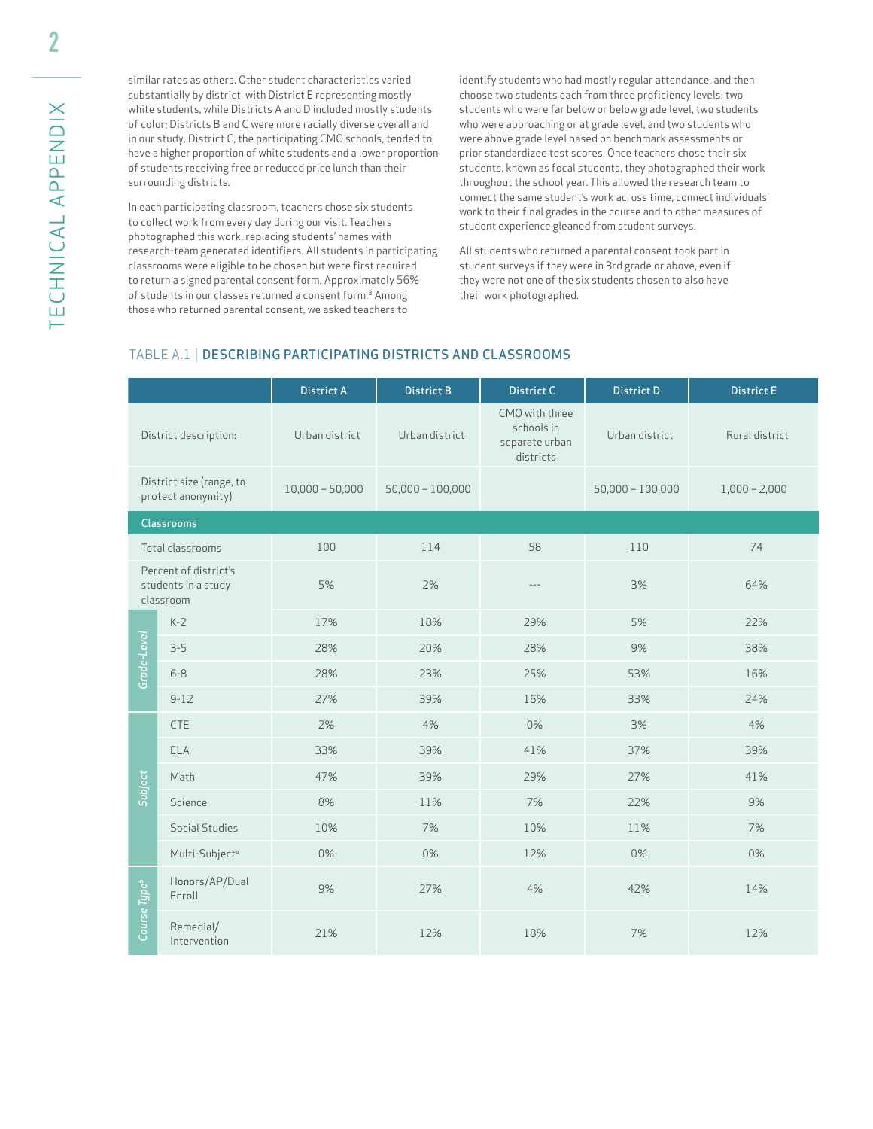similar rates as others. Other student characteristics varied substantially by district, with District E representing mostly white students, while Districts A and D included mostly students of color; Districts B and C were more racially diverse overall and in our study. District C, the participating CMO schools, tended to have a higher proportion of white students and a lower proportion of students receiving free or reduced price lunch than their surrounding districts.

In each participating classroom, teachers chose six students to collect work from every day during our visit. Teachers photographed this work, replacing students' names with research-team generated identifiers. All students in participating classrooms were eligible to be chosen but were first required to return a signed parental consent form. Approximately 56% of students in our classes returned a consent form.<sup>3</sup> Among those who returned parental consent, we asked teachers to

identify students who had mostly regular attendance, and then choose two students each from three proficiency levels: two students who were far below or below grade level, two students who were approaching or at grade level, and two students who were above grade level based on benchmark assessments or prior standardized test scores. Once teachers chose their six students, known as focal students, they photographed their work throughout the school year. This allowed the research team to connect the same student's work across time, connect individuals' work to their final grades in the course and to other measures of student experience gleaned from student surveys.

All students who returned a parental consent took part in student surveys if they were in 3rd grade or above, even if they were not one of the six students chosen to also have their work photographed.

#### TABLE A.1 | DESCRIBING PARTICIPATING DISTRICTS AND CLASSROOMS

|                          |                                                           | <b>District A</b> | <b>District B</b>  | <b>District C</b>                                           | <b>District D</b>  | <b>District E</b> |
|--------------------------|-----------------------------------------------------------|-------------------|--------------------|-------------------------------------------------------------|--------------------|-------------------|
|                          | District description:                                     | Urban district    | Urban district     | CMO with three<br>schools in<br>separate urban<br>districts | Urban district     | Rural district    |
|                          | District size (range, to<br>protect anonymity)            | $10,000 - 50,000$ | $50,000 - 100,000$ |                                                             | $50,000 - 100,000$ | $1,000 - 2,000$   |
|                          | <b>Classrooms</b>                                         |                   |                    |                                                             |                    |                   |
|                          | Total classrooms                                          | 100               | 114                | 58                                                          | 110                | 74                |
|                          | Percent of district's<br>students in a study<br>classroom | 5%                | 2%                 | $\cdots$                                                    | 3%                 | 64%               |
|                          | $K-2$                                                     | 17%               | 18%                | 29%                                                         | 5%                 | 22%               |
| Grade-Level              | $3 - 5$                                                   | 28%               | 20%                | 28%                                                         | 9%                 | 38%               |
|                          | $6 - 8$                                                   | 28%               | 23%                | 25%                                                         | 53%                | 16%               |
|                          | $9 - 12$                                                  | 27%               | 39%                | 16%                                                         | 33%                | 24%               |
|                          | <b>CTE</b>                                                | 2%                | 4%                 | 0%                                                          | 3%                 | 4%                |
|                          | ELA                                                       | 33%               | 39%                | 41%                                                         | 37%                | 39%               |
|                          | Math                                                      | 47%               | 39%                | 29%                                                         | 27%                | 41%               |
| Subject                  | Science                                                   | 8%                | 11%                | 7%                                                          | 22%                | 9%                |
|                          | Social Studies                                            | 10%               | 7%                 | 10%                                                         | 11%                | 7%                |
|                          | Multi-Subject <sup>a</sup>                                | 0%                | 0%                 | 12%                                                         | 0%                 | 0%                |
| Course Type <sup>b</sup> | Honors/AP/Dual<br>Enroll                                  | 9%                | 27%                | 4%                                                          | 42%                | 14%               |
|                          | Remedial/<br>Intervention                                 | 21%               | 12%                | 18%                                                         | 7%                 | 12%               |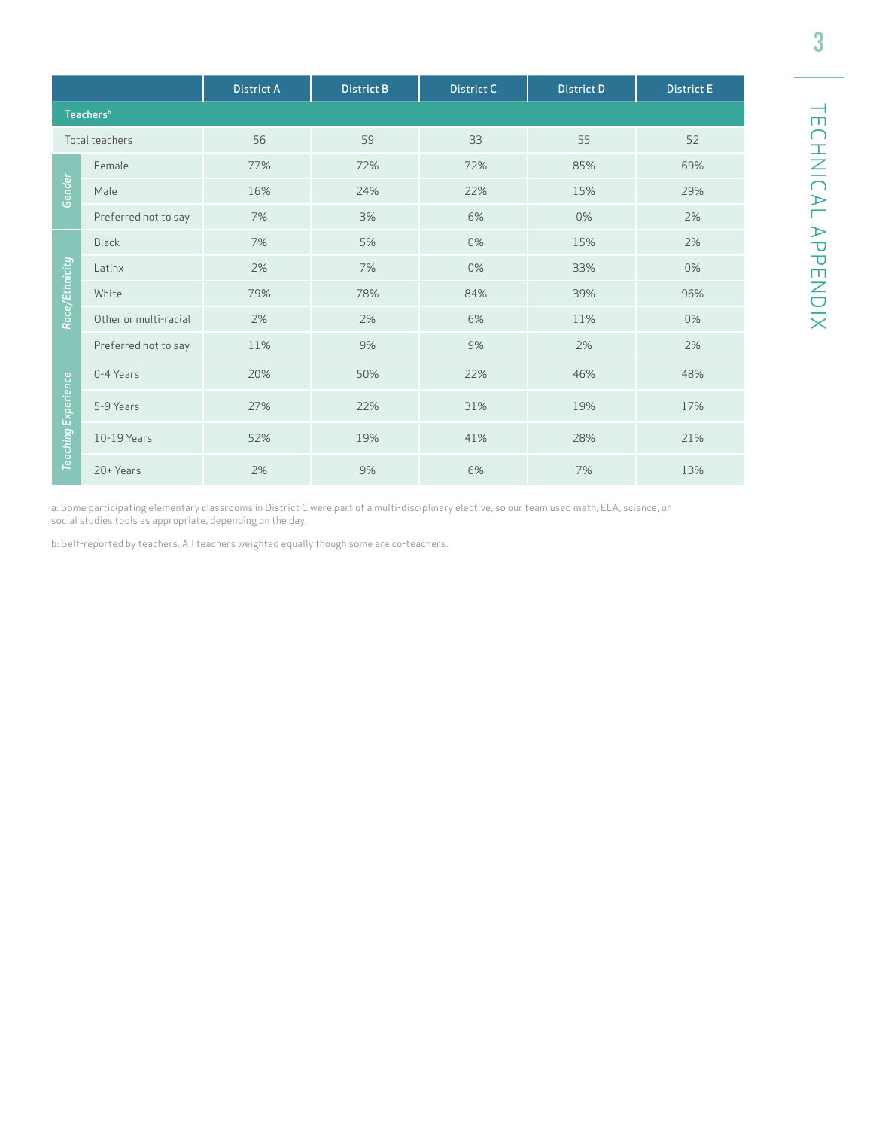|                     |                       | <b>District A</b> | <b>District B</b> | <b>District C</b> | <b>District D</b> | <b>District E</b> |
|---------------------|-----------------------|-------------------|-------------------|-------------------|-------------------|-------------------|
|                     | Teachers <sup>b</sup> |                   |                   |                   |                   |                   |
|                     | Total teachers        | 56                | 59                | 33                | 55                | 52                |
|                     | Female                | 77%               | 72%               | 72%               | 85%               | 69%               |
| Gender              | Male                  | 16%               | 24%               | 22%               | 15%               | 29%               |
|                     | Preferred not to say  | 7%                | 3%                | 6%                | 0%                | 2%                |
|                     | <b>Black</b>          | 7%                | 5%                | 0%                | 15%               | 2%                |
|                     | Latinx                | 2%                | 7%                | 0%                | 33%               | 0%                |
| Race/Ethnicity      | White                 | 79%               | 78%               | 84%               | 39%               | 96%               |
|                     | Other or multi-racial | 2%                | 2%                | 6%                | 11%               | 0%                |
|                     | Preferred not to say  | 11%               | 9%                | 9%                | 2%                | 2%                |
|                     | 0-4 Years             | 20%               | 50%               | 22%               | 46%               | 48%               |
|                     | 5-9 Years             | 27%               | 22%               | 31%               | 19%               | 17%               |
| Teaching Experience | 10-19 Years           | 52%               | 19%               | 41%               | 28%               | 21%               |
|                     | 20+ Years             | 2%                | 9%                | 6%                | 7%                | 13%               |

a: Some participating elementary classrooms in District C were part of a multi-disciplinary elective, so our team used math, ELA, science, or social studies tools as appropriate, depending on the day.

b: Self-reported by teachers. All teachers weighted equally though some are co-teachers.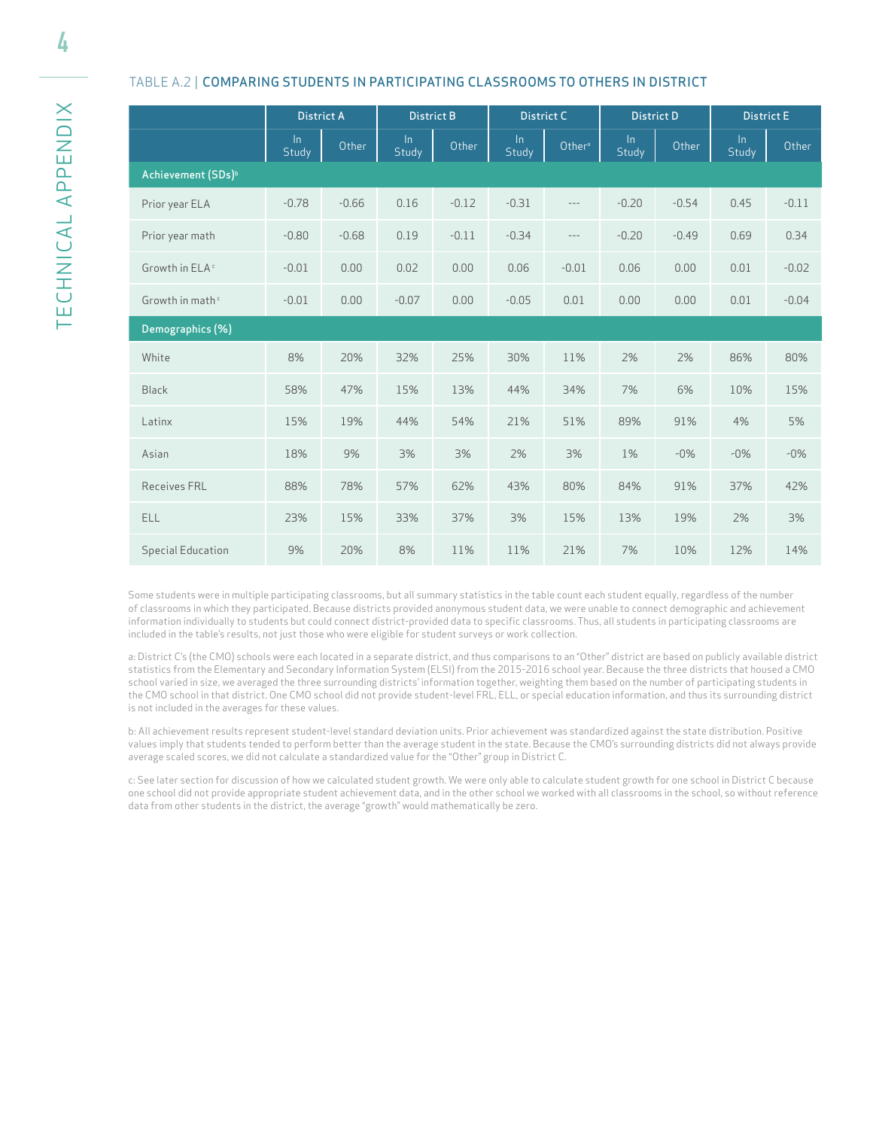4

#### TABLE A.2 | COMPARING STUDENTS IN PARTICIPATING CLASSROOMS TO OTHERS IN DISTRICT

|                                | <b>District A</b> |         | <b>District B</b> |         | <b>District C</b> |          | <b>District D</b>     |         | <b>District E</b>     |         |
|--------------------------------|-------------------|---------|-------------------|---------|-------------------|----------|-----------------------|---------|-----------------------|---------|
|                                | $\ln$<br>Study    | Other   | $\ln$<br>Study    | Other   | $\ln$<br>Study    | Othera   | $\ln$<br><b>Study</b> | Other   | $\ln$<br><b>Study</b> | Other   |
| Achievement (SDs) <sup>b</sup> |                   |         |                   |         |                   |          |                       |         |                       |         |
| Prior year ELA                 | $-0.78$           | $-0.66$ | 0.16              | $-0.12$ | $-0.31$           | $---$    | $-0.20$               | $-0.54$ | 0.45                  | $-0.11$ |
| Prior year math                | $-0.80$           | $-0.68$ | 0.19              | $-0.11$ | $-0.34$           | $\cdots$ | $-0.20$               | $-0.49$ | 0.69                  | 0.34    |
| Growth in ELA <sup>c</sup>     | $-0.01$           | 0.00    | 0.02              | 0.00    | 0.06              | $-0.01$  | 0.06                  | 0.00    | 0.01                  | $-0.02$ |
| Growth in math <sup>c</sup>    | $-0.01$           | 0.00    | $-0.07$           | 0.00    | $-0.05$           | 0.01     | 0.00                  | 0.00    | 0.01                  | $-0.04$ |
| Demographics (%)               |                   |         |                   |         |                   |          |                       |         |                       |         |
| White                          | 8%                | 20%     | 32%               | 25%     | 30%               | 11%      | 2%                    | 2%      | 86%                   | 80%     |
| <b>Black</b>                   | 58%               | 47%     | 15%               | 13%     | 44%               | 34%      | 7%                    | 6%      | 10%                   | 15%     |
| Latinx                         | 15%               | 19%     | 44%               | 54%     | 21%               | 51%      | 89%                   | 91%     | 4%                    | 5%      |
| Asian                          | 18%               | 9%      | 3%                | 3%      | 2%                | 3%       | 1%                    | $-0\%$  | $-0\%$                | $-0\%$  |
| <b>Receives FRL</b>            | 88%               | 78%     | 57%               | 62%     | 43%               | 80%      | 84%                   | 91%     | 37%                   | 42%     |
| ELL                            | 23%               | 15%     | 33%               | 37%     | 3%                | 15%      | 13%                   | 19%     | 2%                    | 3%      |
| <b>Special Education</b>       | 9%                | 20%     | 8%                | 11%     | 11%               | 21%      | 7%                    | 10%     | 12%                   | 14%     |

Some students were in multiple participating classrooms, but all summary statistics in the table count each student equally, regardless of the number of classrooms in which they participated. Because districts provided anonymous student data, we were unable to connect demographic and achievement information individually to students but could connect district-provided data to specific classrooms. Thus, all students in participating classrooms are included in the table's results, not just those who were eligible for student surveys or work collection.

a: District C's (the CMO) schools were each located in a separate district, and thus comparisons to an "Other" district are based on publicly available district statistics from the Elementary and Secondary Information System (ELSI) from the 2015-2016 school year. Because the three districts that housed a CMO school varied in size, we averaged the three surrounding districts' information together, weighting them based on the number of participating students in the CMO school in that district. One CMO school did not provide student-level FRL, ELL, or special education information, and thus its surrounding district is not included in the averages for these values.

b: All achievement results represent student-level standard deviation units. Prior achievement was standardized against the state distribution. Positive values imply that students tended to perform better than the average student in the state. Because the CMO's surrounding districts did not always provide average scaled scores, we did not calculate a standardized value for the "Other" group in District C.

c: See later section for discussion of how we calculated student growth. We were only able to calculate student growth for one school in District C because one school did not provide appropriate student achievement data, and in the other school we worked with all classrooms in the school, so without reference data from other students in the district, the average "growth" would mathematically be zero.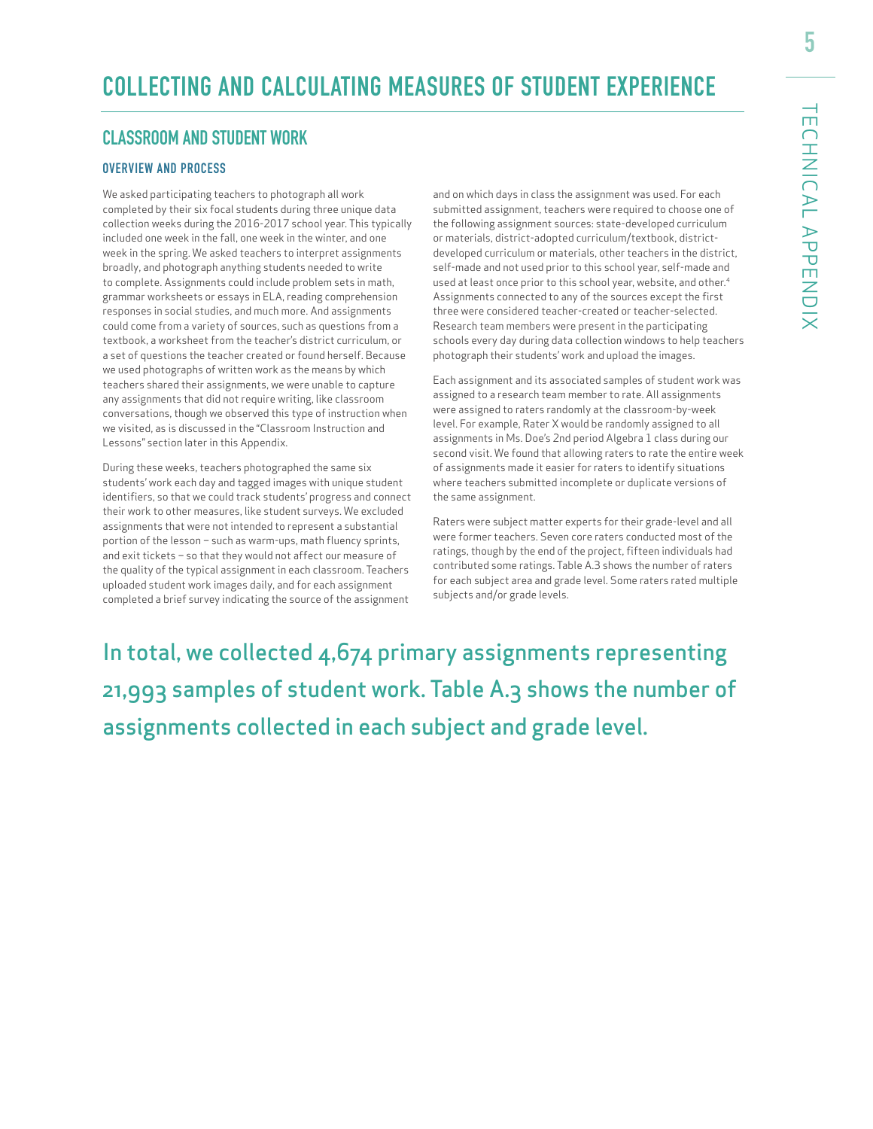# **CLASSROOM AND STUDENT WORK**

#### OVERVIEW AND PROCESS

We asked participating teachers to photograph all work completed by their six focal students during three unique data collection weeks during the 2016-2017 school year. This typically included one week in the fall, one week in the winter, and one week in the spring. We asked teachers to interpret assignments broadly, and photograph anything students needed to write to complete. Assignments could include problem sets in math, grammar worksheets or essays in ELA, reading comprehension responses in social studies, and much more. And assignments could come from a variety of sources, such as questions from a textbook, a worksheet from the teacher's district curriculum, or a set of questions the teacher created or found herself. Because we used photographs of written work as the means by which teachers shared their assignments, we were unable to capture any assignments that did not require writing, like classroom conversations, though we observed this type of instruction when we visited, as is discussed in the "Classroom Instruction and Lessons" section later in this Appendix.

During these weeks, teachers photographed the same six students' work each day and tagged images with unique student identifiers, so that we could track students' progress and connect their work to other measures, like student surveys. We excluded assignments that were not intended to represent a substantial portion of the lesson – such as warm-ups, math fluency sprints, and exit tickets – so that they would not affect our measure of the quality of the typical assignment in each classroom. Teachers uploaded student work images daily, and for each assignment completed a brief survey indicating the source of the assignment

and on which days in class the assignment was used. For each submitted assignment, teachers were required to choose one of the following assignment sources: state-developed curriculum or materials, district-adopted curriculum/textbook, districtdeveloped curriculum or materials, other teachers in the district, self-made and not used prior to this school year, self-made and used at least once prior to this school year, website, and other.<sup>4</sup> Assignments connected to any of the sources except the first three were considered teacher-created or teacher-selected. Research team members were present in the participating schools every day during data collection windows to help teachers photograph their students' work and upload the images.

Each assignment and its associated samples of student work was assigned to a research team member to rate. All assignments were assigned to raters randomly at the classroom-by-week level. For example, Rater X would be randomly assigned to all assignments in Ms. Doe's 2nd period Algebra 1 class during our second visit. We found that allowing raters to rate the entire week of assignments made it easier for raters to identify situations where teachers submitted incomplete or duplicate versions of the same assignment.

Raters were subject matter experts for their grade-level and all were former teachers. Seven core raters conducted most of the ratings, though by the end of the project, fifteen individuals had contributed some ratings. Table A.3 shows the number of raters for each subject area and grade level. Some raters rated multiple subjects and/or grade levels.

In total, we collected 4,674 primary assignments representing 21,993 samples of student work. Table A.3 shows the number of assignments collected in each subject and grade level.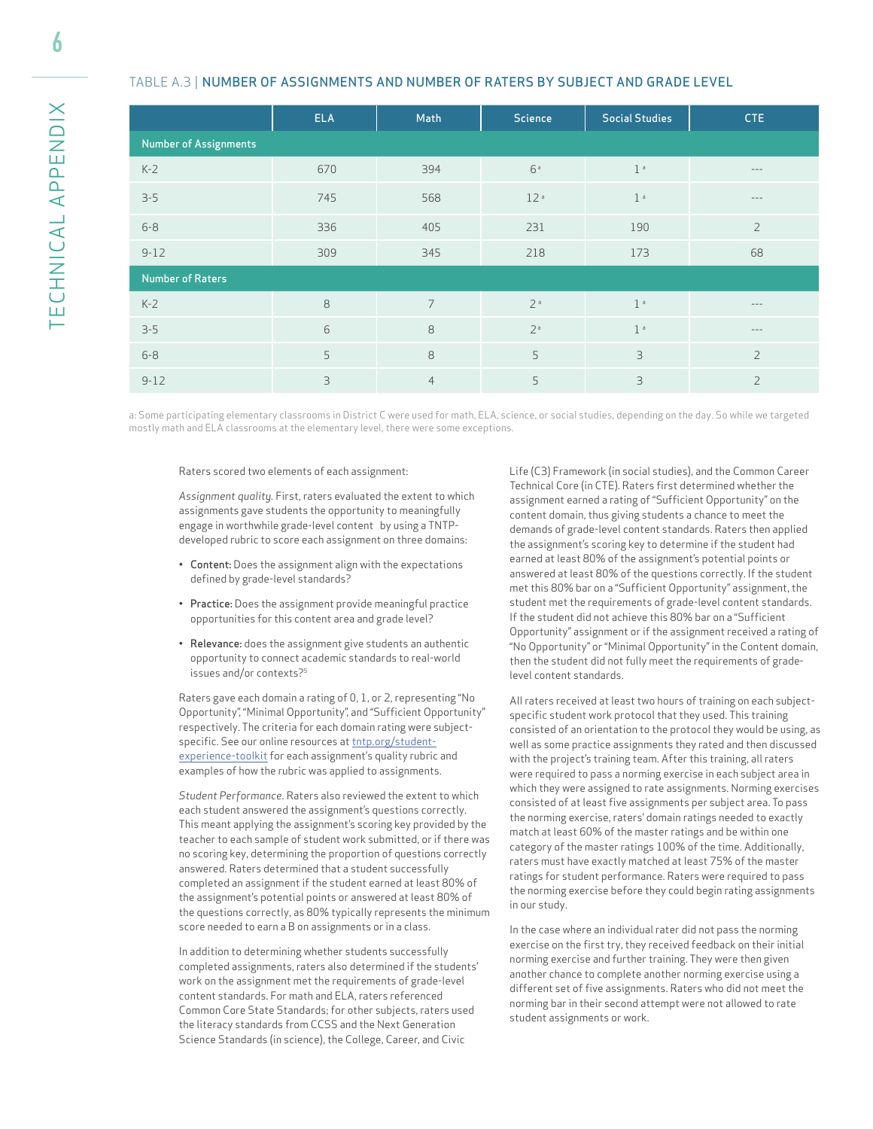6

#### TABLE A.3 | NUMBER OF ASSIGNMENTS AND NUMBER OF RATERS BY SUBJECT AND GRADE LEVEL

|                              | <b>ELA</b> | Math           | <b>Science</b>  | <b>Social Studies</b> | <b>CTE</b>        |
|------------------------------|------------|----------------|-----------------|-----------------------|-------------------|
| <b>Number of Assignments</b> |            |                |                 |                       |                   |
| $K-2$                        | 670        | 394            | 6a              | 1 <sup>a</sup>        | $- - -$           |
| $3 - 5$                      | 745        | 568            | 12 <sup>a</sup> | 1 <sup>a</sup>        | $\qquad \qquad -$ |
| $6 - 8$                      | 336        | 405            | 231             | 190                   | $\overline{2}$    |
| $9 - 12$                     | 309        | 345            | 218             | 173                   | 68                |
| <b>Number of Raters</b>      |            |                |                 |                       |                   |
| $K-2$                        | 8          | $\overline{7}$ | 2 <sup>a</sup>  | 1 <sup>a</sup>        | $\qquad \qquad -$ |
| $3 - 5$                      | 6          | 8              | 2 <sup>a</sup>  | 1 <sup>a</sup>        | $\qquad \qquad -$ |
| $6 - 8$                      | 5          | 8              | 5               | 3                     | $\overline{2}$    |
| $9 - 12$                     | 3          | $\overline{4}$ | 5               | 3                     | $\overline{2}$    |

a: Some participating elementary classrooms in District C were used for math, ELA, science, or social studies, depending on the day. So while we targeted mostly math and ELA classrooms at the elementary level, there were some exceptions.

#### Raters scored two elements of each assignment:

*Assignment quality.* First, raters evaluated the extent to which assignments gave students the opportunity to meaningfully engage in worthwhile grade-level content by using a TNTPdeveloped rubric to score each assignment on three domains:

- Content: Does the assignment align with the expectations defined by grade-level standards?
- Practice: Does the assignment provide meaningful practice opportunities for this content area and grade level?
- Relevance: does the assignment give students an authentic opportunity to connect academic standards to real-world issues and/or contexts?5

Raters gave each domain a rating of 0, 1, or 2, representing "No Opportunity", "Minimal Opportunity", and "Sufficient Opportunity" respectively. The criteria for each domain rating were subjectspecific. See our online resources at tntp.org/student[experience-toolkit for each assignment's quality rubric](https://tntp.org/student-experience-toolkit) and examples of how the rubric was applied to assignments.

*Student Performance.* Raters also reviewed the extent to which each student answered the assignment's questions correctly. This meant applying the assignment's scoring key provided by the teacher to each sample of student work submitted, or if there was no scoring key, determining the proportion of questions correctly answered. Raters determined that a student successfully completed an assignment if the student earned at least 80% of the assignment's potential points or answered at least 80% of the questions correctly, as 80% typically represents the minimum score needed to earn a B on assignments or in a class.

In addition to determining whether students successfully completed assignments, raters also determined if the students' work on the assignment met the requirements of grade-level content standards. For math and ELA, raters referenced Common Core State Standards; for other subjects, raters used the literacy standards from CCSS and the Next Generation Science Standards (in science), the College, Career, and Civic

Life (C3) Framework (in social studies), and the Common Career Technical Core (in CTE). Raters first determined whether the assignment earned a rating of "Sufficient Opportunity" on the content domain, thus giving students a chance to meet the demands of grade-level content standards. Raters then applied the assignment's scoring key to determine if the student had earned at least 80% of the assignment's potential points or answered at least 80% of the questions correctly. If the student met this 80% bar on a "Sufficient Opportunity" assignment, the student met the requirements of grade-level content standards. If the student did not achieve this 80% bar on a "Sufficient Opportunity" assignment or if the assignment received a rating of "No Opportunity" or "Minimal Opportunity" in the Content domain, then the student did not fully meet the requirements of gradelevel content standards.

All raters received at least two hours of training on each subjectspecific student work protocol that they used. This training consisted of an orientation to the protocol they would be using, as well as some practice assignments they rated and then discussed with the project's training team. After this training, all raters were required to pass a norming exercise in each subject area in which they were assigned to rate assignments. Norming exercises consisted of at least five assignments per subject area. To pass the norming exercise, raters' domain ratings needed to exactly match at least 60% of the master ratings and be within one category of the master ratings 100% of the time. Additionally, raters must have exactly matched at least 75% of the master ratings for student performance. Raters were required to pass the norming exercise before they could begin rating assignments in our study.

In the case where an individual rater did not pass the norming exercise on the first try, they received feedback on their initial norming exercise and further training. They were then given another chance to complete another norming exercise using a different set of five assignments. Raters who did not meet the norming bar in their second attempt were not allowed to rate student assignments or work.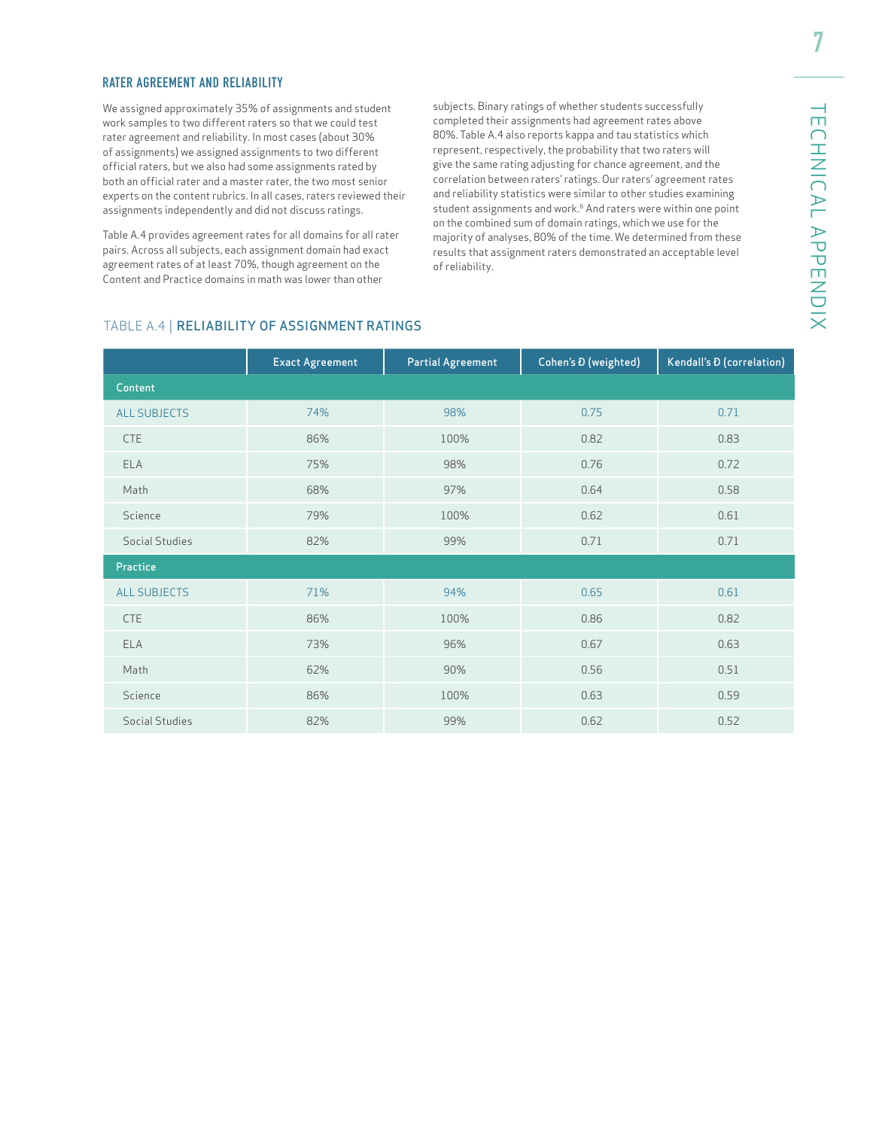#### RATER AGREEMENT AND RELIABILITY

We assigned approximately 35% of assignments and student work samples to two different raters so that we could test rater agreement and reliability. In most cases (about 30% of assignments) we assigned assignments to two different official raters, but we also had some assignments rated by both an official rater and a master rater, the two most senior experts on the content rubrics. In all cases, raters reviewed their assignments independently and did not discuss ratings.

Table A.4 provides agreement rates for all domains for all rater pairs. Across all subjects, each assignment domain had exact agreement rates of at least 70%, though agreement on the Content and Practice domains in math was lower than other

subjects. Binary ratings of whether students successfully completed their assignments had agreement rates above 80%. Table A.4 also reports kappa and tau statistics which represent, respectively, the probability that two raters will give the same rating adjusting for chance agreement, and the correlation between raters' ratings. Our raters' agreement rates and reliability statistics were similar to other studies examining student assignments and work.<sup>6</sup> And raters were within one point on the combined sum of domain ratings, which we use for the majority of analyses, 80% of the time. We determined from these results that assignment raters demonstrated an acceptable level of reliability.

# TECHNICAL APPENDIX TECHNICAL APPENDIX

#### TABLE A.4 | RELIABILITY OF ASSIGNMENT RATINGS

|                     | <b>Exact Agreement</b> | <b>Partial Agreement</b> | Cohen's D (weighted) | Kendall's <i>D</i> (correlation) |
|---------------------|------------------------|--------------------------|----------------------|----------------------------------|
| Content             |                        |                          |                      |                                  |
| <b>ALL SUBJECTS</b> | 74%                    | 98%                      | 0.75                 | 0.71                             |
| <b>CTE</b>          | 86%                    | 100%                     | 0.82                 | 0.83                             |
| <b>ELA</b>          | 75%                    | 98%                      | 0.76                 | 0.72                             |
| Math                | 68%                    | 97%                      | 0.64                 | 0.58                             |
| Science             | 79%                    | 100%                     | 0.62                 | 0.61                             |
| Social Studies      | 82%                    | 99%                      | 0.71                 | 0.71                             |
| Practice            |                        |                          |                      |                                  |
| <b>ALL SUBJECTS</b> | 71%                    | 94%                      | 0.65                 | 0.61                             |
| <b>CTE</b>          | 86%                    | 100%                     | 0.86                 | 0.82                             |
| <b>ELA</b>          | 73%                    | 96%                      | 0.67                 | 0.63                             |
| Math                | 62%                    | 90%                      | 0.56                 | 0.51                             |
| Science             | 86%                    | 100%                     | 0.63                 | 0.59                             |
| Social Studies      | 82%                    | 99%                      | 0.62                 | 0.52                             |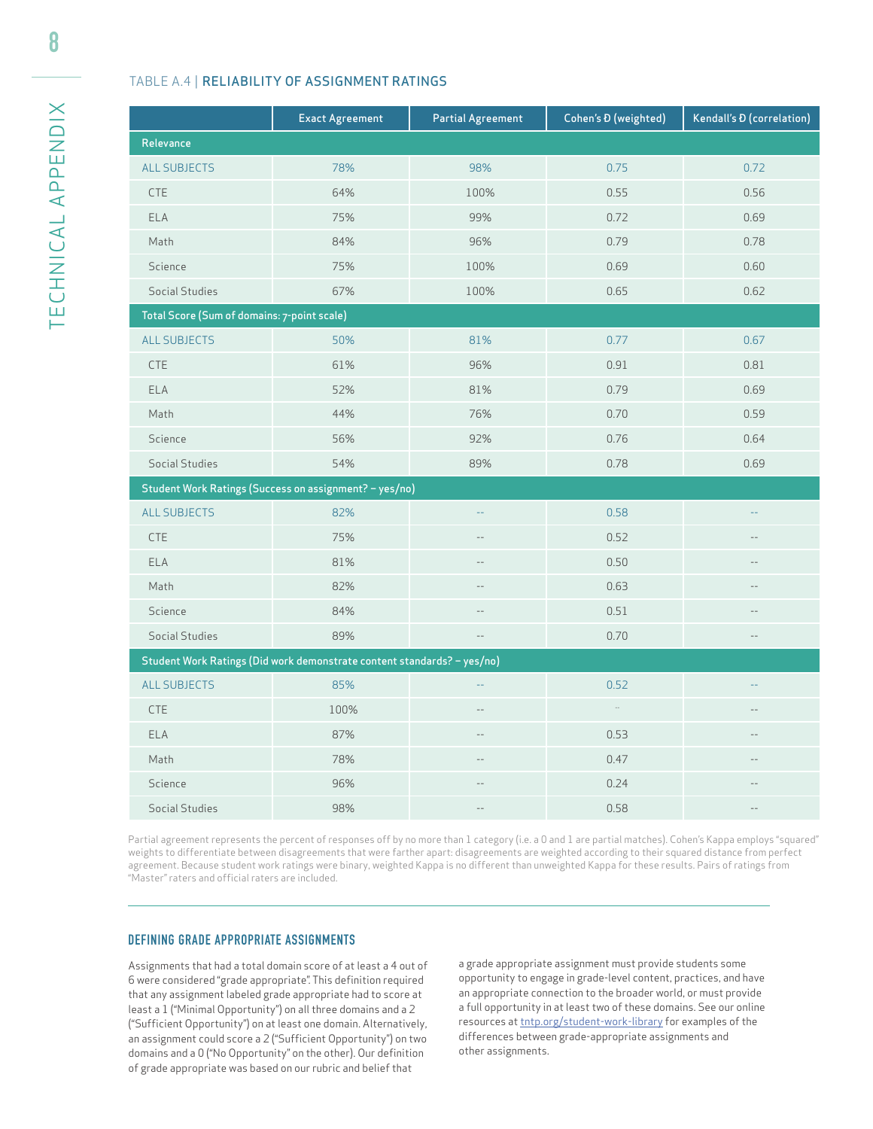#### TABLE A.4 | RELIABILITY OF ASSIGNMENT RATINGS

|                                             | <b>Exact Agreement</b>                                                  | <b>Partial Agreement</b> | Cohen's D (weighted) | Kendall's <i>D</i> (correlation) |
|---------------------------------------------|-------------------------------------------------------------------------|--------------------------|----------------------|----------------------------------|
| Relevance                                   |                                                                         |                          |                      |                                  |
| <b>ALL SUBJECTS</b>                         | 78%                                                                     | 98%                      | 0.75                 | 0.72                             |
| <b>CTE</b>                                  | 64%                                                                     | 100%                     | 0.55                 | 0.56                             |
| <b>ELA</b>                                  | 75%                                                                     | 99%                      | 0.72                 | 0.69                             |
| Math                                        | 84%                                                                     | 96%                      | 0.79                 | 0.78                             |
| Science                                     | 75%                                                                     | 100%                     | 0.69                 | 0.60                             |
| <b>Social Studies</b>                       | 67%                                                                     | 100%                     | 0.65                 | 0.62                             |
| Total Score (Sum of domains: 7-point scale) |                                                                         |                          |                      |                                  |
| <b>ALL SUBJECTS</b>                         | 50%                                                                     | 81%                      | 0.77                 | 0.67                             |
| <b>CTE</b>                                  | 61%                                                                     | 96%                      | 0.91                 | 0.81                             |
| ELA                                         | 52%                                                                     | 81%                      | 0.79                 | 0.69                             |
| Math                                        | 44%                                                                     | 76%                      | 0.70                 | 0.59                             |
| Science                                     | 56%                                                                     | 92%                      | 0.76                 | 0.64                             |
| Social Studies                              | 54%                                                                     | 89%                      | 0.78                 | 0.69                             |
|                                             | Student Work Ratings (Success on assignment? - yes/no)                  |                          |                      |                                  |
| <b>ALL SUBJECTS</b>                         | 82%                                                                     | 44                       | 0.58                 | 44                               |
| <b>CTE</b>                                  | 75%                                                                     | $-$                      | 0.52                 | $-$                              |
| <b>ELA</b>                                  | 81%                                                                     | $-$                      | 0.50                 | $-$                              |
| Math                                        | 82%                                                                     |                          | 0.63                 |                                  |
| Science                                     | 84%                                                                     |                          | 0.51                 | $\sim$                           |
| Social Studies                              | 89%                                                                     | $\cdots$                 | 0.70                 | $-\,-$                           |
|                                             | Student Work Ratings (Did work demonstrate content standards? - yes/no) |                          |                      |                                  |
| <b>ALL SUBJECTS</b>                         | 85%                                                                     | $\sim$                   | 0.52                 | $\sim$                           |
| <b>CTE</b>                                  | 100%                                                                    |                          | $\sim$               |                                  |
| ELA                                         | 87%                                                                     |                          | 0.53                 | $-$                              |
| Math                                        | 78%                                                                     |                          | 0.47                 |                                  |
| Science                                     | 96%                                                                     |                          | 0.24                 |                                  |
| Social Studies                              | 98%                                                                     |                          | 0.58                 |                                  |

Partial agreement represents the percent of responses off by no more than 1 category (i.e. a 0 and 1 are partial matches). Cohen's Kappa employs "squared" weights to differentiate between disagreements that were farther apart: disagreements are weighted according to their squared distance from perfect agreement. Because student work ratings were binary, weighted Kappa is no different than unweighted Kappa for these results. Pairs of ratings from "Master" raters and official raters are included.

#### DEFINING GRADE APPROPRIATE ASSIGNMENTS

Assignments that had a total domain score of at least a 4 out of 6 were considered "grade appropriate". This definition required that any assignment labeled grade appropriate had to score at least a 1 ("Minimal Opportunity") on all three domains and a 2 ("Sufficient Opportunity") on at least one domain. Alternatively, an assignment could score a 2 ("Sufficient Opportunity") on two domains and a 0 ("No Opportunity" on the other). Our definition of grade appropriate was based on our rubric and belief that

a grade appropriate assignment must provide students some opportunity to engage in grade-level content, practices, and have an appropriate connection to the broader world, or must provide a full opportunity in at least two of these domains. See our online resources at tntp.org/student-work-library for examples of the differences between grade-appropriate assignments and other assignments.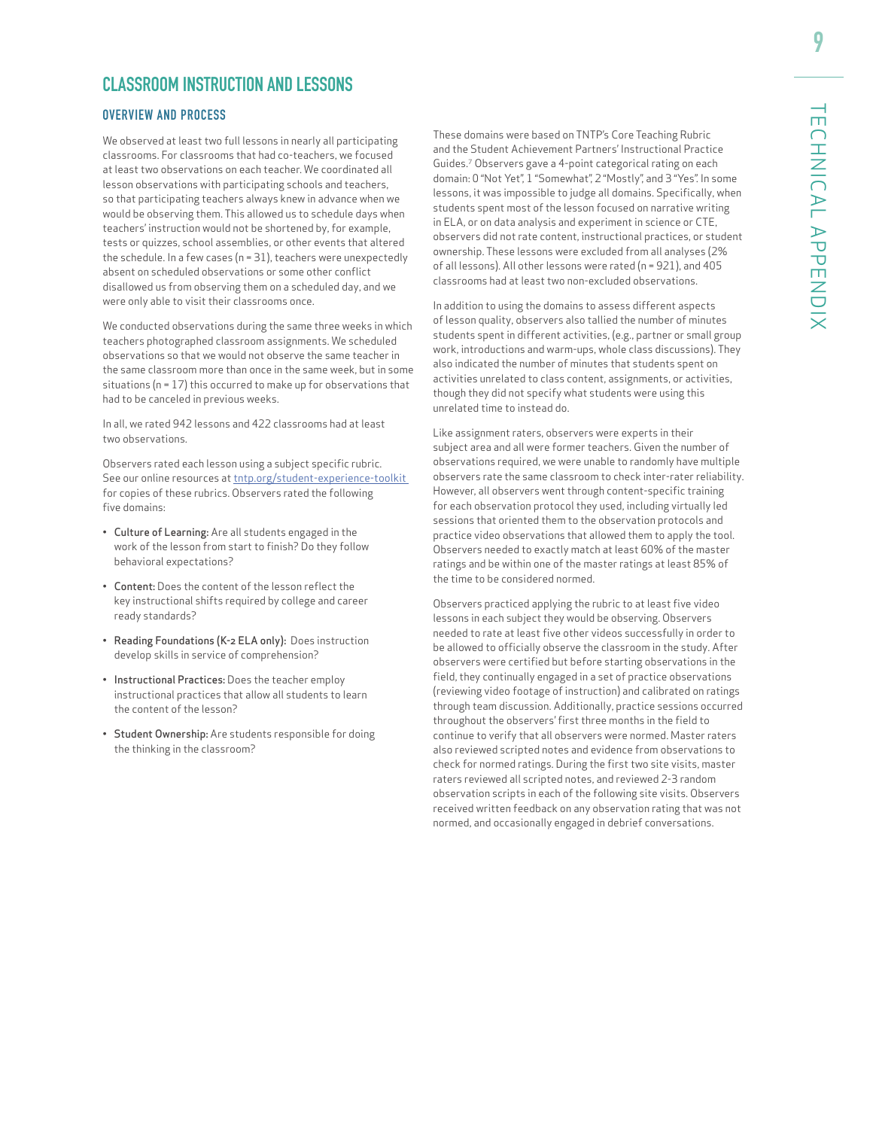# **CLASSROOM INSTRUCTION AND LESSONS**

#### OVERVIEW AND PROCESS

We observed at least two full lessons in nearly all participating classrooms. For classrooms that had co-teachers, we focused at least two observations on each teacher. We coordinated all lesson observations with participating schools and teachers, so that participating teachers always knew in advance when we would be observing them. This allowed us to schedule days when teachers' instruction would not be shortened by, for example, tests or quizzes, school assemblies, or other events that altered the schedule. In a few cases (n = 31), teachers were unexpectedly absent on scheduled observations or some other conflict disallowed us from observing them on a scheduled day, and we were only able to visit their classrooms once.

We conducted observations during the same three weeks in which teachers photographed classroom assignments. We scheduled observations so that we would not observe the same teacher in the same classroom more than once in the same week, but in some situations ( $n = 17$ ) this occurred to make up for observations that had to be canceled in previous weeks.

In all, we rated 942 lessons and 422 classrooms had at least two observations.

Observers rated each lesson using a subject specific rubric. See our online resources at tntp.org/student-experience-toolkit for copies of these rubrics. Observers rated the following five domains:

- Culture of Learning: Are all students engaged in the work of the lesson from start to finish? Do they follow behavioral expectations?
- Content: Does the content of the lesson reflect the key instructional shifts required by college and career ready standards?
- Reading Foundations (K-2 ELA only): Does instruction develop skills in service of comprehension?
- Instructional Practices: Does the teacher employ instructional practices that allow all students to learn the content of the lesson?
- Student Ownership: Are students responsible for doing the thinking in the classroom?

These domains were based on TNTP's Core Teaching Rubric and the Student Achievement Partners' Instructional Practice Guides.7 Observers gave a 4-point categorical rating on each domain: 0 "Not Yet", 1 "Somewhat", 2 "Mostly", and 3 "Yes". In some lessons, it was impossible to judge all domains. Specifically, when students spent most of the lesson focused on narrative writing in ELA, or on data analysis and experiment in science or CTE, observers did not rate content, instructional practices, or student ownership. These lessons were excluded from all analyses (2% of all lessons). All other lessons were rated (n = 921), and 405 classrooms had at least two non-excluded observations.

In addition to using the domains to assess different aspects of lesson quality, observers also tallied the number of minutes students spent in different activities, (e.g., partner or small group work, introductions and warm-ups, whole class discussions). They also indicated the number of minutes that students spent on activities unrelated to class content, assignments, or activities, though they did not specify what students were using this unrelated time to instead do.

Like assignment raters, observers were experts in their subject area and all were former teachers. Given the number of observations required, we were unable to randomly have multiple observers rate the same classroom to check inter-rater reliability. However, all observers went through content-specific training for each observation protocol they used, including virtually led sessions that oriented them to the observation protocols and practice video observations that allowed them to apply the tool. Observers needed to exactly match at least 60% of the master ratings and be within one of the master ratings at least 85% of the time to be considered normed.

Observers practiced applying the rubric to at least five video lessons in each subject they would be observing. Observers needed to rate at least five other videos successfully in order to be allowed to officially observe the classroom in the study. After observers were certified but before starting observations in the field, they continually engaged in a set of practice observations (reviewing video footage of instruction) and calibrated on ratings through team discussion. Additionally, practice sessions occurred throughout the observers' first three months in the field to continue to verify that all observers were normed. Master raters also reviewed scripted notes and evidence from observations to check for normed ratings. During the first two site visits, master raters reviewed all scripted notes, and reviewed 2-3 random observation scripts in each of the following site visits. Observers received written feedback on any observation rating that was not normed, and occasionally engaged in debrief conversations.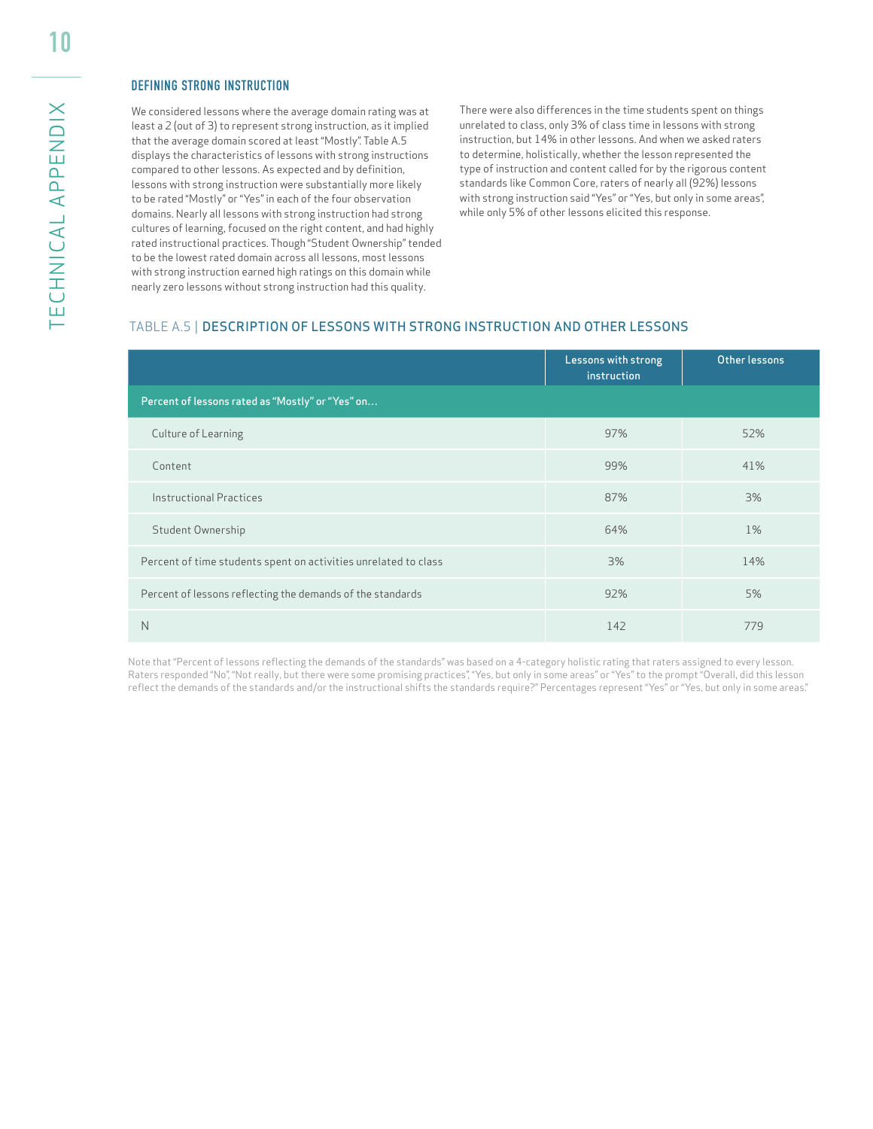#### DEFINING STRONG INSTRUCTION

We considered lessons where the average domain rating was at least a 2 (out of 3) to represent strong instruction, as it implied that the average domain scored at least "Mostly". Table A.5 displays the characteristics of lessons with strong instructions compared to other lessons. As expected and by definition, lessons with strong instruction were substantially more likely to be rated "Mostly" or "Yes" in each of the four observation domains. Nearly all lessons with strong instruction had strong cultures of learning, focused on the right content, and had highly rated instructional practices. Though "Student Ownership" tended to be the lowest rated domain across all lessons, most lessons with strong instruction earned high ratings on this domain while nearly zero lessons without strong instruction had this quality.

There were also differences in the time students spent on things unrelated to class, only 3% of class time in lessons with strong instruction, but 14% in other lessons. And when we asked raters to determine, holistically, whether the lesson represented the type of instruction and content called for by the rigorous content standards like Common Core, raters of nearly all (92%) lessons with strong instruction said "Yes" or "Yes, but only in some areas", while only 5% of other lessons elicited this response.

#### TABLE A.5 | DESCRIPTION OF LESSONS WITH STRONG INSTRUCTION AND OTHER LESSONS

|                                                                 | Lessons with strong<br>instruction | Other lessons |
|-----------------------------------------------------------------|------------------------------------|---------------|
| Percent of lessons rated as "Mostly" or "Yes" on                |                                    |               |
| Culture of Learning                                             | 97%                                | 52%           |
| Content                                                         | 99%                                | 41%           |
| Instructional Practices                                         | 87%                                | 3%            |
| Student Ownership                                               | 64%                                | 1%            |
| Percent of time students spent on activities unrelated to class | 3%                                 | 14%           |
| Percent of lessons reflecting the demands of the standards      | 92%                                | 5%            |
| Ν                                                               | 142                                | 779           |

Note that "Percent of lessons reflecting the demands of the standards" was based on a 4-category holistic rating that raters assigned to every lesson. Raters responded "No", "Not really, but there were some promising practices", "Yes, but only in some areas" or "Yes" to the prompt "Overall, did this lesson reflect the demands of the standards and/or the instructional shifts the standards require?" Percentages represent "Yes" or "Yes, but only in some areas."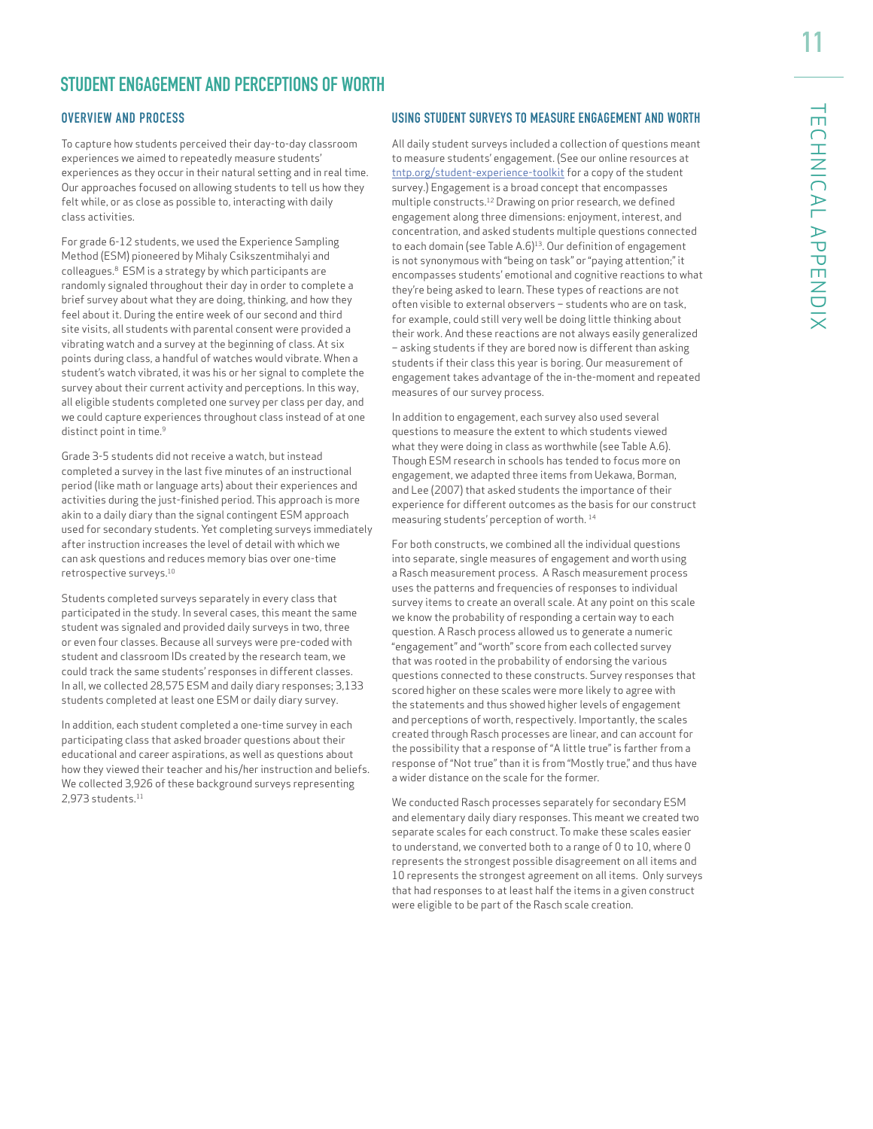# **STUDENT ENGAGEMENT AND PERCEPTIONS OF WORTH**

#### OVERVIEW AND PROCESS

To capture how students perceived their day-to-day classroom experiences we aimed to repeatedly measure students' experiences as they occur in their natural setting and in real time. Our approaches focused on allowing students to tell us how they felt while, or as close as possible to, interacting with daily class activities.

For grade 6-12 students, we used the Experience Sampling Method (ESM) pioneered by Mihaly Csikszentmihalyi and colleagues.8 ESM is a strategy by which participants are randomly signaled throughout their day in order to complete a brief survey about what they are doing, thinking, and how they feel about it. During the entire week of our second and third site visits, all students with parental consent were provided a vibrating watch and a survey at the beginning of class. At six points during class, a handful of watches would vibrate. When a student's watch vibrated, it was his or her signal to complete the survey about their current activity and perceptions. In this way, all eligible students completed one survey per class per day, and we could capture experiences throughout class instead of at one distinct point in time.<sup>9</sup>

Grade 3-5 students did not receive a watch, but instead completed a survey in the last five minutes of an instructional period (like math or language arts) about their experiences and activities during the just-finished period. This approach is more akin to a daily diary than the signal contingent ESM approach used for secondary students. Yet completing surveys immediately after instruction increases the level of detail with which we can ask questions and reduces memory bias over one-time retrospective surveys.<sup>10</sup>

Students completed surveys separately in every class that participated in the study. In several cases, this meant the same student was signaled and provided daily surveys in two, three or even four classes. Because all surveys were pre-coded with student and classroom IDs created by the research team, we could track the same students' responses in different classes. In all, we collected 28,575 ESM and daily diary responses; 3,133 students completed at least one ESM or daily diary survey.

In addition, each student completed a one-time survey in each participating class that asked broader questions about their educational and career aspirations, as well as questions about how they viewed their teacher and his/her instruction and beliefs. We collected 3,926 of these background surveys representing 2.973 students.<sup>11</sup>

#### USING STUDENT SURVEYS TO MEASURE ENGAGEMENT AND WORTH

All daily student surveys included a collection of questions meant to measure students' engagement. (See our online resources at tntp.org/student-experience-toolkit for a copy of the student survey.) Engagement is a broad concept that encompasses multiple constructs.12 Drawing on prior research, we defined engagement along three dimensions: enjoyment, interest, and concentration, and asked students multiple questions connected to each domain (see Table A.6)<sup>13</sup>. Our definition of engagement is not synonymous with "being on task" or "paying attention;" it encompasses students' emotional and cognitive reactions to what they're being asked to learn. These types of reactions are not often visible to external observers – students who are on task, for example, could still very well be doing little thinking about their work. And these reactions are not always easily generalized – asking students if they are bored now is different than asking students if their class this year is boring. Our measurement of engagement takes advantage of the in-the-moment and repeated measures of our survey process.

In addition to engagement, each survey also used several questions to measure the extent to which students viewed what they were doing in class as worthwhile (see Table A.6). Though ESM research in schools has tended to focus more on engagement, we adapted three items from Uekawa, Borman, and Lee (2007) that asked students the importance of their experience for different outcomes as the basis for our construct measuring students' perception of worth. 14

For both constructs, we combined all the individual questions into separate, single measures of engagement and worth using a Rasch measurement process. A Rasch measurement process uses the patterns and frequencies of responses to individual survey items to create an overall scale. At any point on this scale we know the probability of responding a certain way to each question. A Rasch process allowed us to generate a numeric "engagement" and "worth" score from each collected survey that was rooted in the probability of endorsing the various questions connected to these constructs. Survey responses that scored higher on these scales were more likely to agree with the statements and thus showed higher levels of engagement and perceptions of worth, respectively. Importantly, the scales created through Rasch processes are linear, and can account for the possibility that a response of "A little true" is farther from a response of "Not true" than it is from "Mostly true," and thus have a wider distance on the scale for the former.

We conducted Rasch processes separately for secondary ESM and elementary daily diary responses. This meant we created two separate scales for each construct. To make these scales easier to understand, we converted both to a range of 0 to 10, where 0 represents the strongest possible disagreement on all items and 10 represents the strongest agreement on all items. Only surveys that had responses to at least half the items in a given construct were eligible to be part of the Rasch scale creation.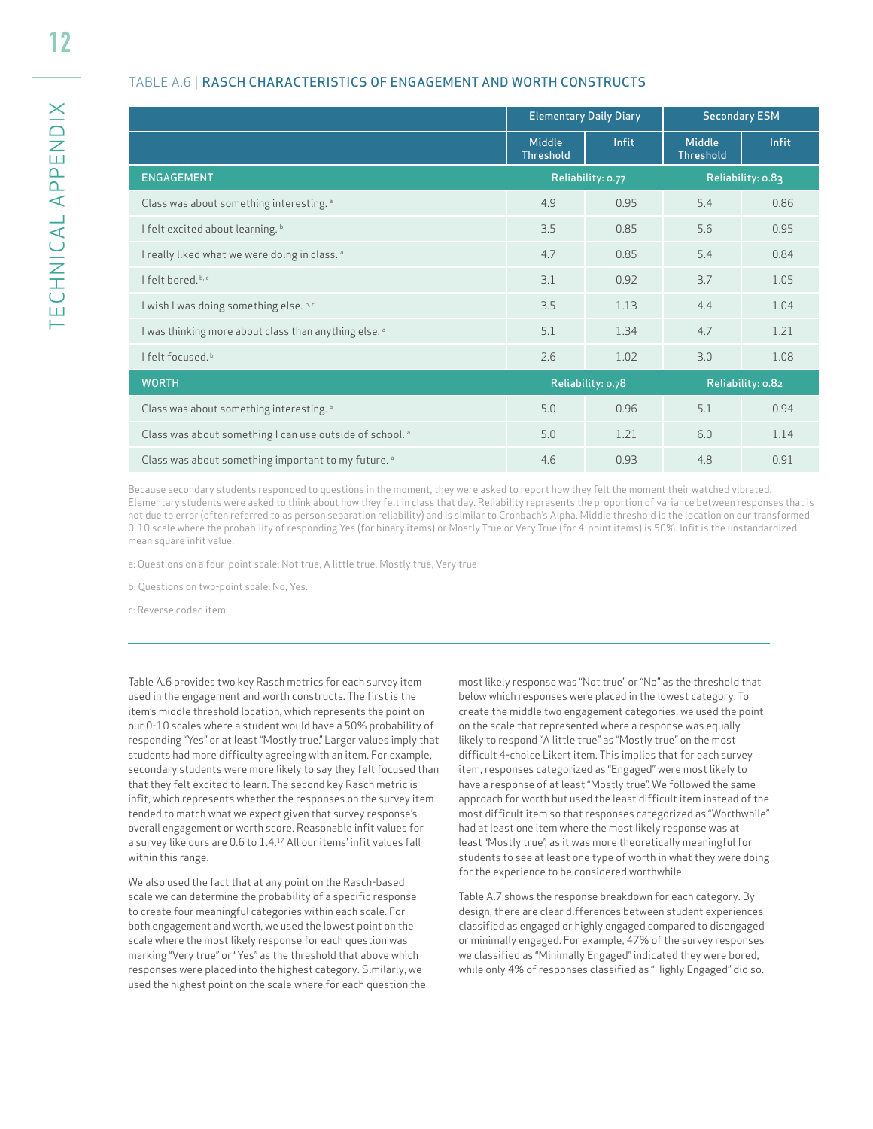#### TABLE A.6 | RASCH CHARACTERISTICS OF ENGAGEMENT AND WORTH CONSTRUCTS

|                                                                     |                                   | <b>Elementary Daily Diary</b> | <b>Secondary ESM</b>       |                   |
|---------------------------------------------------------------------|-----------------------------------|-------------------------------|----------------------------|-------------------|
|                                                                     | <b>Middle</b><br><b>Threshold</b> | Infit                         | Middle<br><b>Threshold</b> | Infit             |
| <b>ENGAGEMENT</b>                                                   |                                   | Reliability: 0.77             |                            | Reliability: 0.83 |
| Class was about something interesting. a                            | 4.9                               | 0.95                          | 5.4                        | 0.86              |
| I felt excited about learning. b                                    | 3.5                               | 0.85                          | 5.6                        | 0.95              |
| I really liked what we were doing in class. <sup>a</sup>            | 4.7                               | 0.85                          | 5.4                        | 0.84              |
| I felt bored. b, c                                                  | 3.1                               | 0.92                          | 3.7                        | 1.05              |
| I wish I was doing something else. b,c                              | 3.5                               | 1.13                          | 4.4                        | 1.04              |
| I was thinking more about class than anything else. <sup>a</sup>    | 5.1                               | 1.34                          | 4.7                        | 1.21              |
| I felt focused b                                                    | 2.6                               | 1.02                          | 3.0                        | 1.08              |
| <b>WORTH</b>                                                        |                                   | Reliability: 0.78             |                            | Reliability: 0.82 |
| Class was about something interesting. a                            | 5.0                               | 0.96                          | 5.1                        | 0.94              |
| Class was about something I can use outside of school. <sup>a</sup> | 5.0                               | 1.21                          | 6.0                        | 1.14              |
| Class was about something important to my future. <sup>a</sup>      | 4.6                               | 0.93                          | 4.8                        | 0.91              |

Because secondary students responded to questions in the moment, they were asked to report how they felt the moment their watched vibrated. Elementary students were asked to think about how they felt in class that day. Reliability represents the proportion of variance between responses that is not due to error (often referred to as person separation reliability) and is similar to Cronbach's Alpha. Middle threshold is the location on our transformed 0-10 scale where the probability of responding Yes (for binary items) or Mostly True or Very True (for 4-point items) is 50%. Infit is the unstandardized mean square infit value.

a: Questions on a four-point scale: Not true, A little true, Mostly true, Very true

b: Questions on two-point scale: No, Yes.

c: Reverse coded item.

Table A.6 provides two key Rasch metrics for each survey item used in the engagement and worth constructs. The first is the item's middle threshold location, which represents the point on our 0-10 scales where a student would have a 50% probability of responding "Yes" or at least "Mostly true." Larger values imply that students had more difficulty agreeing with an item. For example, secondary students were more likely to say they felt focused than that they felt excited to learn. The second key Rasch metric is infit, which represents whether the responses on the survey item tended to match what we expect given that survey response's overall engagement or worth score. Reasonable infit values for a survey like ours are 0.6 to 1.4.17 All our items' infit values fall within this range.

We also used the fact that at any point on the Rasch-based scale we can determine the probability of a specific response to create four meaningful categories within each scale. For both engagement and worth, we used the lowest point on the scale where the most likely response for each question was marking "Very true" or "Yes" as the threshold that above which responses were placed into the highest category. Similarly, we used the highest point on the scale where for each question the

most likely response was "Not true" or "No" as the threshold that below which responses were placed in the lowest category. To create the middle two engagement categories, we used the point on the scale that represented where a response was equally likely to respond "A little true" as "Mostly true" on the most difficult 4-choice Likert item. This implies that for each survey item, responses categorized as "Engaged" were most likely to have a response of at least "Mostly true". We followed the same approach for worth but used the least difficult item instead of the most difficult item so that responses categorized as "Worthwhile" had at least one item where the most likely response was at least "Mostly true", as it was more theoretically meaningful for students to see at least one type of worth in what they were doing for the experience to be considered worthwhile.

Table A.7 shows the response breakdown for each category. By design, there are clear differences between student experiences classified as engaged or highly engaged compared to disengaged or minimally engaged. For example, 47% of the survey responses we classified as "Minimally Engaged" indicated they were bored, while only 4% of responses classified as "Highly Engaged" did so.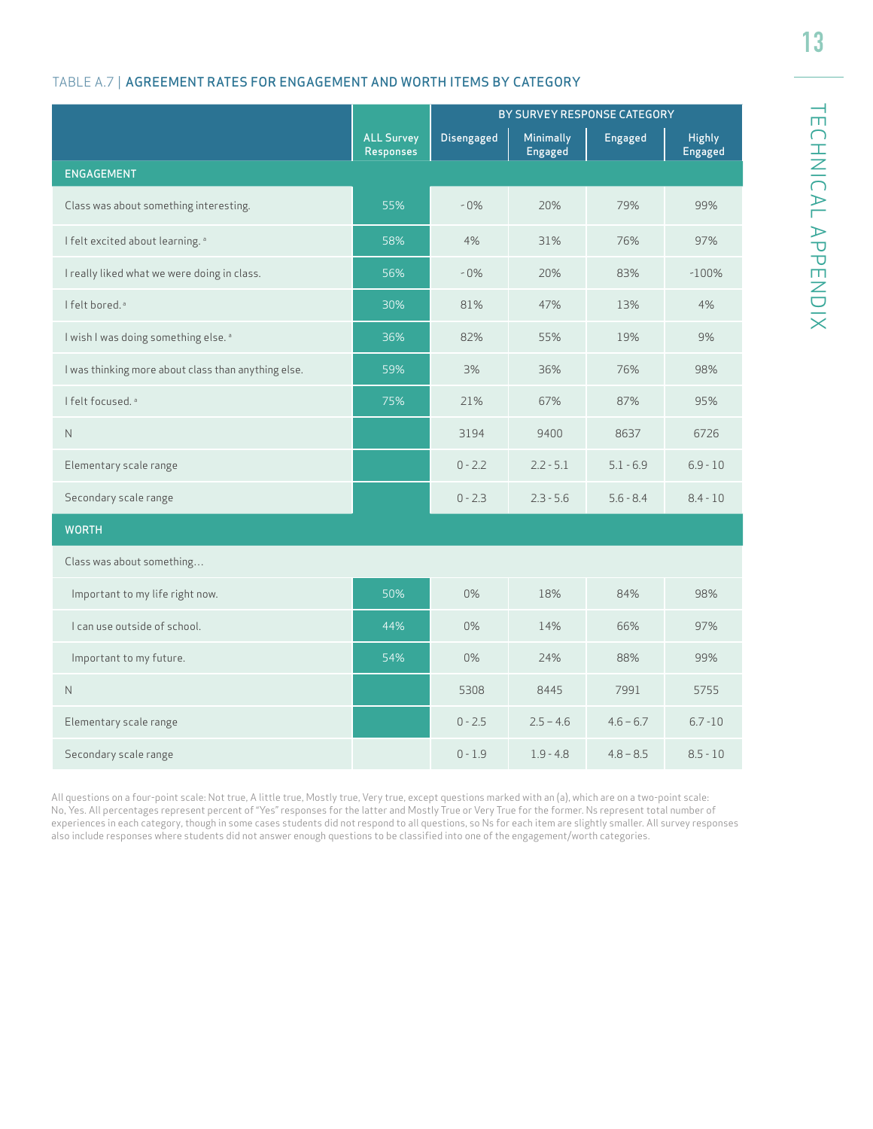### TABLE A.7 | AGREEMENT RATES FOR ENGAGEMENT AND WORTH ITEMS BY CATEGORY

|                                                     |                                | BY SURVEY RESPONSE CATEGORY |                      |             |                          |  |
|-----------------------------------------------------|--------------------------------|-----------------------------|----------------------|-------------|--------------------------|--|
|                                                     | <b>ALL Survey</b><br>Responses | <b>Disengaged</b>           | Minimally<br>Engaged | Engaged     | <b>Highly</b><br>Engaged |  |
| <b>ENGAGEMENT</b>                                   |                                |                             |                      |             |                          |  |
| Class was about something interesting.              | 55%                            | $-0\%$                      | 20%                  | 79%         | 99%                      |  |
| I felt excited about learning. <sup>a</sup>         | 58%                            | 4%                          | 31%                  | 76%         | 97%                      |  |
| I really liked what we were doing in class.         | 56%                            | $-0\%$                      | 20%                  | 83%         | $-100%$                  |  |
| I felt bored. <sup>ª</sup>                          | 30%                            | 81%                         | 47%                  | 13%         | 4%                       |  |
| I wish I was doing something else. <sup>a</sup>     | 36%                            | 82%                         | 55%                  | 19%         | 9%                       |  |
| I was thinking more about class than anything else. | 59%                            | 3%                          | 36%                  | 76%         | 98%                      |  |
| I felt focused. <sup>a</sup>                        | 75%                            | 21%                         | 67%                  | 87%         | 95%                      |  |
| N                                                   |                                | 3194                        | 9400                 | 8637        | 6726                     |  |
| Elementary scale range                              |                                | $0 - 2.2$                   | $2.2 - 5.1$          | $5.1 - 6.9$ | $6.9 - 10$               |  |
| Secondary scale range                               |                                | $0 - 2.3$                   | $2.3 - 5.6$          | $5.6 - 8.4$ | $8.4 - 10$               |  |
| <b>WORTH</b>                                        |                                |                             |                      |             |                          |  |
| Class was about something                           |                                |                             |                      |             |                          |  |
| Important to my life right now.                     | 50%                            | 0%                          | 18%                  | 84%         | 98%                      |  |
| I can use outside of school.                        | 44%                            | $0\%$                       | 14%                  | 66%         | 97%                      |  |
| Important to my future.                             | 54%                            | 0%                          | 24%                  | 88%         | 99%                      |  |
| $\mathsf{N}$                                        |                                | 5308                        | 8445                 | 7991        | 5755                     |  |
| Elementary scale range                              |                                | $0 - 2.5$                   | $2.5 - 4.6$          | $4.6 - 6.7$ | $6.7 - 10$               |  |
| Secondary scale range                               |                                | $0 - 1.9$                   | $1.9 - 4.8$          | $4.8 - 8.5$ | $8.5 - 10$               |  |

All questions on a four-point scale: Not true, A little true, Mostly true, Very true, except questions marked with an (a), which are on a two-point scale: No, Yes. All percentages represent percent of "Yes" responses for the latter and Mostly True or Very True for the former. Ns represent total number of experiences in each category, though in some cases students did not respond to all questions, so Ns for each item are slightly smaller. All survey responses also include responses where students did not answer enough questions to be classified into one of the engagement/worth categories.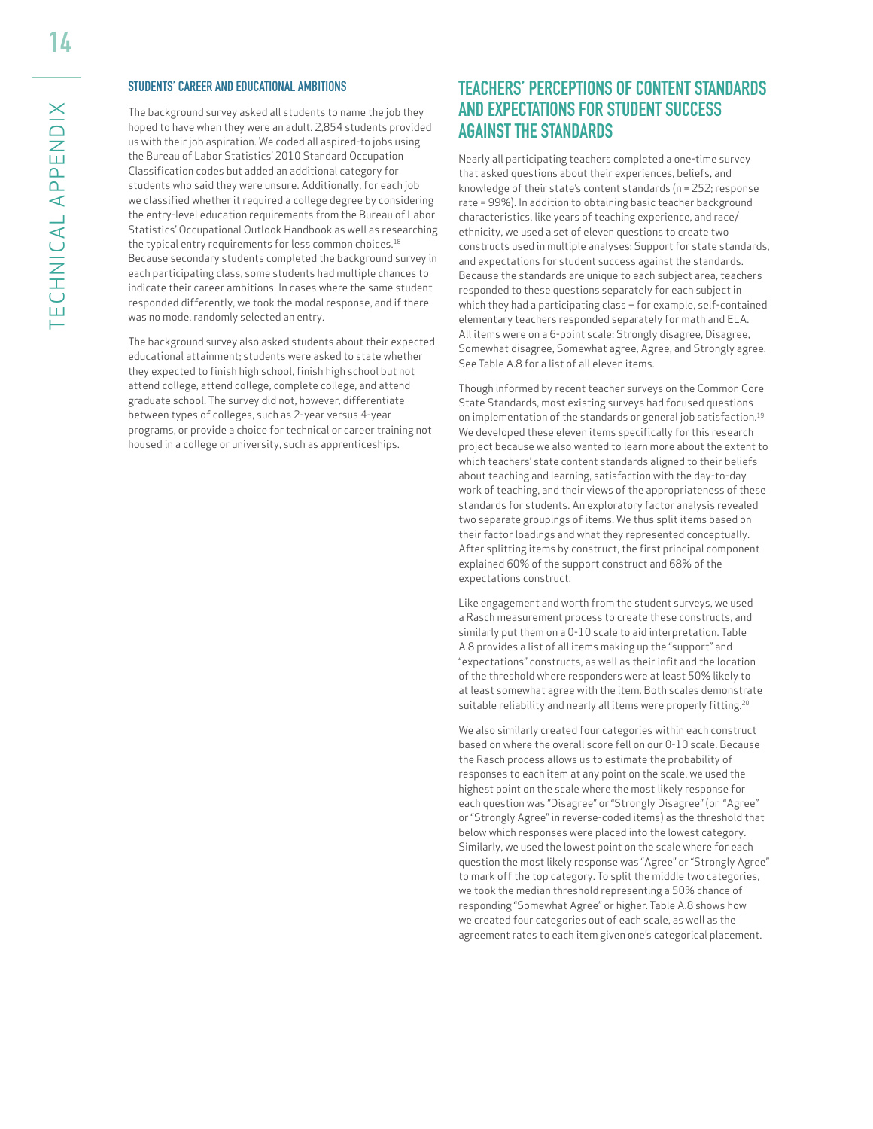#### STUDENTS' CAREER AND EDUCATIONAL AMBITIONS

The background survey asked all students to name the job they hoped to have when they were an adult. 2,854 students provided us with their job aspiration. We coded all aspired-to jobs using the Bureau of Labor Statistics' 2010 Standard Occupation Classification codes but added an additional category for students who said they were unsure. Additionally, for each job we classified whether it required a college degree by considering the entry-level education requirements from the Bureau of Labor Statistics' Occupational Outlook Handbook as well as researching the typical entry requirements for less common choices.<sup>18</sup> Because secondary students completed the background survey in each participating class, some students had multiple chances to indicate their career ambitions. In cases where the same student responded differently, we took the modal response, and if there was no mode, randomly selected an entry.

The background survey also asked students about their expected educational attainment; students were asked to state whether they expected to finish high school, finish high school but not attend college, attend college, complete college, and attend graduate school. The survey did not, however, differentiate between types of colleges, such as 2-year versus 4-year programs, or provide a choice for technical or career training not housed in a college or university, such as apprenticeships.

# **TEACHERS' PERCEPTIONS OF CONTENT STANDARDS AND EXPECTATIONS FOR STUDENT SUCCESS AGAINST THE STANDARDS**

Nearly all participating teachers completed a one-time survey that asked questions about their experiences, beliefs, and knowledge of their state's content standards (n = 252; response rate = 99%). In addition to obtaining basic teacher background characteristics, like years of teaching experience, and race/ ethnicity, we used a set of eleven questions to create two constructs used in multiple analyses: Support for state standards, and expectations for student success against the standards. Because the standards are unique to each subject area, teachers responded to these questions separately for each subject in which they had a participating class – for example, self-contained elementary teachers responded separately for math and ELA. All items were on a 6-point scale: Strongly disagree, Disagree, Somewhat disagree, Somewhat agree, Agree, and Strongly agree. See Table A.8 for a list of all eleven items.

Though informed by recent teacher surveys on the Common Core State Standards, most existing surveys had focused questions on implementation of the standards or general job satisfaction.19 We developed these eleven items specifically for this research project because we also wanted to learn more about the extent to which teachers' state content standards aligned to their beliefs about teaching and learning, satisfaction with the day-to-day work of teaching, and their views of the appropriateness of these standards for students. An exploratory factor analysis revealed two separate groupings of items. We thus split items based on their factor loadings and what they represented conceptually. After splitting items by construct, the first principal component explained 60% of the support construct and 68% of the expectations construct.

Like engagement and worth from the student surveys, we used a Rasch measurement process to create these constructs, and similarly put them on a 0-10 scale to aid interpretation. Table A.8 provides a list of all items making up the "support" and "expectations" constructs, as well as their infit and the location of the threshold where responders were at least 50% likely to at least somewhat agree with the item. Both scales demonstrate suitable reliability and nearly all items were properly fitting.<sup>20</sup>

We also similarly created four categories within each construct based on where the overall score fell on our 0-10 scale. Because the Rasch process allows us to estimate the probability of responses to each item at any point on the scale, we used the highest point on the scale where the most likely response for each question was "Disagree" or "Strongly Disagree" (or "Agree" or "Strongly Agree" in reverse-coded items) as the threshold that below which responses were placed into the lowest category. Similarly, we used the lowest point on the scale where for each question the most likely response was "Agree" or "Strongly Agree" to mark off the top category. To split the middle two categories, we took the median threshold representing a 50% chance of responding "Somewhat Agree" or higher. Table A.8 shows how we created four categories out of each scale, as well as the agreement rates to each item given one's categorical placement.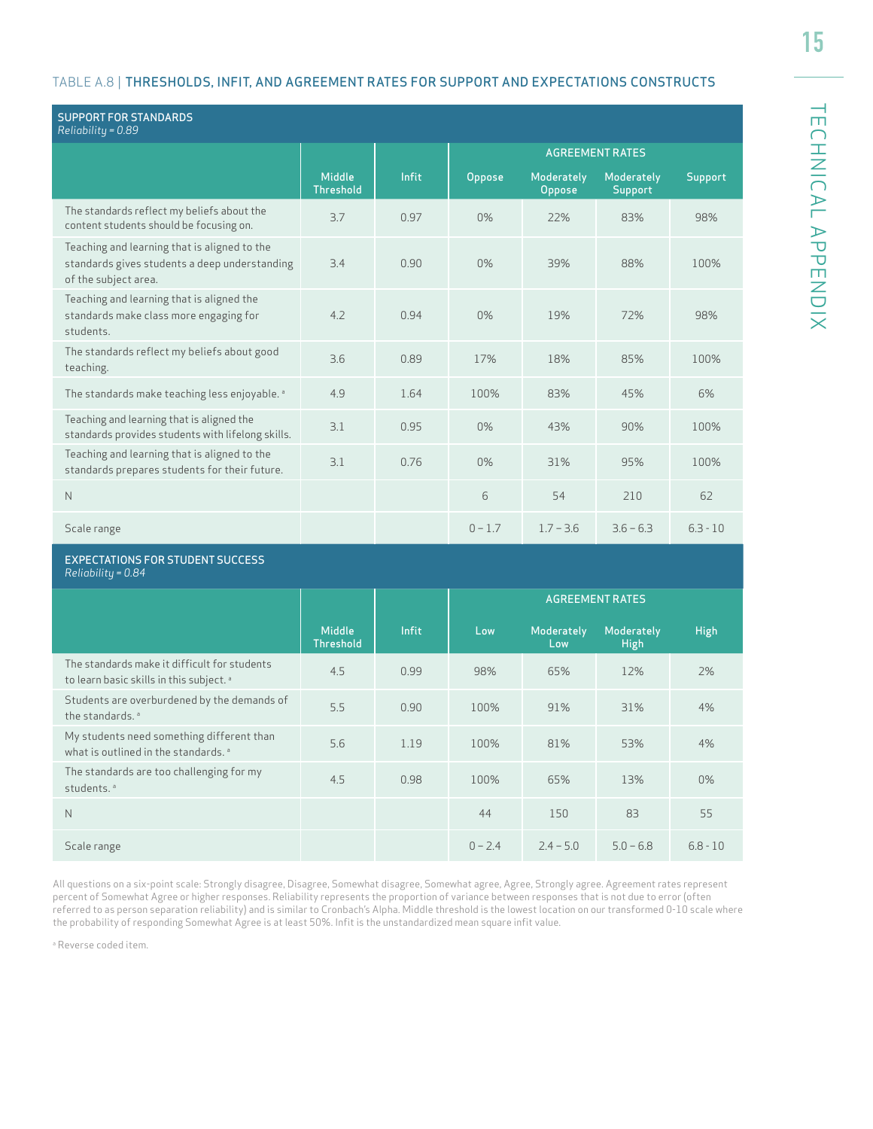#### TABLE A.8 | THRESHOLDS, INFIT, AND AGREEMENT RATES FOR SUPPORT AND EXPECTATIONS CONSTRUCTS

| <b>SUPPORT FOR STANDARDS</b><br>Reliability = 0.89                                                                    |                                   |              |           |                      |                                     |             |
|-----------------------------------------------------------------------------------------------------------------------|-----------------------------------|--------------|-----------|----------------------|-------------------------------------|-------------|
|                                                                                                                       |                                   |              |           |                      | <b>AGREEMENT RATES</b>              |             |
|                                                                                                                       | <b>Middle</b><br><b>Threshold</b> | Infit        | Oppose    | Moderately<br>Oppose | <b>Moderately</b><br><b>Support</b> | Support     |
| The standards reflect my beliefs about the<br>content students should be focusing on.                                 | 3.7                               | 0.97         | $0\%$     | 22%                  | 83%                                 | 98%         |
| Teaching and learning that is aligned to the<br>standards gives students a deep understanding<br>of the subject area. | 3.4                               | 0.90         | $0\%$     | 39%                  | 88%                                 | 100%        |
| Teaching and learning that is aligned the<br>standards make class more engaging for<br>students.                      | 4.2                               | 0.94         | 0%        | 19%                  | 72%                                 | 98%         |
| The standards reflect my beliefs about good<br>teaching.                                                              | 3.6                               | 0.89         | 17%       | 18%                  | 85%                                 | 100%        |
| The standards make teaching less enjoyable. <sup>a</sup>                                                              | 4.9                               | 1.64         | 100%      | 83%                  | 45%                                 | 6%          |
| Teaching and learning that is aligned the<br>standards provides students with lifelong skills.                        | 3.1                               | 0.95         | $0\%$     | 43%                  | 90%                                 | 100%        |
| Teaching and learning that is aligned to the<br>standards prepares students for their future.                         | 3.1                               | 0.76         | 0%        | 31%                  | 95%                                 | 100%        |
| $\mathsf{N}$                                                                                                          |                                   |              | 6         | 54                   | 210                                 | 62          |
| Scale range                                                                                                           |                                   |              | $0 - 1.7$ | $1.7 - 3.6$          | $3.6 - 6.3$                         | $6.3 - 10$  |
| <b>EXPECTATIONS FOR STUDENT SUCCESS</b><br>Reliability = 0.84                                                         |                                   |              |           |                      |                                     |             |
|                                                                                                                       |                                   |              |           |                      | <b>AGREEMENT RATES</b>              |             |
|                                                                                                                       | Middle<br><b>Threshold</b>        | <b>Infit</b> | Low       | Moderately<br>Low    | <b>Moderately</b><br><b>High</b>    | <b>High</b> |
| The standards make it difficult for students<br>to learn basic skills in this subject. <sup>a</sup>                   | 4.5                               | 0.99         | 98%       | 65%                  | 12%                                 | 2%          |
| Students are overburdened by the demands of<br>the standards. <sup>a</sup>                                            | 5.5                               | 0.90         | 100%      | 91%                  | 31%                                 | 4%          |
| My students need something different than<br>what is outlined in the standards. <sup>a</sup>                          | 5.6                               | 1.19         | 100%      | 81%                  | 53%                                 | 4%          |

All questions on a six-point scale: Strongly disagree, Disagree, Somewhat disagree, Somewhat agree, Agree, Strongly agree. Agreement rates represent percent of Somewhat Agree or higher responses. Reliability represents the proportion of variance between responses that is not due to error (often referred to as person separation reliability) and is similar to Cronbach's Alpha. Middle threshold is the lowest location on our transformed 0-10 scale where the probability of responding Somewhat Agree is at least 50%. Infit is the unstandardized mean square infit value.

students.<sup>a</sup> 4.5 0.98 100% 65% 13% 0.98 100% 65% 13% 0.98

N 44 150 83 55

Scale range 0 – 2.4 2.4 – 5.0 5.0 – 6.8 6.8 - 10

a Reverse coded item.

The standards are too challenging for my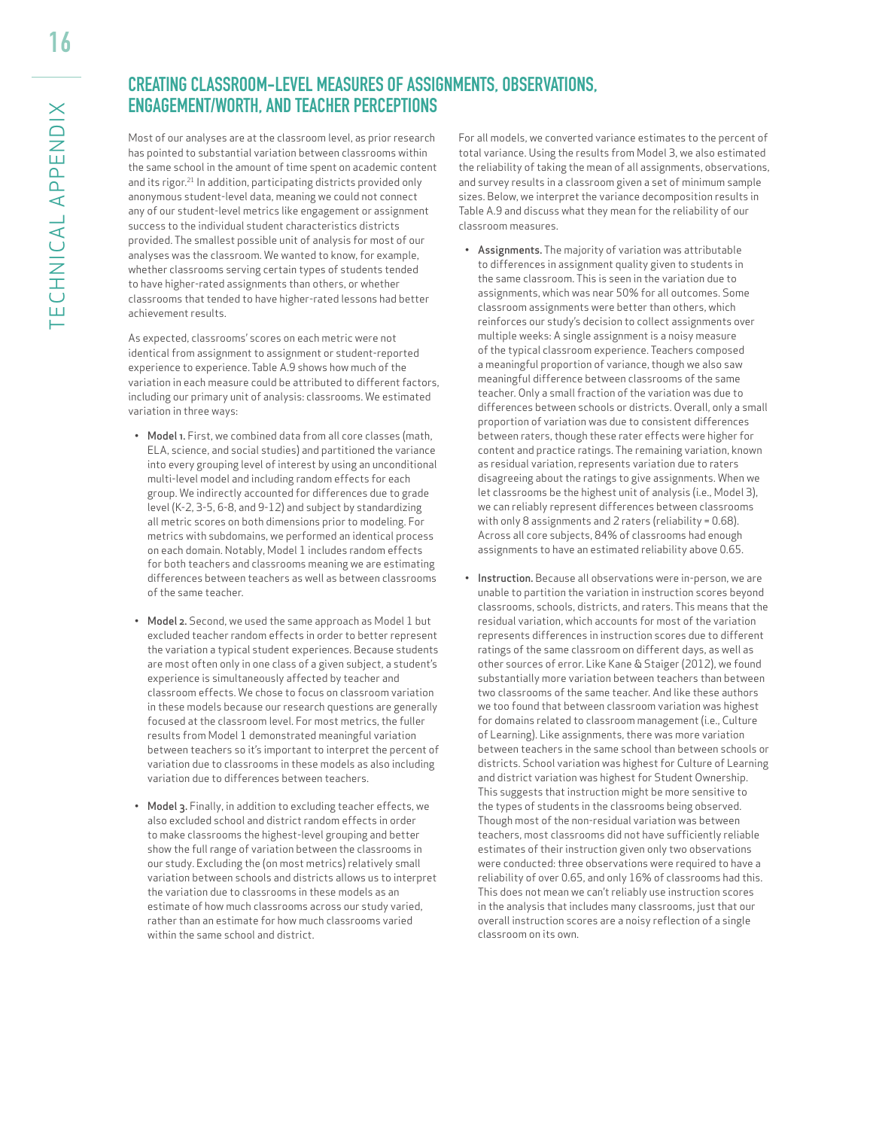# **CREATING CLASSROOM-LEVEL MEASURES OF ASSIGNMENTS, OBSERVATIONS, ENGAGEMENT/WORTH, AND TEACHER PERCEPTIONS**

Most of our analyses are at the classroom level, as prior research has pointed to substantial variation between classrooms within the same school in the amount of time spent on academic content and its rigor.<sup>21</sup> In addition, participating districts provided only anonymous student-level data, meaning we could not connect any of our student-level metrics like engagement or assignment success to the individual student characteristics districts provided. The smallest possible unit of analysis for most of our analyses was the classroom. We wanted to know, for example, whether classrooms serving certain types of students tended to have higher-rated assignments than others, or whether classrooms that tended to have higher-rated lessons had better achievement results.

As expected, classrooms' scores on each metric were not identical from assignment to assignment or student-reported experience to experience. Table A.9 shows how much of the variation in each measure could be attributed to different factors, including our primary unit of analysis: classrooms. We estimated variation in three ways:

- Model 1. First, we combined data from all core classes (math, ELA, science, and social studies) and partitioned the variance into every grouping level of interest by using an unconditional multi-level model and including random effects for each group. We indirectly accounted for differences due to grade level (K-2, 3-5, 6-8, and 9-12) and subject by standardizing all metric scores on both dimensions prior to modeling. For metrics with subdomains, we performed an identical process on each domain. Notably, Model 1 includes random effects for both teachers and classrooms meaning we are estimating differences between teachers as well as between classrooms of the same teacher.
- Model 2. Second, we used the same approach as Model 1 but excluded teacher random effects in order to better represent the variation a typical student experiences. Because students are most often only in one class of a given subject, a student's experience is simultaneously affected by teacher and classroom effects. We chose to focus on classroom variation in these models because our research questions are generally focused at the classroom level. For most metrics, the fuller results from Model 1 demonstrated meaningful variation between teachers so it's important to interpret the percent of variation due to classrooms in these models as also including variation due to differences between teachers.
- Model 3. Finally, in addition to excluding teacher effects, we also excluded school and district random effects in order to make classrooms the highest-level grouping and better show the full range of variation between the classrooms in our study. Excluding the (on most metrics) relatively small variation between schools and districts allows us to interpret the variation due to classrooms in these models as an estimate of how much classrooms across our study varied, rather than an estimate for how much classrooms varied within the same school and district.

For all models, we converted variance estimates to the percent of total variance. Using the results from Model 3, we also estimated the reliability of taking the mean of all assignments, observations, and survey results in a classroom given a set of minimum sample sizes. Below, we interpret the variance decomposition results in Table A.9 and discuss what they mean for the reliability of our classroom measures.

- Assignments. The majority of variation was attributable to differences in assignment quality given to students in the same classroom. This is seen in the variation due to assignments, which was near 50% for all outcomes. Some classroom assignments were better than others, which reinforces our study's decision to collect assignments over multiple weeks: A single assignment is a noisy measure of the typical classroom experience. Teachers composed a meaningful proportion of variance, though we also saw meaningful difference between classrooms of the same teacher. Only a small fraction of the variation was due to differences between schools or districts. Overall, only a small proportion of variation was due to consistent differences between raters, though these rater effects were higher for content and practice ratings. The remaining variation, known as residual variation, represents variation due to raters disagreeing about the ratings to give assignments. When we let classrooms be the highest unit of analysis (i.e., Model 3), we can reliably represent differences between classrooms with only 8 assignments and 2 raters (reliability = 0.68). Across all core subjects, 84% of classrooms had enough assignments to have an estimated reliability above 0.65.
- Instruction. Because all observations were in-person, we are unable to partition the variation in instruction scores beyond classrooms, schools, districts, and raters. This means that the residual variation, which accounts for most of the variation represents differences in instruction scores due to different ratings of the same classroom on different days, as well as other sources of error. Like Kane & Staiger (2012), we found substantially more variation between teachers than between two classrooms of the same teacher. And like these authors we too found that between classroom variation was highest for domains related to classroom management (i.e., Culture of Learning). Like assignments, there was more variation between teachers in the same school than between schools or districts. School variation was highest for Culture of Learning and district variation was highest for Student Ownership. This suggests that instruction might be more sensitive to the types of students in the classrooms being observed. Though most of the non-residual variation was between teachers, most classrooms did not have sufficiently reliable estimates of their instruction given only two observations were conducted: three observations were required to have a reliability of over 0.65, and only 16% of classrooms had this. This does not mean we can't reliably use instruction scores in the analysis that includes many classrooms, just that our overall instruction scores are a noisy reflection of a single classroom on its own.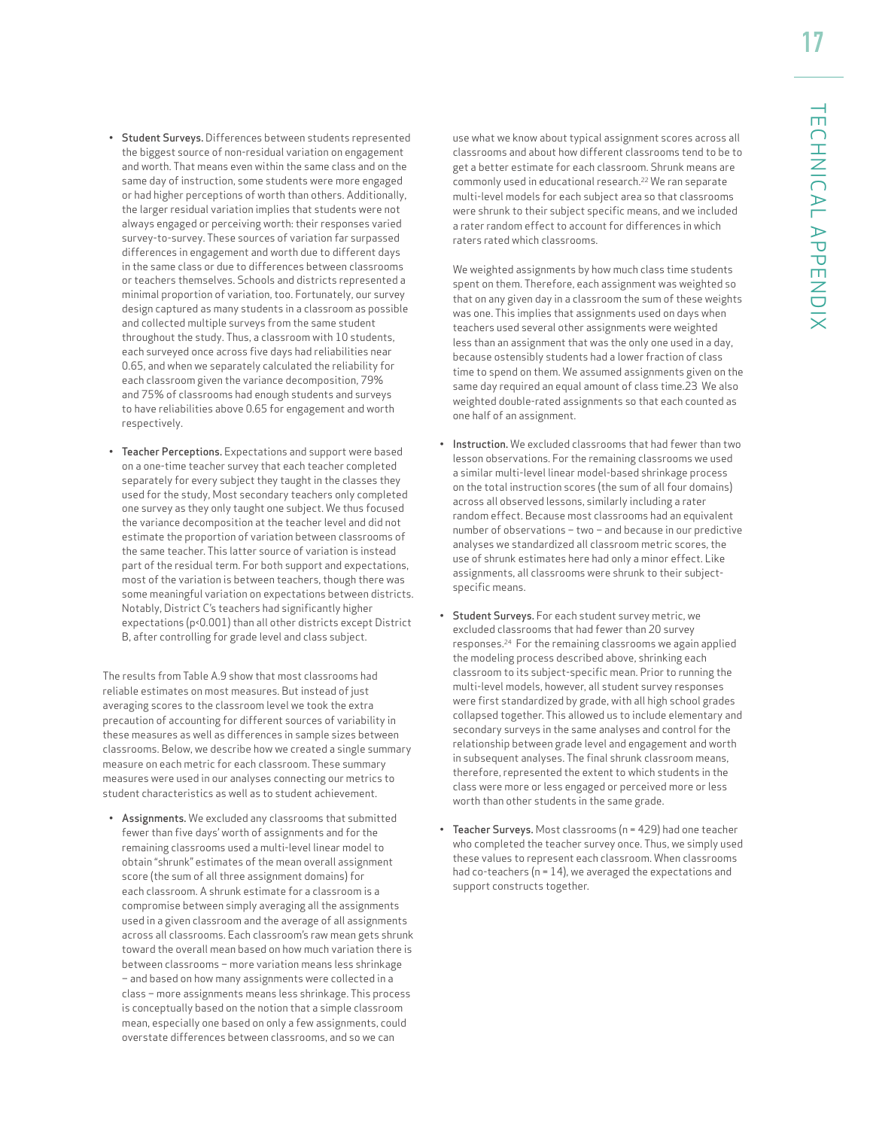- Student Surveys. Differences between students represented the biggest source of non-residual variation on engagement and worth. That means even within the same class and on the same day of instruction, some students were more engaged or had higher perceptions of worth than others. Additionally, the larger residual variation implies that students were not always engaged or perceiving worth: their responses varied survey-to-survey. These sources of variation far surpassed differences in engagement and worth due to different days in the same class or due to differences between classrooms or teachers themselves. Schools and districts represented a minimal proportion of variation, too. Fortunately, our survey design captured as many students in a classroom as possible and collected multiple surveys from the same student throughout the study. Thus, a classroom with 10 students, each surveyed once across five days had reliabilities near 0.65, and when we separately calculated the reliability for each classroom given the variance decomposition, 79% and 75% of classrooms had enough students and surveys to have reliabilities above 0.65 for engagement and worth respectively.
- Teacher Perceptions. Expectations and support were based on a one-time teacher survey that each teacher completed separately for every subject they taught in the classes they used for the study, Most secondary teachers only completed one survey as they only taught one subject. We thus focused the variance decomposition at the teacher level and did not estimate the proportion of variation between classrooms of the same teacher. This latter source of variation is instead part of the residual term. For both support and expectations, most of the variation is between teachers, though there was some meaningful variation on expectations between districts. Notably, District C's teachers had significantly higher expectations (p<0.001) than all other districts except District B, after controlling for grade level and class subject.

The results from Table A.9 show that most classrooms had reliable estimates on most measures. But instead of just averaging scores to the classroom level we took the extra precaution of accounting for different sources of variability in these measures as well as differences in sample sizes between classrooms. Below, we describe how we created a single summary measure on each metric for each classroom. These summary measures were used in our analyses connecting our metrics to student characteristics as well as to student achievement.

• Assignments. We excluded any classrooms that submitted fewer than five days' worth of assignments and for the remaining classrooms used a multi-level linear model to obtain "shrunk" estimates of the mean overall assignment score (the sum of all three assignment domains) for each classroom. A shrunk estimate for a classroom is a compromise between simply averaging all the assignments used in a given classroom and the average of all assignments across all classrooms. Each classroom's raw mean gets shrunk toward the overall mean based on how much variation there is between classrooms – more variation means less shrinkage – and based on how many assignments were collected in a class – more assignments means less shrinkage. This process is conceptually based on the notion that a simple classroom mean, especially one based on only a few assignments, could overstate differences between classrooms, and so we can

use what we know about typical assignment scores across all classrooms and about how different classrooms tend to be to get a better estimate for each classroom. Shrunk means are commonly used in educational research.<sup>22</sup> We ran separate multi-level models for each subject area so that classrooms were shrunk to their subject specific means, and we included a rater random effect to account for differences in which raters rated which classrooms.

We weighted assignments by how much class time students spent on them. Therefore, each assignment was weighted so that on any given day in a classroom the sum of these weights was one. This implies that assignments used on days when teachers used several other assignments were weighted less than an assignment that was the only one used in a day, because ostensibly students had a lower fraction of class time to spend on them. We assumed assignments given on the same day required an equal amount of class time.23 We also weighted double-rated assignments so that each counted as one half of an assignment.

- Instruction. We excluded classrooms that had fewer than two lesson observations. For the remaining classrooms we used a similar multi-level linear model-based shrinkage process on the total instruction scores (the sum of all four domains) across all observed lessons, similarly including a rater random effect. Because most classrooms had an equivalent number of observations – two – and because in our predictive analyses we standardized all classroom metric scores, the use of shrunk estimates here had only a minor effect. Like assignments, all classrooms were shrunk to their subjectspecific means.
- Student Surveys. For each student survey metric, we excluded classrooms that had fewer than 20 survey responses.24 For the remaining classrooms we again applied the modeling process described above, shrinking each classroom to its subject-specific mean. Prior to running the multi-level models, however, all student survey responses were first standardized by grade, with all high school grades collapsed together. This allowed us to include elementary and secondary surveys in the same analyses and control for the relationship between grade level and engagement and worth in subsequent analyses. The final shrunk classroom means, therefore, represented the extent to which students in the class were more or less engaged or perceived more or less worth than other students in the same grade.
- Teacher Surveys. Most classrooms (n = 429) had one teacher who completed the teacher survey once. Thus, we simply used these values to represent each classroom. When classrooms had co-teachers (n = 14), we averaged the expectations and support constructs together.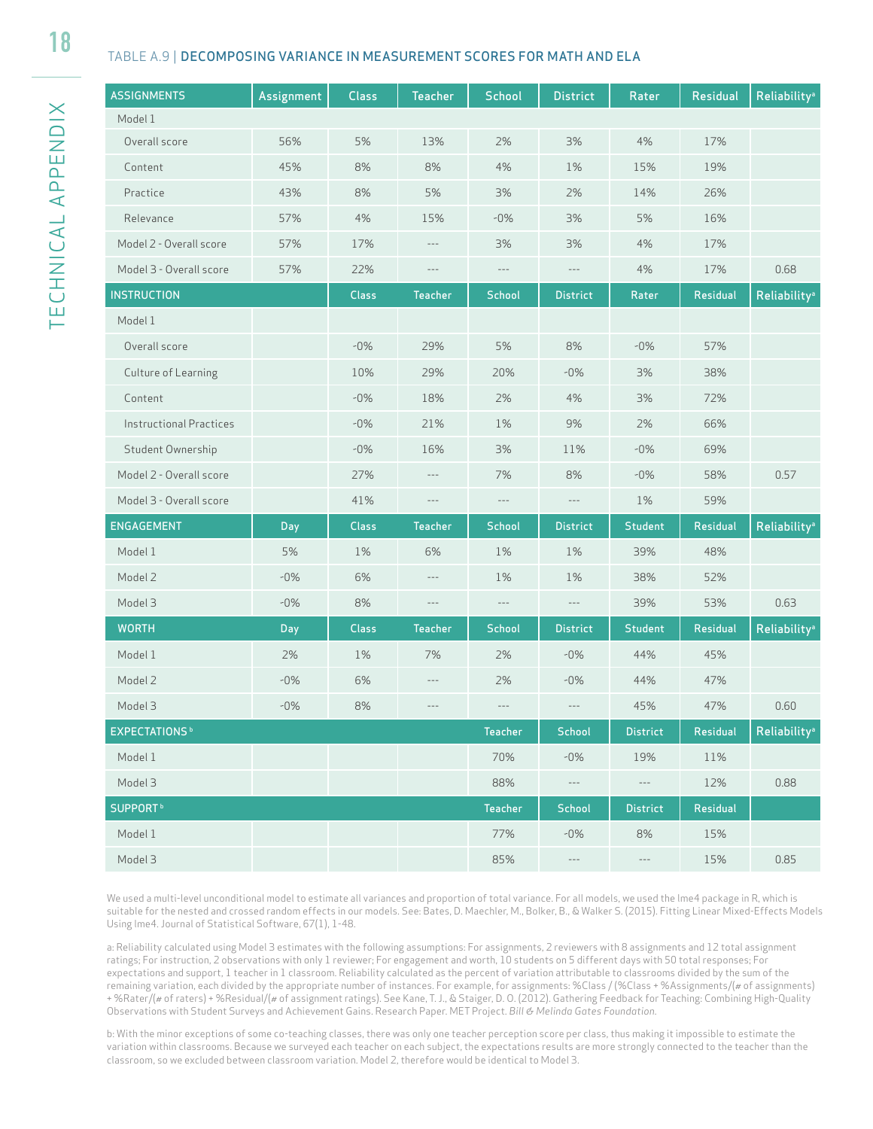#### TABLE A.9 | DECOMPOSING VARIANCE IN MEASUREMENT SCORES FOR MATH AND ELA

| <b>ASSIGNMENTS</b>               | Assignment | Class        | <b>Teacher</b> | <b>School</b>  | <b>District</b>                          | Rater           | Residual | <b>Reliability®</b>      |
|----------------------------------|------------|--------------|----------------|----------------|------------------------------------------|-----------------|----------|--------------------------|
| Model 1                          |            |              |                |                |                                          |                 |          |                          |
| Overall score                    | 56%        | 5%           | 13%            | 2%             | 3%                                       | 4%              | 17%      |                          |
| Content                          | 45%        | 8%           | 8%             | 4%             | 1%                                       | 15%             | 19%      |                          |
| Practice                         | 43%        | 8%           | 5%             | 3%             | 2%                                       | 14%             | 26%      |                          |
| Relevance                        | 57%        | 4%           | 15%            | $-0\%$         | 3%                                       | 5%              | 16%      |                          |
| Model 2 - Overall score          | 57%        | 17%          | $---$          | 3%             | 3%                                       | 4%              | 17%      |                          |
| Model 3 - Overall score          | 57%        | 22%          | $\cdots$       | $-\, -\, -$    | $\hspace{0.05cm} \ldots \hspace{0.05cm}$ | 4%              | 17%      | 0.68                     |
| <b>INSTRUCTION</b>               |            | <b>Class</b> | <b>Teacher</b> | <b>School</b>  | <b>District</b>                          | Rater           | Residual | <b>Reliability®</b>      |
| Model 1                          |            |              |                |                |                                          |                 |          |                          |
| Overall score                    |            | $-0\%$       | 29%            | 5%             | 8%                                       | $-0\%$          | 57%      |                          |
| Culture of Learning              |            | 10%          | 29%            | 20%            | $-0\%$                                   | 3%              | 38%      |                          |
| Content                          |            | $-0\%$       | 18%            | 2%             | 4%                                       | 3%              | 72%      |                          |
| <b>Instructional Practices</b>   |            | $-0\%$       | 21%            | 1%             | 9%                                       | 2%              | 66%      |                          |
| Student Ownership                |            | $-0\%$       | 16%            | 3%             | 11%                                      | $-0\%$          | 69%      |                          |
| Model 2 - Overall score          |            | 27%          | $\cdots$       | 7%             | 8%                                       | $-0\%$          | 58%      | 0.57                     |
| Model 3 - Overall score          |            | 41%          | $\cdots$       | $-\, -\, -$    | $-\, -\, -$                              | 1%              | 59%      |                          |
| ENGAGEMENT                       | Day        | <b>Class</b> | Teacher        | <b>School</b>  | <b>District</b>                          | <b>Student</b>  | Residual | Reliability <sup>a</sup> |
| Model 1                          | 5%         | 1%           | 6%             | 1%             | 1%                                       | 39%             | 48%      |                          |
| Model 2                          | $-0\%$     | 6%           | $\cdots$       | 1%             | 1%                                       | 38%             | 52%      |                          |
| Model 3                          | $-0\%$     | 8%           | $\cdots$       | $-\, -\, -$    | $\hspace{0.05cm} \ldots \hspace{0.05cm}$ | 39%             | 53%      | 0.63                     |
| <b>WORTH</b>                     | Day        | <b>Class</b> | Teacher        | <b>School</b>  | <b>District</b>                          | <b>Student</b>  | Residual | <b>Reliability®</b>      |
| Model 1                          | 2%         | 1%           | 7%             | 2%             | $-0\%$                                   | 44%             | 45%      |                          |
| Model 2                          | $-0\%$     | 6%           | ---            | 2%             | $-0\%$                                   | 44%             | 47%      |                          |
| Model 3                          | $-0\%$     | 8%           | $---$          | $\cdots$       | $-\, -\, -$                              | 45%             | 47%      | 0.60                     |
| <b>EXPECTATIONS</b> <sup>b</sup> |            |              |                | Teacher        | School                                   | <b>District</b> | Residual | <b>Reliability®</b>      |
| Model 1                          |            |              |                | 70%            | $-0\%$                                   | 19%             | 11%      |                          |
| Model 3                          |            |              |                | 88%            | $\cdots$                                 | $---$           | 12%      | 0.88                     |
| <b>SUPPORT</b> <sup>b</sup>      |            |              |                | <b>Teacher</b> | School                                   | <b>District</b> | Residual |                          |
| Model 1                          |            |              |                | 77%            | $-0\%$                                   | 8%              | 15%      |                          |
| Model 3                          |            |              |                | 85%            | $\scriptstyle\cdots\scriptstyle\cdots$   | $---$           | 15%      | 0.85                     |

We used a multi-level unconditional model to estimate all variances and proportion of total variance. For all models, we used the lme4 package in R, which is suitable for the nested and crossed random effects in our models. See: Bates, D. Maechler, M., Bolker, B., & Walker S. (2015). Fitting Linear Mixed-Effects Models Using lme4. Journal of Statistical Software, 67(1), 1-48.

a: Reliability calculated using Model 3 estimates with the following assumptions: For assignments, 2 reviewers with 8 assignments and 12 total assignment ratings; For instruction, 2 observations with only 1 reviewer; For engagement and worth, 10 students on 5 different days with 50 total responses; For expectations and support, 1 teacher in 1 classroom. Reliability calculated as the percent of variation attributable to classrooms divided by the sum of the remaining variation, each divided by the appropriate number of instances. For example, for assignments: %Class / (%Class + %Assignments/(# of assignments) + %Rater/(# of raters) + %Residual/(# of assignment ratings). See Kane, T. J., & Staiger, D. O. (2012). Gathering Feedback for Teaching: Combining High-Quality Observations with Student Surveys and Achievement Gains. Research Paper. MET Project. *Bill & Melinda Gates Foundation.*

b: With the minor exceptions of some co-teaching classes, there was only one teacher perception score per class, thus making it impossible to estimate the variation within classrooms. Because we surveyed each teacher on each subject, the expectations results are more strongly connected to the teacher than the classroom, so we excluded between classroom variation. Model 2, therefore would be identical to Model 3.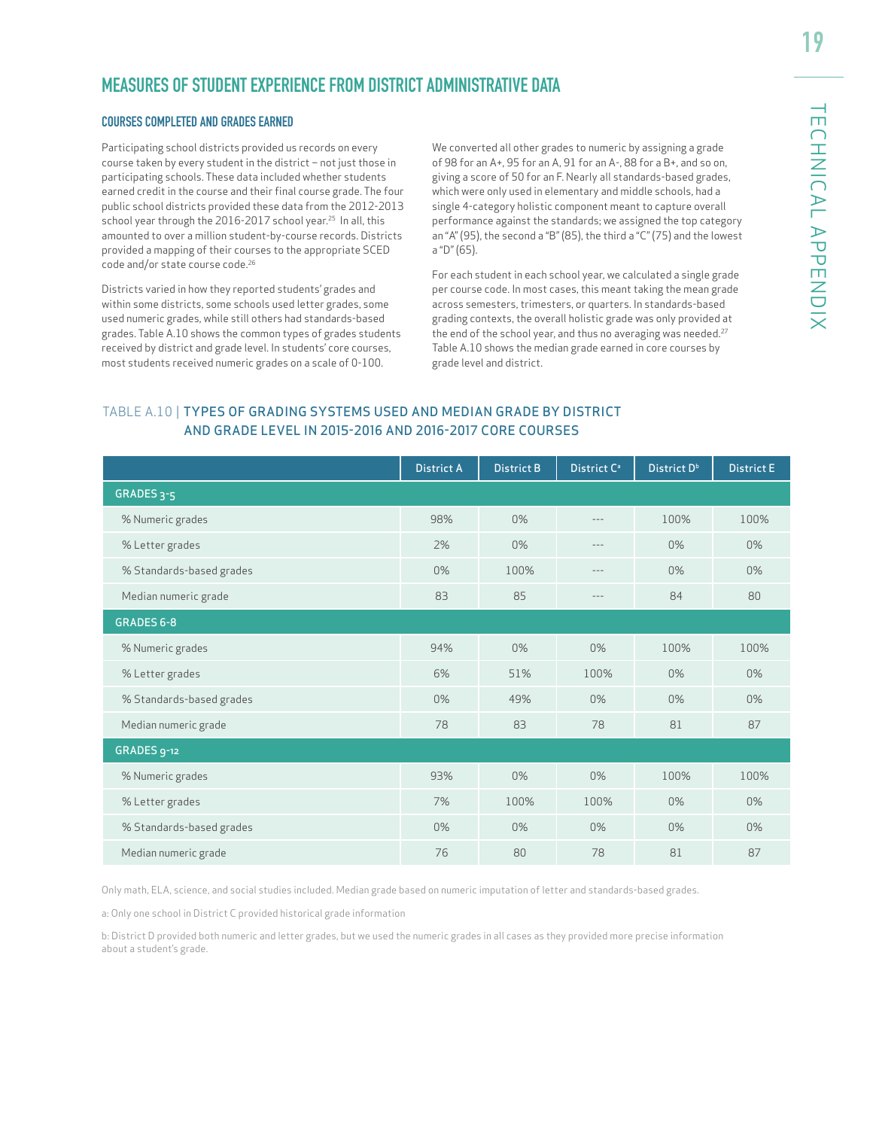# **MEASURES OF STUDENT EXPERIENCE FROM DISTRICT ADMINISTRATIVE DATA**

#### COURSES COMPLETED AND GRADES EARNED

Participating school districts provided us records on every course taken by every student in the district – not just those in participating schools. These data included whether students earned credit in the course and their final course grade. The four public school districts provided these data from the 2012-2013 school year through the 2016-2017 school year.<sup>25</sup> In all, this amounted to over a million student-by-course records. Districts provided a mapping of their courses to the appropriate SCED code and/or state course code.26

Districts varied in how they reported students' grades and within some districts, some schools used letter grades, some used numeric grades, while still others had standards-based grades. Table A.10 shows the common types of grades students received by district and grade level. In students' core courses, most students received numeric grades on a scale of 0-100.

We converted all other grades to numeric by assigning a grade of 98 for an A+, 95 for an A, 91 for an A-, 88 for a B+, and so on, giving a score of 50 for an F. Nearly all standards-based grades, which were only used in elementary and middle schools, had a single 4-category holistic component meant to capture overall performance against the standards; we assigned the top category an "A" (95), the second a "B" (85), the third a "C" (75) and the lowest a "D" (65).

For each student in each school year, we calculated a single grade per course code. In most cases, this meant taking the mean grade across semesters, trimesters, or quarters. In standards-based grading contexts, the overall holistic grade was only provided at the end of the school year, and thus no averaging was needed.<sup>27</sup> Table A.10 shows the median grade earned in core courses by grade level and district.

#### TABLE A.10 | TYPES OF GRADING SYSTEMS USED AND MEDIAN GRADE BY DISTRICT AND GRADE LEVEL IN 2015-2016 AND 2016-2017 CORE COURSES

|                          | <b>District A</b> | <b>District B</b> | District C <sup>a</sup> | District D <sup>b</sup> | <b>District E</b> |
|--------------------------|-------------------|-------------------|-------------------------|-------------------------|-------------------|
| GRADES <sub>3-5</sub>    |                   |                   |                         |                         |                   |
| % Numeric grades         | 98%               | $0\%$             | $- - -$                 | 100%                    | 100%              |
| % Letter grades          | 2%                | 0%                | $- - -$                 | 0%                      | $0\%$             |
| % Standards-based grades | $0\%$             | 100%              | $- - -$                 | 0%                      | $0\%$             |
| Median numeric grade     | 83                | 85                | $- - -$                 | 84                      | 80                |
| <b>GRADES 6-8</b>        |                   |                   |                         |                         |                   |
| % Numeric grades         | 94%               | $0\%$             | $0\%$                   | 100%                    | 100%              |
| % Letter grades          | 6%                | 51%               | 100%                    | 0%                      | 0%                |
| % Standards-based grades | $0\%$             | 49%               | $0\%$                   | $0\%$                   | $0\%$             |
| Median numeric grade     | 78                | 83                | 78                      | 81                      | 87                |
| GRADES 9-12              |                   |                   |                         |                         |                   |
| % Numeric grades         | 93%               | $0\%$             | $0\%$                   | 100%                    | 100%              |
| % Letter grades          | 7%                | 100%              | 100%                    | $0\%$                   | $0\%$             |
| % Standards-based grades | 0%                | 0%                | 0%                      | 0%                      | $0\%$             |
| Median numeric grade     | 76                | 80                | 78                      | 81                      | 87                |

Only math, ELA, science, and social studies included. Median grade based on numeric imputation of letter and standards-based grades.

a: Only one school in District C provided historical grade information

b: District D provided both numeric and letter grades, but we used the numeric grades in all cases as they provided more precise information about a student's grade.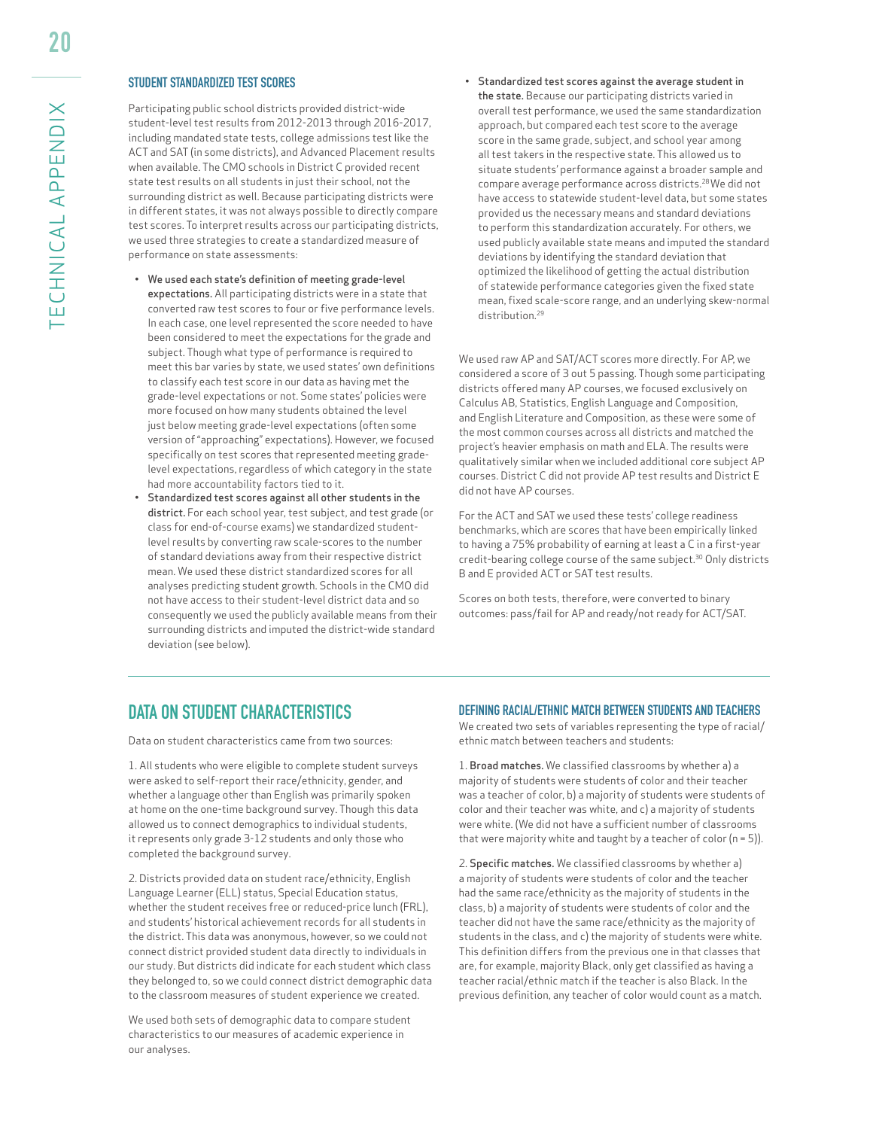#### STUDENT STANDARDIZED TEST SCORES

Participating public school districts provided district-wide student-level test results from 2012-2013 through 2016-2017, including mandated state tests, college admissions test like the ACT and SAT (in some districts), and Advanced Placement results when available. The CMO schools in District C provided recent state test results on all students in just their school, not the surrounding district as well. Because participating districts were in different states, it was not always possible to directly compare test scores. To interpret results across our participating districts, we used three strategies to create a standardized measure of performance on state assessments:

- We used each state's definition of meeting grade-level expectations. All participating districts were in a state that converted raw test scores to four or five performance levels. In each case, one level represented the score needed to have been considered to meet the expectations for the grade and subject. Though what type of performance is required to meet this bar varies by state, we used states' own definitions to classify each test score in our data as having met the grade-level expectations or not. Some states' policies were more focused on how many students obtained the level just below meeting grade-level expectations (often some version of "approaching" expectations). However, we focused specifically on test scores that represented meeting gradelevel expectations, regardless of which category in the state had more accountability factors tied to it.
- Standardized test scores against all other students in the district. For each school year, test subject, and test grade (or class for end-of-course exams) we standardized studentlevel results by converting raw scale-scores to the number of standard deviations away from their respective district mean. We used these district standardized scores for all analyses predicting student growth. Schools in the CMO did not have access to their student-level district data and so consequently we used the publicly available means from their surrounding districts and imputed the district-wide standard deviation (see below).

• Standardized test scores against the average student in the state. Because our participating districts varied in overall test performance, we used the same standardization approach, but compared each test score to the average score in the same grade, subject, and school year among all test takers in the respective state. This allowed us to situate students' performance against a broader sample and compare average performance across districts.28 We did not have access to statewide student-level data, but some states provided us the necessary means and standard deviations to perform this standardization accurately. For others, we used publicly available state means and imputed the standard deviations by identifying the standard deviation that optimized the likelihood of getting the actual distribution of statewide performance categories given the fixed state mean, fixed scale-score range, and an underlying skew-normal distribution.29

We used raw AP and SAT/ACT scores more directly. For AP, we considered a score of 3 out 5 passing. Though some participating districts offered many AP courses, we focused exclusively on Calculus AB, Statistics, English Language and Composition, and English Literature and Composition, as these were some of the most common courses across all districts and matched the project's heavier emphasis on math and ELA. The results were qualitatively similar when we included additional core subject AP courses. District C did not provide AP test results and District E did not have AP courses.

For the ACT and SAT we used these tests' college readiness benchmarks, which are scores that have been empirically linked to having a 75% probability of earning at least a C in a first-year credit-bearing college course of the same subject.30 Only districts B and E provided ACT or SAT test results.

Scores on both tests, therefore, were converted to binary outcomes: pass/fail for AP and ready/not ready for ACT/SAT.

### **DATA ON STUDENT CHARACTERISTICS**

Data on student characteristics came from two sources:

1. All students who were eligible to complete student surveys were asked to self-report their race/ethnicity, gender, and whether a language other than English was primarily spoken at home on the one-time background survey. Though this data allowed us to connect demographics to individual students, it represents only grade 3-12 students and only those who completed the background survey.

2. Districts provided data on student race/ethnicity, English Language Learner (ELL) status, Special Education status, whether the student receives free or reduced-price lunch (FRL), and students' historical achievement records for all students in the district. This data was anonymous, however, so we could not connect district provided student data directly to individuals in our study. But districts did indicate for each student which class they belonged to, so we could connect district demographic data to the classroom measures of student experience we created.

We used both sets of demographic data to compare student characteristics to our measures of academic experience in our analyses.

#### DEFINING RACIAL/ETHNIC MATCH BETWEEN STUDENTS AND TEACHERS

We created two sets of variables representing the type of racial/ ethnic match between teachers and students:

1. Broad matches. We classified classrooms by whether a) a majority of students were students of color and their teacher was a teacher of color, b) a majority of students were students of color and their teacher was white, and c) a majority of students were white. (We did not have a sufficient number of classrooms that were majority white and taught by a teacher of color ( $n = 5$ )).

2. Specific matches. We classified classrooms by whether a) a majority of students were students of color and the teacher had the same race/ethnicity as the majority of students in the class, b) a majority of students were students of color and the teacher did not have the same race/ethnicity as the majority of students in the class, and c) the majority of students were white. This definition differs from the previous one in that classes that are, for example, majority Black, only get classified as having a teacher racial/ethnic match if the teacher is also Black. In the previous definition, any teacher of color would count as a match.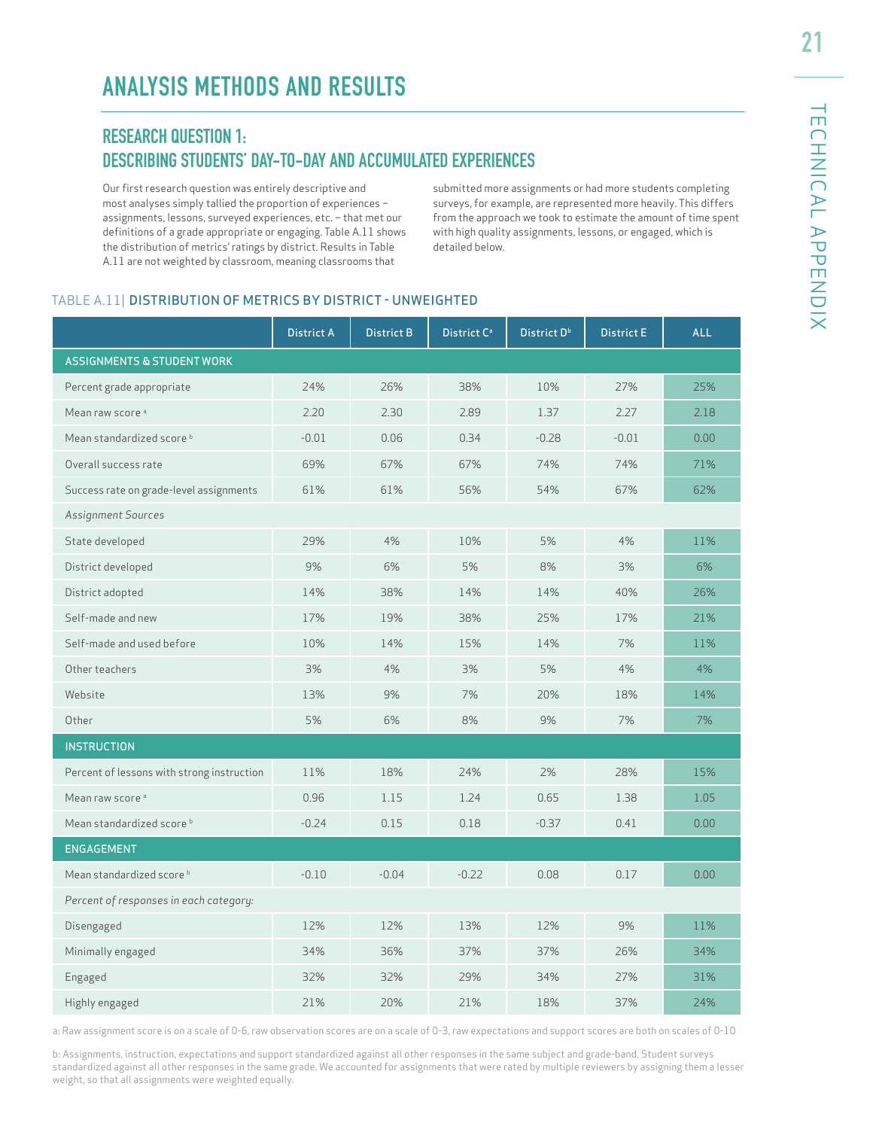# **RESEARCH QUESTION 1: DESCRIBING STUDENTS' DAY-TO-DAY AND ACCUMULATED EXPERIENCES**

Our first research question was entirely descriptive and most analyses simply tallied the proportion of experiences – assignments, lessons, surveyed experiences, etc. – that met our definitions of a grade appropriate or engaging. Table A.11 shows the distribution of metrics' ratings by district. Results in Table A.11 are not weighted by classroom, meaning classrooms that

submitted more assignments or had more students completing surveys, for example, are represented more heavily. This differs from the approach we took to estimate the amount of time spent with high quality assignments, lessons, or engaged, which is detailed below.

#### TABLE A.11| DISTRIBUTION OF METRICS BY DISTRICT - UNWEIGHTED

|                                            | <b>District A</b> | <b>District B</b> | District C <sup>a</sup> | District D <sup>b</sup> | <b>District E</b> | <b>ALL</b> |
|--------------------------------------------|-------------------|-------------------|-------------------------|-------------------------|-------------------|------------|
| <b>ASSIGNMENTS &amp; STUDENT WORK</b>      |                   |                   |                         |                         |                   |            |
| Percent grade appropriate                  | 24%               | 26%               | 38%                     | 10%                     | 27%               | 25%        |
| Mean raw score <sup>a</sup>                | 2.20              | 2.30              | 2.89                    | 1.37                    | 2.27              | 2.18       |
| Mean standardized score b                  | $-0.01$           | 0.06              | 0.34                    | $-0.28$                 | $-0.01$           | 0.00       |
| Overall success rate                       | 69%               | 67%               | 67%                     | 74%                     | 74%               | 71%        |
| Success rate on grade-level assignments    | 61%               | 61%               | 56%                     | 54%                     | 67%               | 62%        |
| Assignment Sources                         |                   |                   |                         |                         |                   |            |
| State developed                            | 29%               | 4%                | 10%                     | 5%                      | 4%                | 11%        |
| District developed                         | 9%                | 6%                | 5%                      | 8%                      | 3%                | 6%         |
| District adopted                           | 14%               | 38%               | 14%                     | 14%                     | 40%               | 26%        |
| Self-made and new                          | 17%               | 19%               | 38%                     | 25%                     | 17%               | 21%        |
| Self-made and used before                  | 10%               | 14%               | 15%                     | 14%                     | 7%                | 11%        |
| Other teachers                             | 3%                | 4%                | 3%                      | 5%                      | 4%                | 4%         |
| Website                                    | 13%               | 9%                | 7%                      | 20%                     | 18%               | 14%        |
| Other                                      | 5%                | 6%                | 8%                      | 9%                      | 7%                | 7%         |
| <b>INSTRUCTION</b>                         |                   |                   |                         |                         |                   |            |
| Percent of lessons with strong instruction | 11%               | 18%               | 24%                     | 2%                      | 28%               | 15%        |
| Mean raw score <sup>a</sup>                | 0.96              | 1.15              | 1.24                    | 0.65                    | 1.38              | 1.05       |
| Mean standardized score <sup>b</sup>       | $-0.24$           | 0.15              | 0.18                    | $-0.37$                 | 0.41              | 0.00       |
| <b>ENGAGEMENT</b>                          |                   |                   |                         |                         |                   |            |
| Mean standardized score <sup>b</sup>       | $-0.10$           | $-0.04$           | $-0.22$                 | 0.08                    | 0.17              | 0.00       |
| Percent of responses in each category:     |                   |                   |                         |                         |                   |            |
| Disengaged                                 | 12%               | 12%               | 13%                     | 12%                     | 9%                | 11%        |
| Minimally engaged                          | 34%               | 36%               | 37%                     | 37%                     | 26%               | 34%        |
| Engaged                                    | 32%               | 32%               | 29%                     | 34%                     | 27%               | 31%        |
| Highly engaged                             | 21%               | 20%               | 21%                     | 18%                     | 37%               | 24%        |

a: Raw assignment score is on a scale of 0-6, raw observation scores are on a scale of 0-3, raw expectations and support scores are both on scales of 0-10

b: Assignments, instruction, expectations and support standardized against all other responses in the same subject and grade-band. Student surveys standardized against all other responses in the same grade. We accounted for assignments that were rated by multiple reviewers by assigning them a lesser weight, so that all assignments were weighted equally.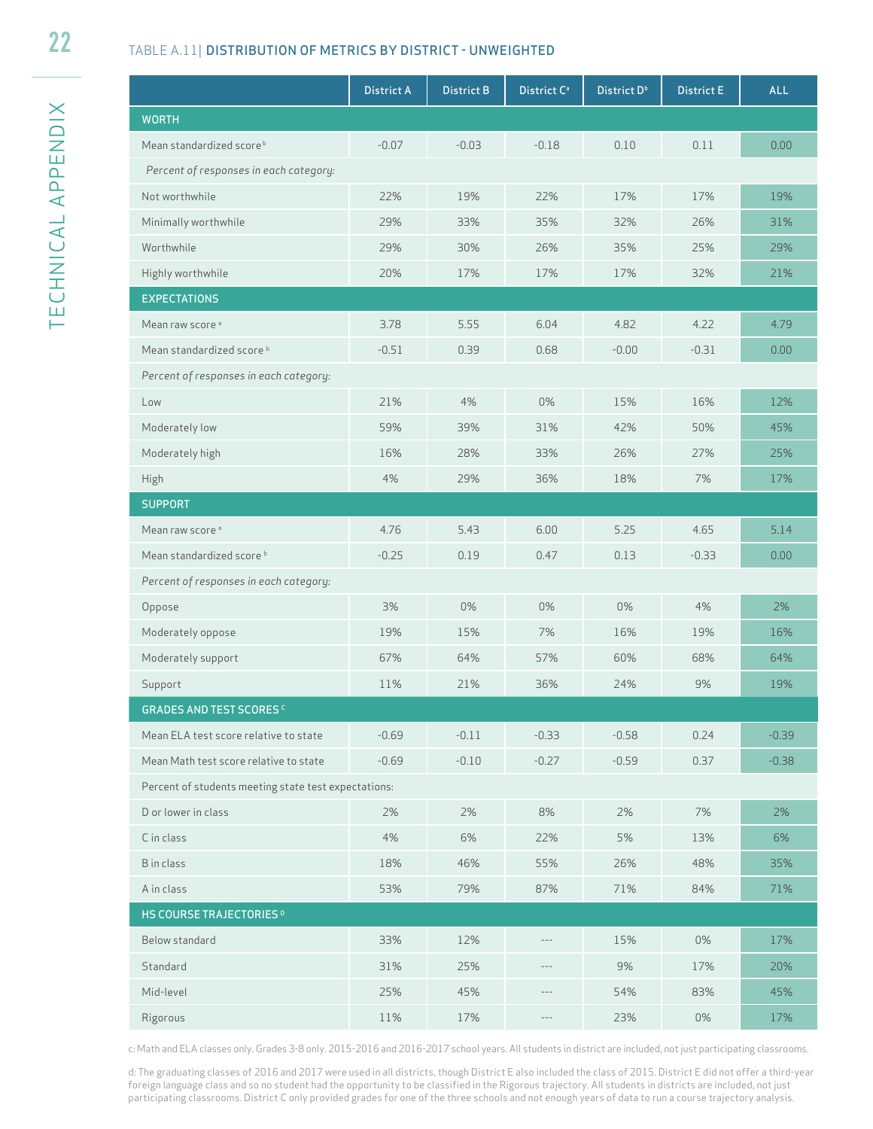#### TABLE A.11| DISTRIBUTION OF METRICS BY DISTRICT - UNWEIGHTED

|                                                      | <b>District A</b> | <b>District B</b> | District C <sup>a</sup> | District D <sup>b</sup> | <b>District E</b> | <b>ALL</b> |
|------------------------------------------------------|-------------------|-------------------|-------------------------|-------------------------|-------------------|------------|
| <b>WORTH</b>                                         |                   |                   |                         |                         |                   |            |
| Mean standardized score <sup>b</sup>                 | $-0.07$           | $-0.03$           | $-0.18$                 | 0.10                    | 0.11              | 0.00       |
| Percent of responses in each category:               |                   |                   |                         |                         |                   |            |
| Not worthwhile                                       | 22%               | 19%               | 22%                     | 17%                     | 17%               | 19%        |
| Minimally worthwhile                                 | 29%               | 33%               | 35%                     | 32%                     | 26%               | 31%        |
| Worthwhile                                           | 29%               | 30%               | 26%                     | 35%                     | 25%               | 29%        |
| Highly worthwhile                                    | 20%               | 17%               | 17%                     | 17%                     | 32%               | 21%        |
| <b>EXPECTATIONS</b>                                  |                   |                   |                         |                         |                   |            |
| Mean raw score <sup>a</sup>                          | 3.78              | 5.55              | 6.04                    | 4.82                    | 4.22              | 4.79       |
| Mean standardized score <sup>b</sup>                 | $-0.51$           | 0.39              | 0.68                    | $-0.00$                 | $-0.31$           | 0.00       |
| Percent of responses in each category:               |                   |                   |                         |                         |                   |            |
| Low                                                  | 21%               | 4%                | 0%                      | 15%                     | 16%               | 12%        |
| Moderately low                                       | 59%               | 39%               | 31%                     | 42%                     | 50%               | 45%        |
| Moderately high                                      | 16%               | 28%               | 33%                     | 26%                     | 27%               | 25%        |
| <b>High</b>                                          | 4%                | 29%               | 36%                     | 18%                     | 7%                | 17%        |
| <b>SUPPORT</b>                                       |                   |                   |                         |                         |                   |            |
| Mean raw score <sup>a</sup>                          | 4.76              | 5.43              | 6.00                    | 5.25                    | 4.65              | 5.14       |
| Mean standardized score <sup>b</sup>                 | $-0.25$           | 0.19              | 0.47                    | 0.13                    | $-0.33$           | 0.00       |
| Percent of responses in each category:               |                   |                   |                         |                         |                   |            |
| Oppose                                               | 3%                | 0%                | 0%                      | 0%                      | 4%                | 2%         |
| Moderately oppose                                    | 19%               | 15%               | 7%                      | 16%                     | 19%               | 16%        |
| Moderately support                                   | 67%               | 64%               | 57%                     | 60%                     | 68%               | 64%        |
| Support                                              | 11%               | 21%               | 36%                     | 24%                     | 9%                | 19%        |
| <b>GRADES AND TEST SCORES C</b>                      |                   |                   |                         |                         |                   |            |
| Mean ELA test score relative to state                | $-0.69$           | $-0.11$           | $-0.33$                 | $-0.58$                 | 0.24              | $-0.39$    |
| Mean Math test score relative to state               | $-0.69$           | $-0.10$           | $-0.27$                 | $-0.59$                 | 0.37              | $-0.38$    |
| Percent of students meeting state test expectations: |                   |                   |                         |                         |                   |            |
| D or lower in class                                  | 2%                | 2%                | 8%                      | 2%                      | 7%                | 2%         |
| C in class                                           | 4%                | 6%                | 22%                     | 5%                      | 13%               | 6%         |
| B in class                                           | 18%               | 46%               | 55%                     | 26%                     | 48%               | 35%        |
| A in class                                           | 53%               | 79%               | 87%                     | 71%                     | 84%               | 71%        |
| HS COURSE TRAJECTORIES <sup>D</sup>                  |                   |                   |                         |                         |                   |            |
| Below standard                                       | 33%               | 12%               | $\cdots$                | 15%                     | 0%                | 17%        |
| Standard                                             | 31%               | 25%               | $\cdots$                | 9%                      | 17%               | 20%        |
| Mid-level                                            | 25%               | 45%               | $\cdots$                | 54%                     | 83%               | 45%        |
| Rigorous                                             | 11%               | 17%               | $\cdots$                | 23%                     | $0\%$             | 17%        |

c: Math and ELA classes only. Grades 3-8 only. 2015-2016 and 2016-2017 school years. All students in district are included, not just participating classrooms.

d: The graduating classes of 2016 and 2017 were used in all districts, though District E also included the class of 2015. District E did not offer a third-year foreign language class and so no student had the opportunity to be classified in the Rigorous trajectory. All students in districts are included, not just participating classrooms. District C only provided grades for one of the three schools and not enough years of data to run a course trajectory analysis.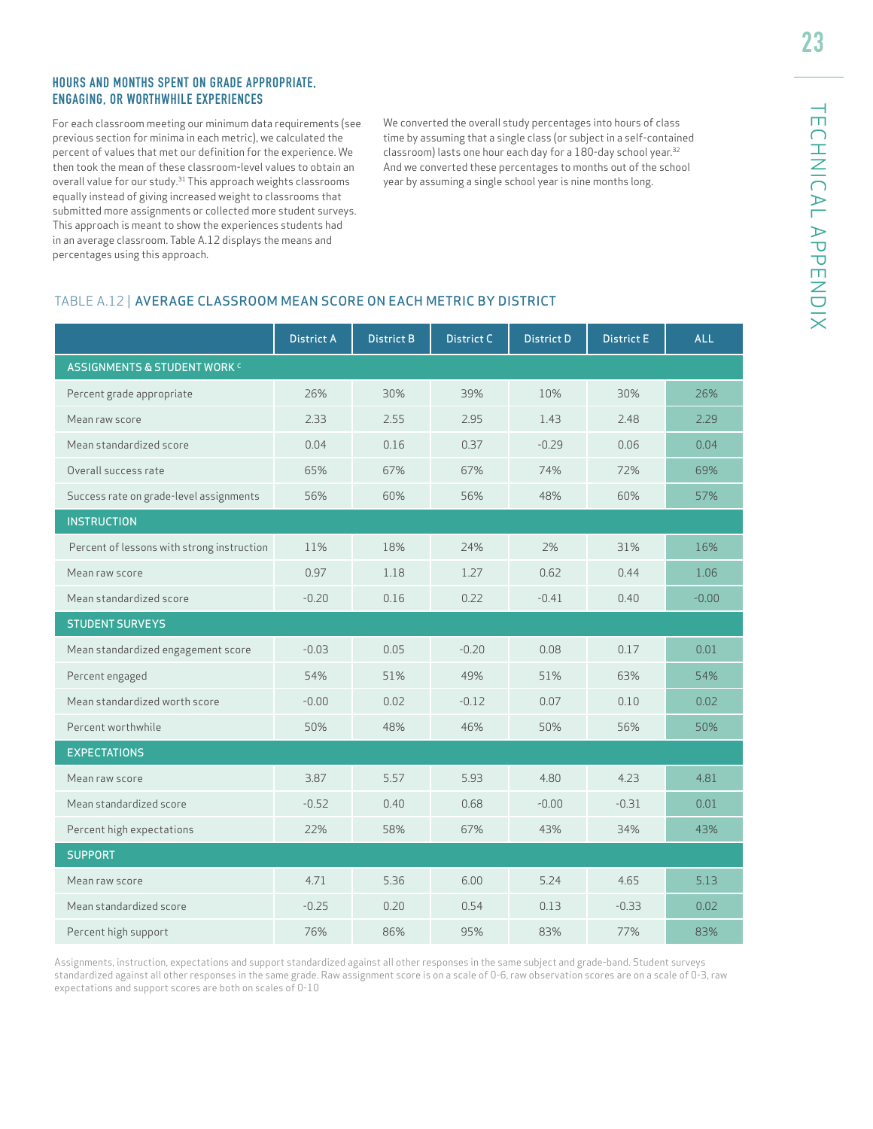#### HOURS AND MONTHS SPENT ON GRADE APPROPRIATE, ENGAGING, OR WORTHWHILE EXPERIENCES

For each classroom meeting our minimum data requirements (see previous section for minima in each metric), we calculated the percent of values that met our definition for the experience. We then took the mean of these classroom-level values to obtain an overall value for our study.<sup>31</sup> This approach weights classrooms equally instead of giving increased weight to classrooms that submitted more assignments or collected more student surveys. This approach is meant to show the experiences students had in an average classroom. Table A.12 displays the means and percentages using this approach.

We converted the overall study percentages into hours of class time by assuming that a single class (or subject in a self-contained classroom) lasts one hour each day for a 180-day school year.32 And we converted these percentages to months out of the school year by assuming a single school year is nine months long.

#### TABLE A.12 | AVERAGE CLASSROOM MEAN SCORE ON EACH METRIC BY DISTRICT

|                                            | <b>District A</b> | <b>District B</b> | <b>District C</b> | <b>District D</b> | <b>District E</b> | <b>ALL</b> |
|--------------------------------------------|-------------------|-------------------|-------------------|-------------------|-------------------|------------|
| <b>ASSIGNMENTS &amp; STUDENT WORK C</b>    |                   |                   |                   |                   |                   |            |
| Percent grade appropriate                  | 26%               | 30%               | 39%               | 10%               | 30%               | 26%        |
| Mean raw score                             | 2.33              | 2.55              | 2.95              | 1.43              | 2.48              | 2.29       |
| Mean standardized score                    | 0.04              | 0.16              | 0.37              | $-0.29$           | 0.06              | 0.04       |
| Overall success rate                       | 65%               | 67%               | 67%               | 74%               | 72%               | 69%        |
| Success rate on grade-level assignments    | 56%               | 60%               | 56%               | 48%               | 60%               | 57%        |
| <b>INSTRUCTION</b>                         |                   |                   |                   |                   |                   |            |
| Percent of lessons with strong instruction | 11%               | 18%               | 24%               | 2%                | 31%               | 16%        |
| Mean raw score                             | 0.97              | 1.18              | 1.27              | 0.62              | 0.44              | 1.06       |
| Mean standardized score                    | $-0.20$           | 0.16              | 0.22              | $-0.41$           | 0.40              | $-0.00$    |
| <b>STUDENT SURVEYS</b>                     |                   |                   |                   |                   |                   |            |
| Mean standardized engagement score         | $-0.03$           | 0.05              | $-0.20$           | 0.08              | 0.17              | 0.01       |
| Percent engaged                            | 54%               | 51%               | 49%               | 51%               | 63%               | 54%        |
| Mean standardized worth score              | $-0.00$           | 0.02              | $-0.12$           | 0.07              | 0.10              | 0.02       |
| Percent worthwhile                         | 50%               | 48%               | 46%               | 50%               | 56%               | 50%        |
| <b>EXPECTATIONS</b>                        |                   |                   |                   |                   |                   |            |
| Mean raw score                             | 3.87              | 5.57              | 5.93              | 4.80              | 4.23              | 4.81       |
| Mean standardized score                    | $-0.52$           | 0.40              | 0.68              | $-0.00$           | $-0.31$           | 0.01       |
| Percent high expectations                  | 22%               | 58%               | 67%               | 43%               | 34%               | 43%        |
| <b>SUPPORT</b>                             |                   |                   |                   |                   |                   |            |
| Mean raw score                             | 4.71              | 5.36              | 6.00              | 5.24              | 4.65              | 5.13       |
| Mean standardized score                    | $-0.25$           | 0.20              | 0.54              | 0.13              | $-0.33$           | 0.02       |
| Percent high support                       | 76%               | 86%               | 95%               | 83%               | 77%               | 83%        |

Assignments, instruction, expectations and support standardized against all other responses in the same subject and grade-band. Student surveys standardized against all other responses in the same grade. Raw assignment score is on a scale of 0-6, raw observation scores are on a scale of 0-3, raw expectations and support scores are both on scales of 0-10

23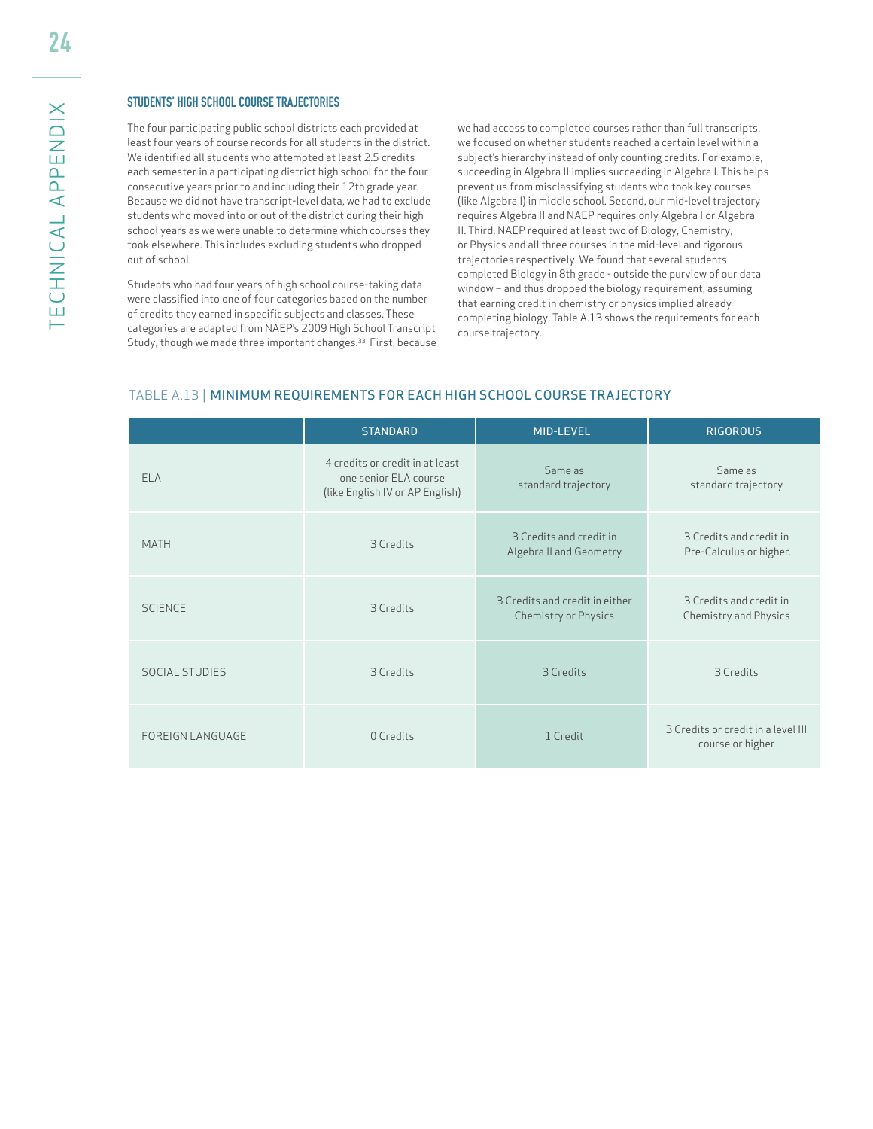#### STUDENTS' HIGH SCHOOL COURSE TRAJECTORIES

The four participating public school districts each provided at least four years of course records for all students in the district. We identified all students who attempted at least 2.5 credits each semester in a participating district high school for the four consecutive years prior to and including their 12th grade year. Because we did not have transcript-level data, we had to exclude students who moved into or out of the district during their high school years as we were unable to determine which courses they took elsewhere. This includes excluding students who dropped out of school.

Students who had four years of high school course-taking data were classified into one of four categories based on the number of credits they earned in specific subjects and classes. These categories are adapted from NAEP's 2009 High School Transcript Study, though we made three important changes.<sup>33</sup> First, because we had access to completed courses rather than full transcripts, we focused on whether students reached a certain level within a subject's hierarchy instead of only counting credits. For example, succeeding in Algebra II implies succeeding in Algebra I. This helps prevent us from misclassifying students who took key courses (like Algebra I) in middle school. Second, our mid-level trajectory requires Algebra II and NAEP requires only Algebra I or Algebra II. Third, NAEP required at least two of Biology, Chemistry, or Physics and all three courses in the mid-level and rigorous trajectories respectively. We found that several students completed Biology in 8th grade - outside the purview of our data window – and thus dropped the biology requirement, assuming that earning credit in chemistry or physics implied already completing biology. Table A.13 shows the requirements for each course trajectory.

#### TABLE A.13 | MINIMUM REQUIREMENTS FOR EACH HIGH SCHOOL COURSE TRAJECTORY

|                         | <b>STANDARD</b>                                                                             | <b>MID-LEVEL</b>                                       | <b>RIGOROUS</b>                                        |
|-------------------------|---------------------------------------------------------------------------------------------|--------------------------------------------------------|--------------------------------------------------------|
| ELA                     | 4 credits or credit in at least<br>one senior ELA course<br>(like English IV or AP English) | Same as<br>standard trajectory                         | Same as<br>standard trajectory                         |
| <b>MATH</b>             | 3 Credits                                                                                   | 3 Credits and credit in<br>Algebra II and Geometry     | 3 Credits and credit in<br>Pre-Calculus or higher.     |
| <b>SCIENCE</b>          | 3 Credits                                                                                   | 3 Credits and credit in either<br>Chemistry or Physics | 3 Credits and credit in<br>Chemistry and Physics       |
| <b>SOCIAL STUDIES</b>   | 3 Credits                                                                                   | 3 Credits                                              | 3 Credits                                              |
| <b>FOREIGN LANGUAGE</b> | 0 Credits                                                                                   | 1 Credit                                               | 3 Credits or credit in a level III<br>course or higher |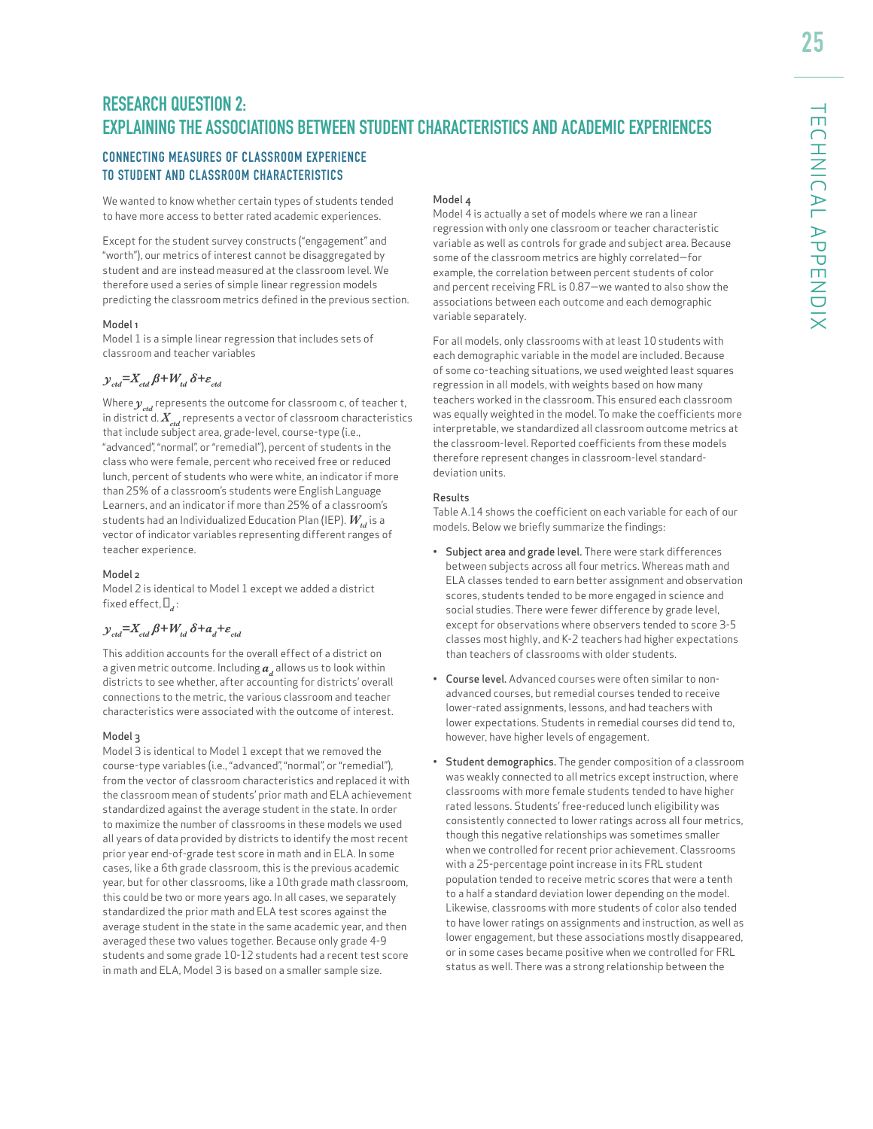# **RESEARCH QUESTION 2: EXPLAINING THE ASSOCIATIONS BETWEEN STUDENT CHARACTERISTICS AND ACADEMIC EXPERIENCES**

#### CONNECTING MEASURES OF CLASSROOM EXPERIENCE TO STUDENT AND CLASSROOM CHARACTERISTICS

We wanted to know whether certain types of students tended to have more access to better rated academic experiences.

Except for the student survey constructs ("engagement" and "worth"), our metrics of interest cannot be disaggregated by student and are instead measured at the classroom level. We therefore used a series of simple linear regression models predicting the classroom metrics defined in the previous section.

#### Model 1

Model 1 is a simple linear regression that includes sets of classroom and teacher variables

#### $y_{\text{cd}} = X_{\text{cd}} \beta + W_{\text{td}} \delta + \varepsilon_{\text{cd}}$

Where  $y_{\text{ref}}$  represents the outcome for classroom c, of teacher t, in district d.  $X_{\text{ref}}$  represents a vector of classroom characteristics that include subject area, grade-level, course-type (i.e., "advanced", "normal", or "remedial"), percent of students in the class who were female, percent who received free or reduced lunch, percent of students who were white, an indicator if more than 25% of a classroom's students were English Language Learners, and an indicator if more than 25% of a classroom's students had an Individualized Education Plan (IEP).  $W_{i,d}$  is a vector of indicator variables representing different ranges of teacher experience.

#### Model 2

Model 2 is identical to Model 1 except we added a district fixed effect,  $\Box$ ,:

#### $y_{\text{std}} = X_{\text{std}} \beta + W_{\text{td}} \delta + a_{\text{d}} + \varepsilon_{\text{std}}$

This addition accounts for the overall effect of a district on a given metric outcome. Including  $a<sub>x</sub>$  allows us to look within districts to see whether, after accounting for districts' overall connections to the metric, the various classroom and teacher characteristics were associated with the outcome of interest.

#### Model 3

Model 3 is identical to Model 1 except that we removed the course-type variables (i.e., "advanced", "normal", or "remedial"), from the vector of classroom characteristics and replaced it with the classroom mean of students' prior math and ELA achievement standardized against the average student in the state. In order to maximize the number of classrooms in these models we used all years of data provided by districts to identify the most recent prior year end-of-grade test score in math and in ELA. In some cases, like a 6th grade classroom, this is the previous academic year, but for other classrooms, like a 10th grade math classroom, this could be two or more years ago. In all cases, we separately standardized the prior math and ELA test scores against the average student in the state in the same academic year, and then averaged these two values together. Because only grade 4-9 students and some grade 10-12 students had a recent test score in math and ELA, Model 3 is based on a smaller sample size.

#### Model 4

Model 4 is actually a set of models where we ran a linear regression with only one classroom or teacher characteristic variable as well as controls for grade and subject area. Because some of the classroom metrics are highly correlated—for example, the correlation between percent students of color and percent receiving FRL is 0.87—we wanted to also show the associations between each outcome and each demographic variable separately.

For all models, only classrooms with at least 10 students with each demographic variable in the model are included. Because of some co-teaching situations, we used weighted least squares regression in all models, with weights based on how many teachers worked in the classroom. This ensured each classroom was equally weighted in the model. To make the coefficients more interpretable, we standardized all classroom outcome metrics at the classroom-level. Reported coefficients from these models therefore represent changes in classroom-level standarddeviation units.

#### Results

Table A.14 shows the coefficient on each variable for each of our models. Below we briefly summarize the findings:

- Subject area and grade level. There were stark differences between subjects across all four metrics. Whereas math and ELA classes tended to earn better assignment and observation scores, students tended to be more engaged in science and social studies. There were fewer difference by grade level, except for observations where observers tended to score 3-5 classes most highly, and K-2 teachers had higher expectations than teachers of classrooms with older students.
- Course level. Advanced courses were often similar to nonadvanced courses, but remedial courses tended to receive lower-rated assignments, lessons, and had teachers with lower expectations. Students in remedial courses did tend to, however, have higher levels of engagement.
- Student demographics. The gender composition of a classroom was weakly connected to all metrics except instruction, where classrooms with more female students tended to have higher rated lessons. Students' free-reduced lunch eligibility was consistently connected to lower ratings across all four metrics, though this negative relationships was sometimes smaller when we controlled for recent prior achievement. Classrooms with a 25-percentage point increase in its FRL student population tended to receive metric scores that were a tenth to a half a standard deviation lower depending on the model. Likewise, classrooms with more students of color also tended to have lower ratings on assignments and instruction, as well as lower engagement, but these associations mostly disappeared, or in some cases became positive when we controlled for FRL status as well. There was a strong relationship between the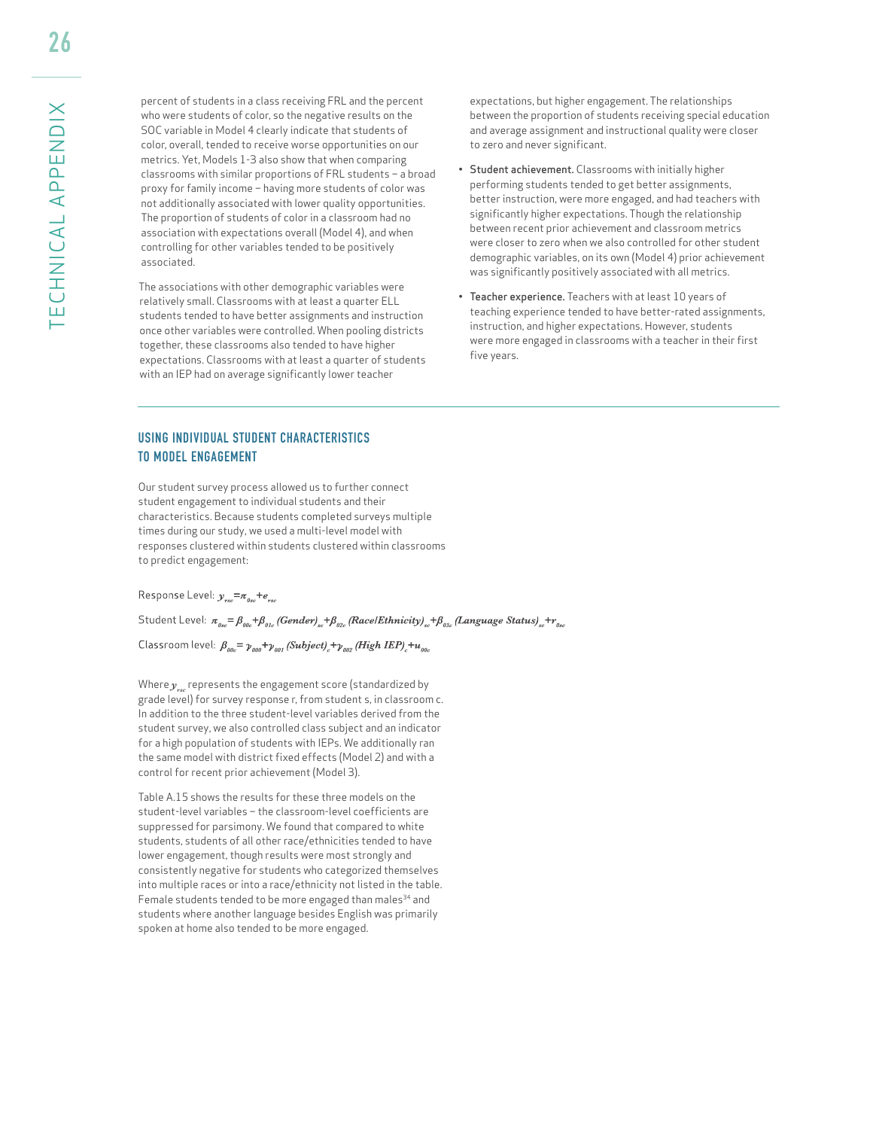percent of students in a class receiving FRL and the percent who were students of color, so the negative results on the SOC variable in Model 4 clearly indicate that students of color, overall, tended to receive worse opportunities on our metrics. Yet, Models 1-3 also show that when comparing classrooms with similar proportions of FRL students – a broad proxy for family income – having more students of color was not additionally associated with lower quality opportunities. The proportion of students of color in a classroom had no association with expectations overall (Model 4), and when controlling for other variables tended to be positively associated.

 The associations with other demographic variables were relatively small. Classrooms with at least a quarter ELL students tended to have better assignments and instruction once other variables were controlled. When pooling districts together, these classrooms also tended to have higher expectations. Classrooms with at least a quarter of students with an IEP had on average significantly lower teacher

expectations, but higher engagement. The relationships between the proportion of students receiving special education and average assignment and instructional quality were closer to zero and never significant.

- Student achievement. Classrooms with initially higher performing students tended to get better assignments, better instruction, were more engaged, and had teachers with significantly higher expectations. Though the relationship between recent prior achievement and classroom metrics were closer to zero when we also controlled for other student demographic variables, on its own (Model 4) prior achievement was significantly positively associated with all metrics.
- Teacher experience. Teachers with at least 10 years of teaching experience tended to have better-rated assignments, instruction, and higher expectations. However, students were more engaged in classrooms with a teacher in their first five years.

#### USING INDIVIDUAL STUDENT CHARACTERISTICS TO MODEL ENGAGEMENT

Our student survey process allowed us to further connect student engagement to individual students and their characteristics. Because students completed surveys multiple times during our study, we used a multi-level model with responses clustered within students clustered within classrooms to predict engagement:

Response Level:  $y_{\text{rsc}} = \pi_{\text{gsc}} + e_{\text{rsc}}$ 

Student Level:  $\pi_{g_{\alpha\beta}} = \beta_{g_{\beta\alpha}} + \beta_{g_{\alpha\beta}}$  (Gender)<sub>ss</sub> +  $\beta_{g_{\alpha\beta}}$  (Race/Ethnicity)<sub>ss</sub> +  $\beta_{g_{\alpha\beta}}$  (Language Status)<sub>ss</sub> +  $r_{g_{\alpha\beta}}$ 

Classroom level:  $\beta_{\scriptscriptstyle{\theta0c}} = \gamma_{\scriptscriptstyle{\theta00}} + \gamma_{\scriptscriptstyle{\theta01}}$  (Subject)<sub>c</sub>+ $\gamma_{\scriptscriptstyle{\theta02}}$  (High IEP)<sub>c</sub>+u<sub>00c</sub>

Where  $\gamma$ <sub>scarr</sub>e represents the engagement score (standardized by grade level) for survey response r, from student s, in classroom c. In addition to the three student-level variables derived from the student survey, we also controlled class subject and an indicator for a high population of students with IEPs. We additionally ran the same model with district fixed effects (Model 2) and with a control for recent prior achievement (Model 3).

Table A.15 shows the results for these three models on the student-level variables – the classroom-level coefficients are suppressed for parsimony. We found that compared to white students, students of all other race/ethnicities tended to have lower engagement, though results were most strongly and consistently negative for students who categorized themselves into multiple races or into a race/ethnicity not listed in the table. Female students tended to be more engaged than males<sup>34</sup> and students where another language besides English was primarily spoken at home also tended to be more engaged.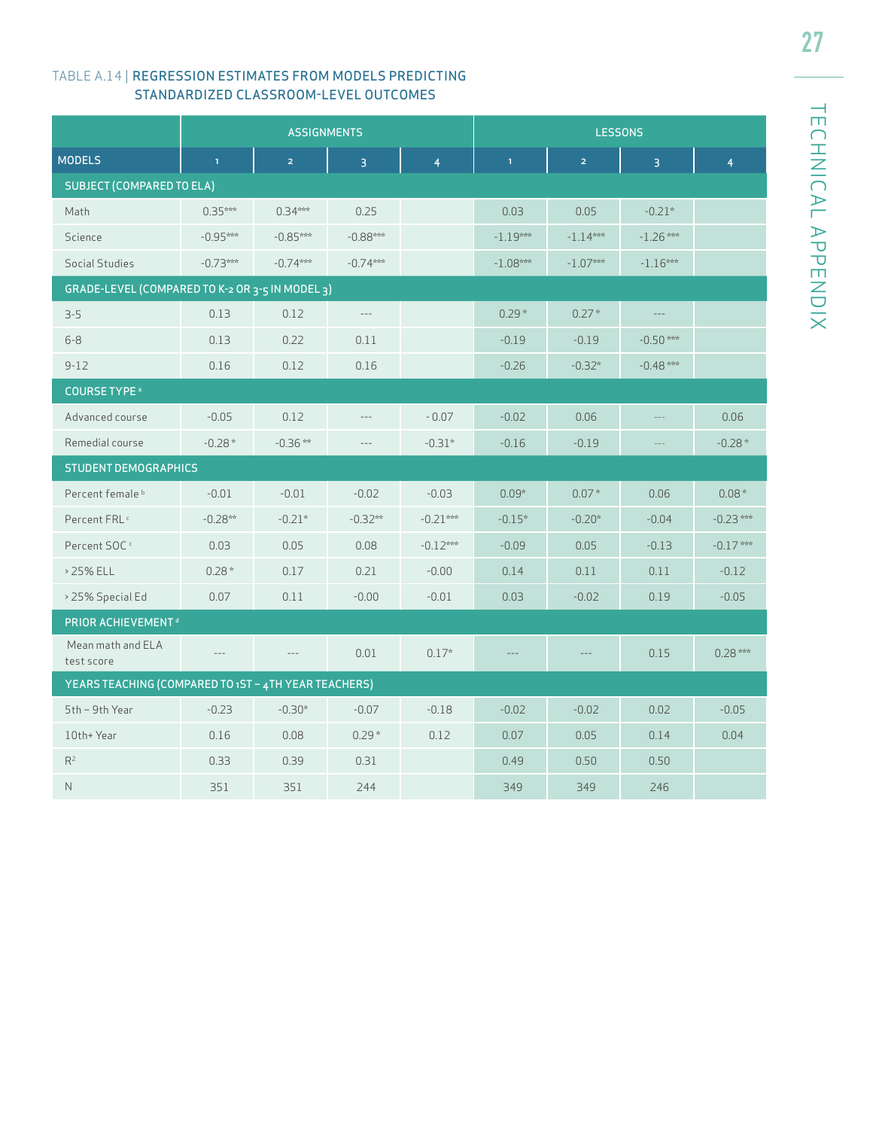#### TABLE A.14 | REGRESSION ESTIMATES FROM MODELS PREDICTING STANDARDIZED CLASSROOM-LEVEL OUTCOMES

|                                                      |              | <b>ASSIGNMENTS</b> |                |                |              | <b>LESSONS</b> |                   |                |
|------------------------------------------------------|--------------|--------------------|----------------|----------------|--------------|----------------|-------------------|----------------|
| <b>MODELS</b>                                        | $\mathbf{1}$ | $\overline{2}$     | $\overline{3}$ | $\overline{4}$ | $\mathbf{1}$ | $\overline{2}$ | $\overline{3}$    | $\overline{4}$ |
| <b>SUBJECT (COMPARED TO ELA)</b>                     |              |                    |                |                |              |                |                   |                |
| Math                                                 | $0.35***$    | $0.34***$          | 0.25           |                | 0.03         | 0.05           | $-0.21*$          |                |
| Science                                              | $-0.95***$   | $-0.85***$         | $-0.88***$     |                | $-1.19***$   | $-1.14***$     | $-1.26$ ***       |                |
| Social Studies                                       | $-0.73***$   | $-0.74***$         | $-0.74***$     |                | $-1.08***$   | $-1.07***$     | $-1.16***$        |                |
| GRADE-LEVEL (COMPARED TO K-2 OR 3-5 IN MODEL 3)      |              |                    |                |                |              |                |                   |                |
| $3 - 5$                                              | 0.13         | 0.12               | $\cdots$       |                | $0.29*$      | $0.27*$        | $---$             |                |
| $6 - 8$                                              | 0.13         | 0.22               | 0.11           |                | $-0.19$      | $-0.19$        | $-0.50$ ***       |                |
| $9 - 12$                                             | 0.16         | 0.12               | 0.16           |                | $-0.26$      | $-0.32*$       | $-0.48***$        |                |
| <b>COURSE TYPE</b> <sup>®</sup>                      |              |                    |                |                |              |                |                   |                |
| Advanced course                                      | $-0.05$      | 0.12               | $\cdots$       | $-0.07$        | $-0.02$      | 0.06           | $\cdots$ $\cdots$ | 0.06           |
| Remedial course                                      | $-0.28*$     | $-0.36**$          | $-\, -\, -$    | $-0.31*$       | $-0.16$      | $-0.19$        | $\cdots$ $\cdots$ | $-0.28*$       |
| <b>STUDENT DEMOGRAPHICS</b>                          |              |                    |                |                |              |                |                   |                |
| Percent female <sup>b</sup>                          | $-0.01$      | $-0.01$            | $-0.02$        | $-0.03$        | $0.09*$      | $0.07*$        | 0.06              | $0.08 *$       |
| Percent FRL <sup>c</sup>                             | $-0.28**$    | $-0.21*$           | $-0.32***$     | $-0.21***$     | $-0.15*$     | $-0.20*$       | $-0.04$           | $-0.23$ ***    |
| Percent SOC <sup>c</sup>                             | 0.03         | 0.05               | 0.08           | $-0.12***$     | $-0.09$      | 0.05           | $-0.13$           | $-0.17***$     |
| > 25% ELL                                            | $0.28*$      | 0.17               | 0.21           | $-0.00$        | 0.14         | 0.11           | 0.11              | $-0.12$        |
| > 25% Special Ed                                     | 0.07         | 0.11               | $-0.00$        | $-0.01$        | 0.03         | $-0.02$        | 0.19              | $-0.05$        |
| PRIOR ACHIEVEMENT <sup>d</sup>                       |              |                    |                |                |              |                |                   |                |
| Mean math and ELA<br>test score                      | $\cdots$     | $- - -$            | 0.01           | $0.17*$        |              |                | 0.15              | $0.28***$      |
| YEARS TEACHING (COMPARED TO 1ST - 4TH YEAR TEACHERS) |              |                    |                |                |              |                |                   |                |
| 5th - 9th Year                                       | $-0.23$      | $-0.30*$           | $-0.07$        | $-0.18$        | $-0.02$      | $-0.02$        | 0.02              | $-0.05$        |
| 10th+Year                                            | 0.16         | 0.08               | $0.29*$        | 0.12           | 0.07         | 0.05           | 0.14              | 0.04           |
| R <sup>2</sup>                                       | 0.33         | 0.39               | 0.31           |                | 0.49         | 0.50           | 0.50              |                |
| N                                                    | 351          | 351                | 244            |                | 349          | 349            | 246               |                |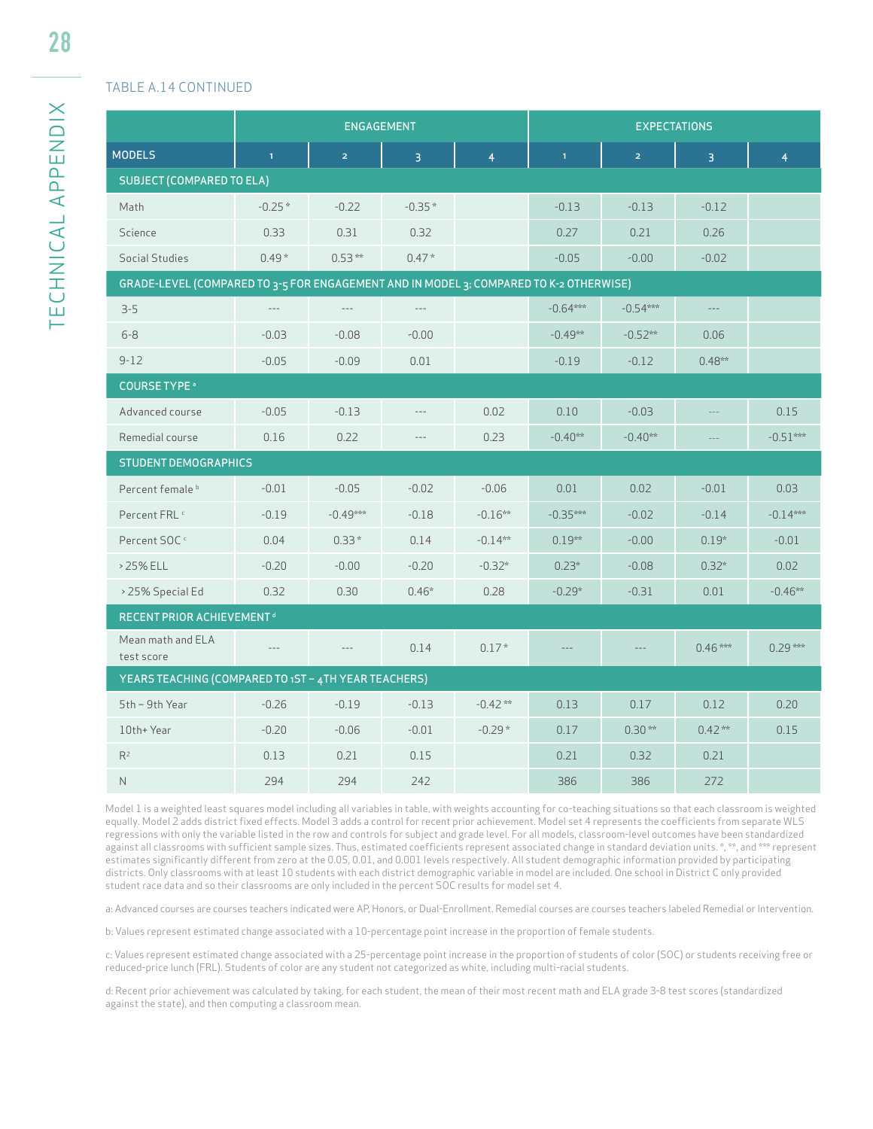#### TABLE A.14 CONTINUED

|                                                                                        |              | ENGAGEMENT          |                |                | <b>EXPECTATIONS</b> |                |                |                |  |  |
|----------------------------------------------------------------------------------------|--------------|---------------------|----------------|----------------|---------------------|----------------|----------------|----------------|--|--|
| <b>MODELS</b>                                                                          | $\mathbf{1}$ | $\overline{2}$      | $\overline{3}$ | $\overline{4}$ | $\mathbf{1}$        | $\overline{2}$ | $\overline{3}$ | $\overline{4}$ |  |  |
| <b>SUBJECT (COMPARED TO ELA)</b>                                                       |              |                     |                |                |                     |                |                |                |  |  |
| Math                                                                                   | $-0.25*$     | $-0.22$             | $-0.35*$       |                | $-0.13$             | $-0.13$        | $-0.12$        |                |  |  |
| Science                                                                                | 0.33         | 0.31                | 0.32           |                | 0.27                | 0.21           | 0.26           |                |  |  |
| Social Studies                                                                         | $0.49*$      | $0.53***$           | $0.47*$        |                | $-0.05$             | $-0.00$        | $-0.02$        |                |  |  |
| GRADE-LEVEL (COMPARED TO 3-5 FOR ENGAGEMENT AND IN MODEL 3; COMPARED TO K-2 OTHERWISE) |              |                     |                |                |                     |                |                |                |  |  |
| $3 - 5$                                                                                | $-\, -\, -$  | $\cdots$            | $\cdots$       |                | $-0.64***$          | $-0.54***$     | $--\,$         |                |  |  |
| $6 - 8$                                                                                | $-0.03$      | $-0.08$             | $-0.00$        |                | $-0.49***$          | $-0.52**$      | 0.06           |                |  |  |
| $9 - 12$                                                                               | $-0.05$      | $-0.09$             | 0.01           |                | $-0.19$             | $-0.12$        | $0.48***$      |                |  |  |
| <b>COURSE TYPE</b> <sup>a</sup>                                                        |              |                     |                |                |                     |                |                |                |  |  |
| Advanced course                                                                        | $-0.05$      | $-0.13$             | $---$          | 0.02           | 0.10                | $-0.03$        |                | 0.15           |  |  |
| Remedial course                                                                        | 0.16         | 0.22                | $\cdots$       | 0.23           | $-0.40**$           | $-0.40**$      | $\cdots$       | $-0.51***$     |  |  |
| <b>STUDENT DEMOGRAPHICS</b>                                                            |              |                     |                |                |                     |                |                |                |  |  |
| Percent female <sup>b</sup>                                                            | $-0.01$      | $-0.05$             | $-0.02$        | $-0.06$        | 0.01                | 0.02           | $-0.01$        | 0.03           |  |  |
| Percent FRL <sup>c</sup>                                                               | $-0.19$      | $-0.49***$          | $-0.18$        | $-0.16**$      | $-0.35***$          | $-0.02$        | $-0.14$        | $-0.14***$     |  |  |
| Percent SOC <sup>c</sup>                                                               | 0.04         | $0.33*$             | 0.14           | $-0.14***$     | $0.19***$           | $-0.00$        | $0.19*$        | $-0.01$        |  |  |
| > 25% ELL                                                                              | $-0.20$      | $-0.00$             | $-0.20$        | $-0.32*$       | $0.23*$             | $-0.08$        | $0.32*$        | 0.02           |  |  |
| > 25% Special Ed                                                                       | 0.32         | 0.30                | $0.46*$        | 0.28           | $-0.29*$            | $-0.31$        | 0.01           | $-0.46***$     |  |  |
| <b>RECENT PRIOR ACHIEVEMENT<sup>d</sup></b>                                            |              |                     |                |                |                     |                |                |                |  |  |
| Mean math and ELA<br>test score                                                        | $---$        | $\qquad \qquad - -$ | 0.14           | $0.17*$        |                     |                | $0.46***$      | $0.29***$      |  |  |
| YEARS TEACHING (COMPARED TO 1ST - 4TH YEAR TEACHERS)                                   |              |                     |                |                |                     |                |                |                |  |  |
| 5th - 9th Year                                                                         | $-0.26$      | $-0.19$             | $-0.13$        | $-0.42**$      | 0.13                | 0.17           | 0.12           | 0.20           |  |  |
| 10th+ Year                                                                             | $-0.20$      | $-0.06$             | $-0.01$        | $-0.29*$       | 0.17                | $0.30**$       | $0.42***$      | 0.15           |  |  |
| $R^2$                                                                                  | 0.13         | 0.21                | 0.15           |                | 0.21                | 0.32           | 0.21           |                |  |  |
| $\mathsf{N}$                                                                           | 294          | 294                 | 242            |                | 386                 | 386            | 272            |                |  |  |

Model 1 is a weighted least squares model including all variables in table, with weights accounting for co-teaching situations so that each classroom is weighted equally. Model 2 adds district fixed effects. Model 3 adds a control for recent prior achievement. Model set 4 represents the coefficients from separate WLS regressions with only the variable listed in the row and controls for subject and grade level. For all models, classroom-level outcomes have been standardized against all classrooms with sufficient sample sizes. Thus, estimated coefficients represent associated change in standard deviation units. \*, \*\*, and \*\*\* represent estimates significantly different from zero at the 0.05, 0.01, and 0.001 levels respectively. All student demographic information provided by participating districts. Only classrooms with at least 10 students with each district demographic variable in model are included. One school in District C only provided student race data and so their classrooms are only included in the percent SOC results for model set 4.

a: Advanced courses are courses teachers indicated were AP, Honors, or Dual-Enrollment. Remedial courses are courses teachers labeled Remedial or Intervention.

b: Values represent estimated change associated with a 10-percentage point increase in the proportion of female students.

c: Values represent estimated change associated with a 25-percentage point increase in the proportion of students of color (SOC) or students receiving free or reduced-price lunch (FRL). Students of color are any student not categorized as white, including multi-racial students.

d: Recent prior achievement was calculated by taking, for each student, the mean of their most recent math and ELA grade 3-8 test scores (standardized against the state), and then computing a classroom mean.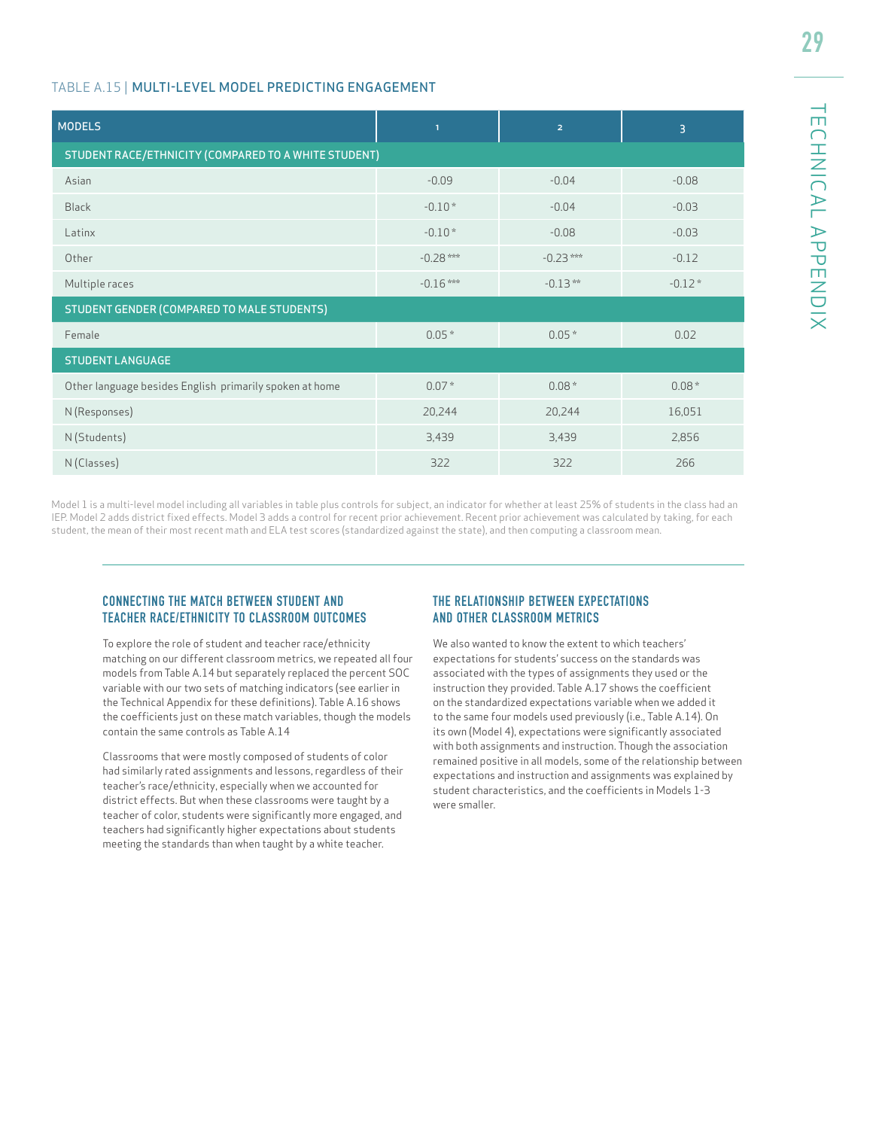#### TABLE A.15 | MULTI-LEVEL MODEL PREDICTING ENGAGEMENT

| <b>MODELS</b>                                           | $\mathbf{1}$ | $\overline{2}$ | 3        |
|---------------------------------------------------------|--------------|----------------|----------|
| STUDENT RACE/ETHNICITY (COMPARED TO A WHITE STUDENT)    |              |                |          |
| Asian                                                   | $-0.09$      | $-0.04$        | $-0.08$  |
| <b>Black</b>                                            | $-0.10*$     | $-0.04$        | $-0.03$  |
| Latinx                                                  | $-0.10*$     | $-0.08$        | $-0.03$  |
| Other                                                   | $-0.28$ ***  | $-0.23***$     | $-0.12$  |
| Multiple races                                          | $-0.16***$   | $-0.13***$     | $-0.12*$ |
| STUDENT GENDER (COMPARED TO MALE STUDENTS)              |              |                |          |
| Female                                                  | $0.05*$      | $0.05 *$       | 0.02     |
| <b>STUDENT LANGUAGE</b>                                 |              |                |          |
| Other language besides English primarily spoken at home | $0.07*$      | $0.08*$        | $0.08*$  |
| N (Responses)                                           | 20,244       | 20,244         | 16,051   |
| N (Students)                                            | 3,439        | 3,439          | 2,856    |
| N (Classes)                                             | 322          | 322            | 266      |

Model 1 is a multi-level model including all variables in table plus controls for subject, an indicator for whether at least 25% of students in the class had an IEP. Model 2 adds district fixed effects. Model 3 adds a control for recent prior achievement. Recent prior achievement was calculated by taking, for each student, the mean of their most recent math and ELA test scores (standardized against the state), and then computing a classroom mean.

#### CONNECTING THE MATCH BETWEEN STUDENT AND TEACHER RACE/ETHNICITY TO CLASSROOM OUTCOMES

To explore the role of student and teacher race/ethnicity matching on our different classroom metrics, we repeated all four models from Table A.14 but separately replaced the percent SOC variable with our two sets of matching indicators (see earlier in the Technical Appendix for these definitions). Table A.16 shows the coefficients just on these match variables, though the models contain the same controls as Table A.14

Classrooms that were mostly composed of students of color had similarly rated assignments and lessons, regardless of their teacher's race/ethnicity, especially when we accounted for district effects. But when these classrooms were taught by a teacher of color, students were significantly more engaged, and teachers had significantly higher expectations about students meeting the standards than when taught by a white teacher.

#### THE RELATIONSHIP BETWEEN EXPECTATIONS AND OTHER CLASSROOM METRICS

We also wanted to know the extent to which teachers' expectations for students' success on the standards was associated with the types of assignments they used or the instruction they provided. Table A.17 shows the coefficient on the standardized expectations variable when we added it to the same four models used previously (i.e., Table A.14). On its own (Model 4), expectations were significantly associated with both assignments and instruction. Though the association remained positive in all models, some of the relationship between expectations and instruction and assignments was explained by student characteristics, and the coefficients in Models 1-3 were smaller.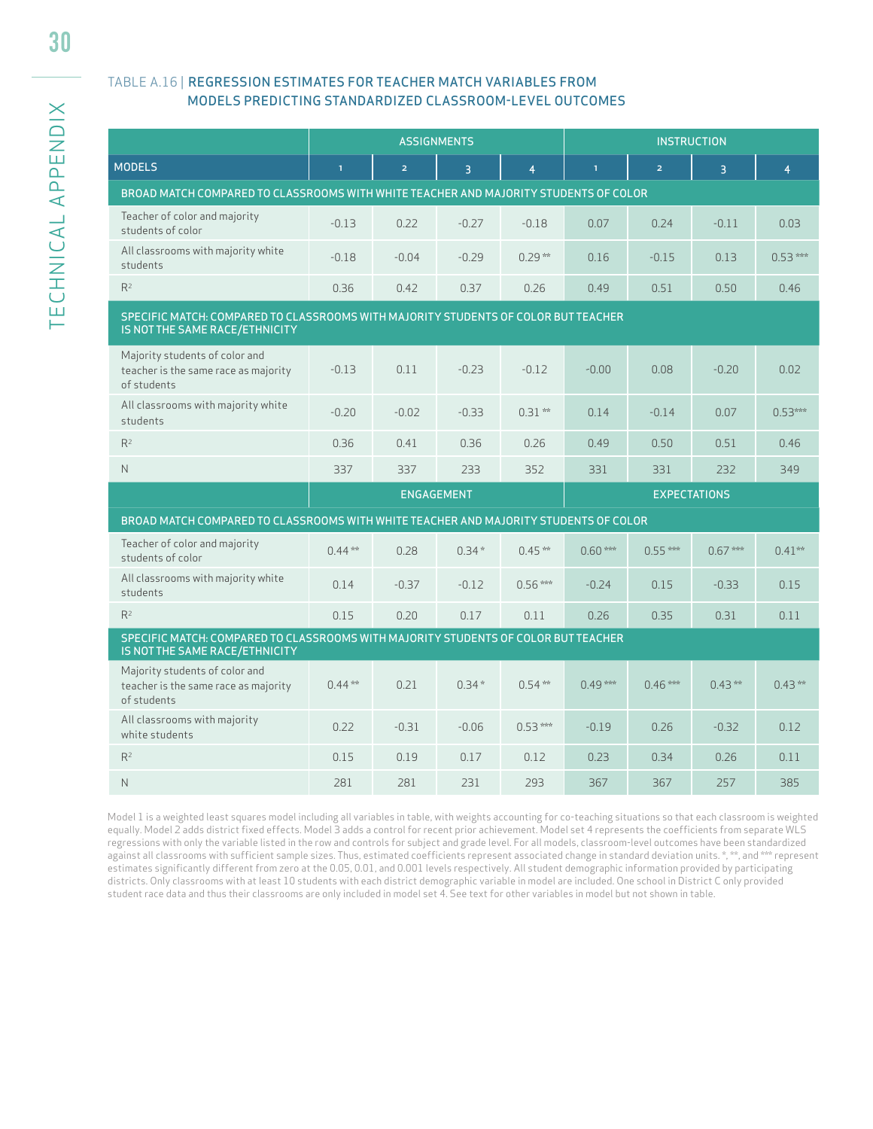#### TABLE A.16 | REGRESSION ESTIMATES FOR TEACHER MATCH VARIABLES FROM MODELS PREDICTING STANDARDIZED CLASSROOM-LEVEL OUTCOMES

|                                                                                                                      |              |                | <b>ASSIGNMENTS</b> |                |              |                | <b>INSTRUCTION</b>  |                |
|----------------------------------------------------------------------------------------------------------------------|--------------|----------------|--------------------|----------------|--------------|----------------|---------------------|----------------|
| <b>MODELS</b>                                                                                                        | $\mathbf{1}$ | $\overline{2}$ | $\overline{3}$     | $\overline{4}$ | $\mathbf{1}$ | $\overline{2}$ | $\overline{3}$      | $\overline{4}$ |
| BROAD MATCH COMPARED TO CLASSROOMS WITH WHITE TEACHER AND MAJORITY STUDENTS OF COLOR                                 |              |                |                    |                |              |                |                     |                |
| Teacher of color and majority<br>students of color                                                                   | $-0.13$      | 0.22           | $-0.27$            | $-0.18$        | 0.07         | 0.24           | $-0.11$             | 0.03           |
| All classrooms with majority white<br>students                                                                       | $-0.18$      | $-0.04$        | $-0.29$            | $0.29***$      | 0.16         | $-0.15$        | 0.13                | $0.53***$      |
| $R^2$                                                                                                                | 0.36         | 0.42           | 0.37               | 0.26           | 0.49         | 0.51           | 0.50                | 0.46           |
| SPECIFIC MATCH: COMPARED TO CLASSROOMS WITH MAJORITY STUDENTS OF COLOR BUT TEACHER<br>IS NOT THE SAME RACE/ETHNICITY |              |                |                    |                |              |                |                     |                |
| Majority students of color and<br>teacher is the same race as majority<br>of students                                | $-0.13$      | 0.11           | $-0.23$            | $-0.12$        | $-0.00$      | 0.08           | $-0.20$             | 0.02           |
| All classrooms with majority white<br>students                                                                       | $-0.20$      | $-0.02$        | $-0.33$            | $0.31**$       | 0.14         | $-0.14$        | 0.07                | $0.53***$      |
| R <sup>2</sup>                                                                                                       | 0.36         | 0.41           | 0.36               | 0.26           | 0.49         | 0.50           | 0.51                | 0.46           |
| N                                                                                                                    | 337          | 337            | 233                | 352            | 331          | 331            | 232                 | 349            |
|                                                                                                                      |              |                | <b>ENGAGEMENT</b>  |                |              |                | <b>EXPECTATIONS</b> |                |
| BROAD MATCH COMPARED TO CLASSROOMS WITH WHITE TEACHER AND MAJORITY STUDENTS OF COLOR                                 |              |                |                    |                |              |                |                     |                |
| Teacher of color and majority<br>students of color                                                                   | $0.44***$    | 0.28           | $0.34*$            | $0.45***$      | $0.60***$    | $0.55***$      | $0.67***$           | $0.41**$       |
| All classrooms with majority white<br>students                                                                       | 0.14         | $-0.37$        | $-0.12$            | $0.56***$      | $-0.24$      | 0.15           | $-0.33$             | 0.15           |
| $R^2$                                                                                                                | 0.15         | 0.20           | 0.17               | 0.11           | 0.26         | 0.35           | 0.31                | 0.11           |
| SPECIFIC MATCH: COMPARED TO CLASSROOMS WITH MAJORITY STUDENTS OF COLOR BUT TEACHER<br>IS NOT THE SAME RACE/ETHNICITY |              |                |                    |                |              |                |                     |                |
| Majority students of color and<br>teacher is the same race as majority<br>of students                                | $0.44***$    | 0.21           | $0.34*$            | $0.54***$      | $0.49***$    | $0.46***$      | $0.43***$           | $0.43***$      |
| All classrooms with majority<br>white students                                                                       | 0.22         | $-0.31$        | $-0.06$            | $0.53***$      | $-0.19$      | 0.26           | $-0.32$             | 0.12           |
| R <sup>2</sup>                                                                                                       | 0.15         | 0.19           | 0.17               | 0.12           | 0.23         | 0.34           | 0.26                | 0.11           |
| N                                                                                                                    | 281          | 281            | 231                | 293            | 367          | 367            | 257                 | 385            |

Model 1 is a weighted least squares model including all variables in table, with weights accounting for co-teaching situations so that each classroom is weighted equally. Model 2 adds district fixed effects. Model 3 adds a control for recent prior achievement. Model set 4 represents the coefficients from separate WLS regressions with only the variable listed in the row and controls for subject and grade level. For all models, classroom-level outcomes have been standardized against all classrooms with sufficient sample sizes. Thus, estimated coefficients represent associated change in standard deviation units. \*, \*\*, and \*\*\* represent estimates significantly different from zero at the 0.05, 0.01, and 0.001 levels respectively. All student demographic information provided by participating districts. Only classrooms with at least 10 students with each district demographic variable in model are included. One school in District C only provided student race data and thus their classrooms are only included in model set 4. See text for other variables in model but not shown in table.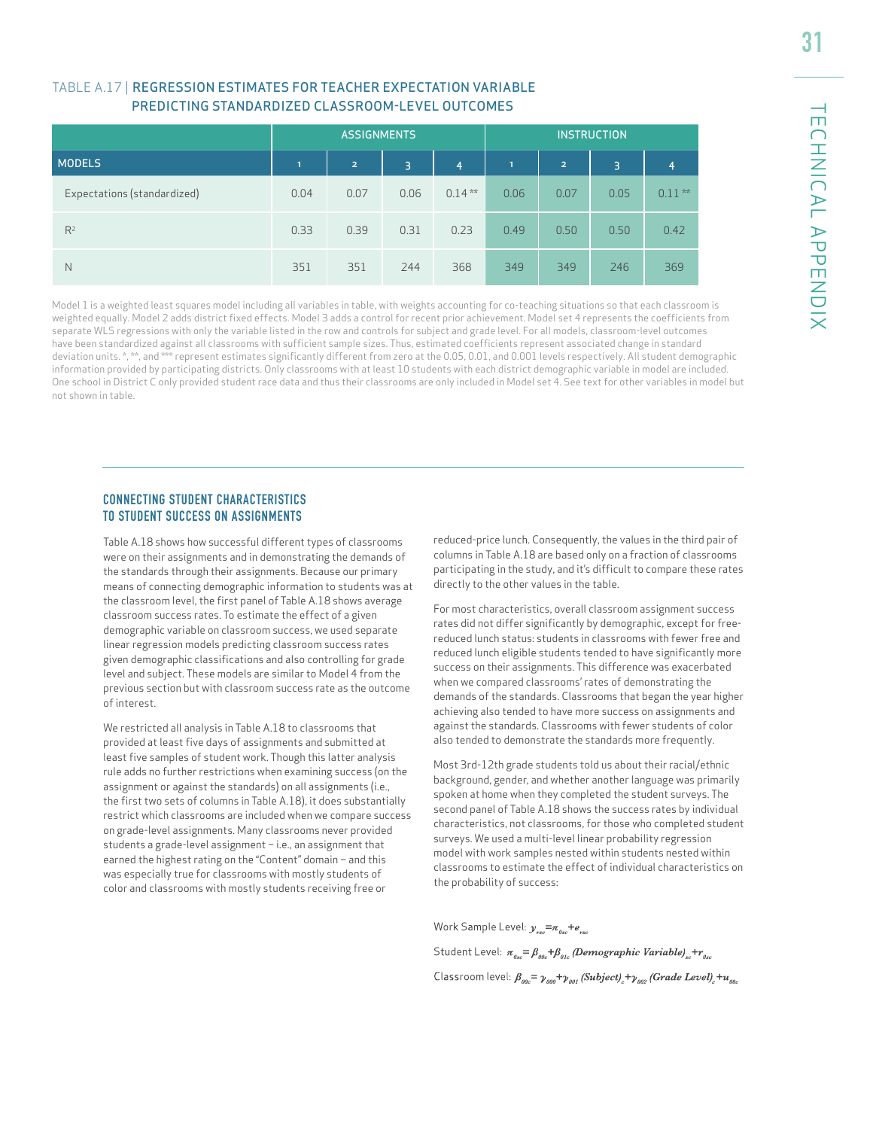#### TABLE A.17 | REGRESSION ESTIMATES FOR TEACHER EXPECTATION VARIABLE PREDICTING STANDARDIZED CLASSROOM-LEVEL OUTCOMES

|                             |      | <b>ASSIGNMENTS</b> |      |           | <b>INSTRUCTION</b> |                |      |           |
|-----------------------------|------|--------------------|------|-----------|--------------------|----------------|------|-----------|
| <b>MODELS</b>               | ٦.   | $\overline{2}$     | 3    | 4         | m                  | $\overline{2}$ | 3    | 4         |
| Expectations (standardized) | 0.04 | 0.07               | 0.06 | $0.14***$ | 0.06               | 0.07           | 0.05 | $0.11***$ |
| $R^2$                       | 0.33 | 0.39               | 0.31 | 0.23      | 0.49               | 0.50           | 0.50 | 0.42      |
| N                           | 351  | 351                | 244  | 368       | 349                | 349            | 246  | 369       |

Model 1 is a weighted least squares model including all variables in table, with weights accounting for co-teaching situations so that each classroom is weighted equally. Model 2 adds district fixed effects. Model 3 adds a control for recent prior achievement. Model set 4 represents the coefficients from separate WLS regressions with only the variable listed in the row and controls for subject and grade level. For all models, classroom-level outcomes have been standardized against all classrooms with sufficient sample sizes. Thus, estimated coefficients represent associated change in standard deviation units. \*, \*\*, and \*\*\* represent estimates significantly different from zero at the 0.05, 0.01, and 0.001 levels respectively. All student demographic information provided by participating districts. Only classrooms with at least 10 students with each district demographic variable in model are included. One school in District C only provided student race data and thus their classrooms are only included in Model set 4. See text for other variables in model but not shown in table.

#### CONNECTING STUDENT CHARACTERISTICS TO STUDENT SUCCESS ON ASSIGNMENTS

Table A.18 shows how successful different types of classrooms were on their assignments and in demonstrating the demands of the standards through their assignments. Because our primary means of connecting demographic information to students was at the classroom level, the first panel of Table A.18 shows average classroom success rates. To estimate the effect of a given demographic variable on classroom success, we used separate linear regression models predicting classroom success rates given demographic classifications and also controlling for grade level and subject. These models are similar to Model 4 from the previous section but with classroom success rate as the outcome of interest.

We restricted all analysis in Table A.18 to classrooms that provided at least five days of assignments and submitted at least five samples of student work. Though this latter analysis rule adds no further restrictions when examining success (on the assignment or against the standards) on all assignments (i.e., the first two sets of columns in Table A.18), it does substantially restrict which classrooms are included when we compare success on grade-level assignments. Many classrooms never provided students a grade-level assignment – i.e., an assignment that earned the highest rating on the "Content" domain – and this was especially true for classrooms with mostly students of color and classrooms with mostly students receiving free or

reduced-price lunch. Consequently, the values in the third pair of columns in Table A.18 are based only on a fraction of classrooms participating in the study, and it's difficult to compare these rates directly to the other values in the table.

For most characteristics, overall classroom assignment success rates did not differ significantly by demographic, except for freereduced lunch status: students in classrooms with fewer free and reduced lunch eligible students tended to have significantly more success on their assignments. This difference was exacerbated when we compared classrooms' rates of demonstrating the demands of the standards. Classrooms that began the year higher achieving also tended to have more success on assignments and against the standards. Classrooms with fewer students of color also tended to demonstrate the standards more frequently.

Most 3rd-12th grade students told us about their racial/ethnic background, gender, and whether another language was primarily spoken at home when they completed the student surveys. The second panel of Table A.18 shows the success rates by individual characteristics, not classrooms, for those who completed student surveys. We used a multi-level linear probability regression model with work samples nested within students nested within classrooms to estimate the effect of individual characteristics on the probability of success:

Work Sample Level:  $y_{\text{rsc}} = \pi_{\text{osc}} + e_{\text{rsc}}$ 

Student Level:  $\pi_{g_{\alpha\beta}} = \beta_{g_{\alpha\beta}} + \beta_{g_{\alpha\beta}}$  (Demographic Variable), +r<sub>gss</sub>

Classroom level:  $\beta_{\rho_{00}} = \gamma_{\rho_{00}} + \gamma_{\rho_{01}}$  (Subject)<sub>c</sub> +  $\gamma_{\rho_{02}}$  (Grade Level)<sub>c</sub> +  $u_{\rho_{00}}$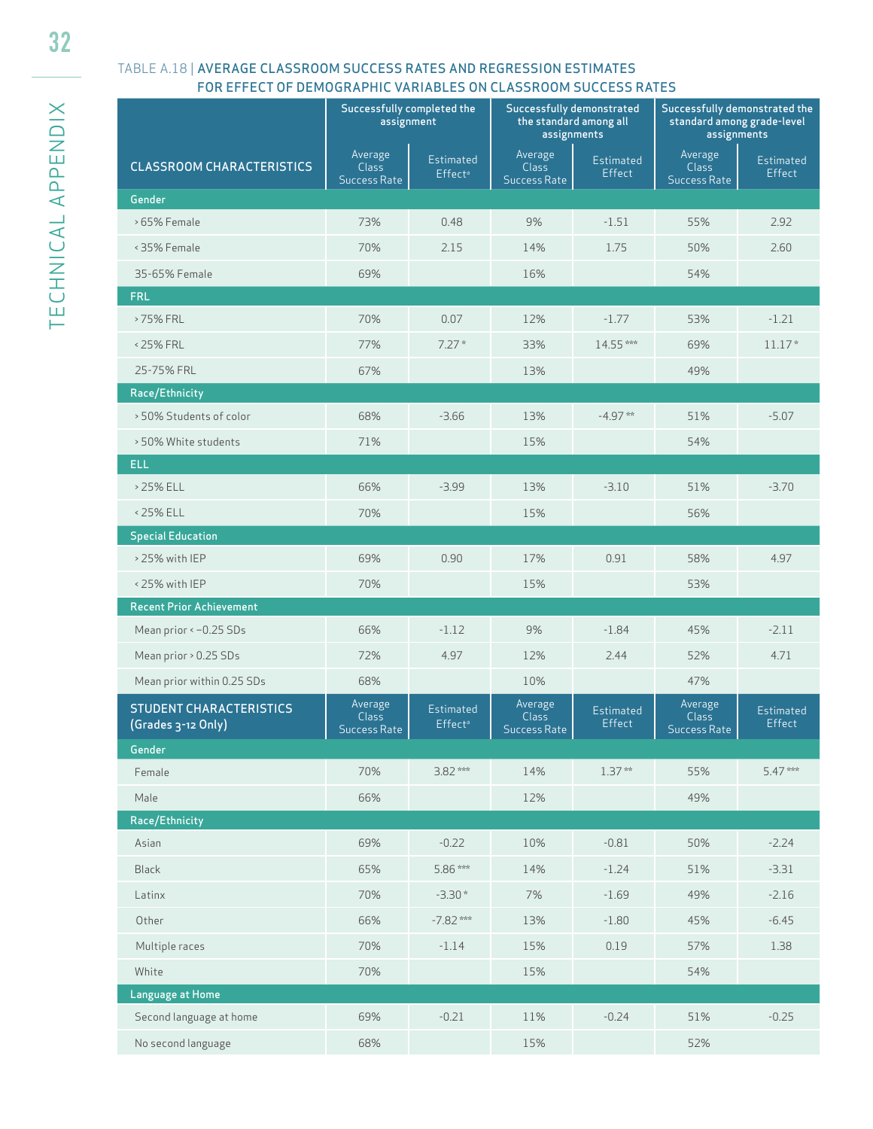### TABLE A.18 | AVERAGE CLASSROOM SUCCESS RATES AND REGRESSION ESTIMATES FOR EFFECT OF DEMOGRAPHIC VARIABLES ON CLASSROOM SUCCESS RATES

|                                                      | Successfully completed the<br>assignment       |                                         | Successfully demonstrated<br>the standard among all<br>assignments |                     | Successfully demonstrated the<br>standard among grade-level<br>assignments |                     |
|------------------------------------------------------|------------------------------------------------|-----------------------------------------|--------------------------------------------------------------------|---------------------|----------------------------------------------------------------------------|---------------------|
| <b>CLASSROOM CHARACTERISTICS</b>                     | Average<br><b>Class</b><br><b>Success Rate</b> | Estimated<br>Effect <sup>a</sup>        | Average<br><b>Class</b><br><b>Success Rate</b>                     | Estimated<br>Effect | Average<br><b>Class</b><br><b>Success Rate</b>                             | Estimated<br>Effect |
| Gender                                               |                                                |                                         |                                                                    |                     |                                                                            |                     |
| > 65% Female                                         | 73%                                            | 0.48                                    | 9%                                                                 | $-1.51$             | 55%                                                                        | 2.92                |
| < 35% Female                                         | 70%                                            | 2.15                                    | 14%                                                                | 1.75                | 50%                                                                        | 2.60                |
| 35-65% Female                                        | 69%                                            |                                         | 16%                                                                |                     | 54%                                                                        |                     |
| <b>FRL</b>                                           |                                                |                                         |                                                                    |                     |                                                                            |                     |
| >75% FRL                                             | 70%                                            | 0.07                                    | 12%                                                                | $-1.77$             | 53%                                                                        | $-1.21$             |
| <25% FRL                                             | 77%                                            | $7.27*$                                 | 33%                                                                | 14.55***            | 69%                                                                        | $11.17*$            |
| 25-75% FRL                                           | 67%                                            |                                         | 13%                                                                |                     | 49%                                                                        |                     |
| Race/Ethnicity                                       |                                                |                                         |                                                                    |                     |                                                                            |                     |
| > 50% Students of color                              | 68%                                            | $-3.66$                                 | 13%                                                                | $-4.97**$           | 51%                                                                        | $-5.07$             |
| > 50% White students                                 | 71%                                            |                                         | 15%                                                                |                     | 54%                                                                        |                     |
| <b>ELL</b>                                           |                                                |                                         |                                                                    |                     |                                                                            |                     |
| > 25% ELL                                            | 66%                                            | $-3.99$                                 | 13%                                                                | $-3.10$             | 51%                                                                        | $-3.70$             |
| <25% ELL                                             | 70%                                            |                                         | 15%                                                                |                     | 56%                                                                        |                     |
| <b>Special Education</b>                             |                                                |                                         |                                                                    |                     |                                                                            |                     |
| > 25% with IEP                                       | 69%                                            | 0.90                                    | 17%                                                                | 0.91                | 58%                                                                        | 4.97                |
| <25% with IEP                                        | 70%                                            |                                         | 15%                                                                |                     | 53%                                                                        |                     |
| <b>Recent Prior Achievement</b>                      |                                                |                                         |                                                                    |                     |                                                                            |                     |
| Mean prior < - 0.25 SDs                              | 66%                                            | $-1.12$                                 | 9%                                                                 | $-1.84$             | 45%                                                                        | $-2.11$             |
| Mean prior > 0.25 SDs                                | 72%                                            | 4.97                                    | 12%                                                                | 2.44                | 52%                                                                        | 4.71                |
| Mean prior within 0.25 SDs                           | 68%                                            |                                         | 10%                                                                |                     | 47%                                                                        |                     |
| <b>STUDENT CHARACTERISTICS</b><br>(Grades 3-12 Only) | Average<br><b>Class</b><br><b>Success Rate</b> | <b>Estimated</b><br>Effect <sup>a</sup> | Average<br><b>Class</b><br><b>Success Rate</b>                     | Estimated<br>Effect | Average<br><b>Class</b><br><b>Success Rate</b>                             | Estimated<br>Effect |
| Gender                                               |                                                |                                         |                                                                    |                     |                                                                            |                     |
| Female                                               | 70%                                            | $3.82***$                               | 14%                                                                | $1.37**$            | 55%                                                                        | 5.47***             |
| Male                                                 | 66%                                            |                                         | 12%                                                                |                     | 49%                                                                        |                     |
| Race/Ethnicity                                       |                                                |                                         |                                                                    |                     |                                                                            |                     |
| Asian                                                | 69%                                            | $-0.22$                                 | 10%                                                                | $-0.81$             | 50%                                                                        | $-2.24$             |
| <b>Black</b>                                         | 65%                                            | 5.86 ***                                | 14%                                                                | $-1.24$             | 51%                                                                        | $-3.31$             |
| Latinx                                               | 70%                                            | $-3.30*$                                | 7%                                                                 | $-1.69$             | 49%                                                                        | $-2.16$             |
| Other                                                | 66%                                            | $-7.82$ ***                             | 13%                                                                | $-1.80$             | 45%                                                                        | $-6.45$             |
| Multiple races                                       | 70%                                            | $-1.14$                                 | 15%                                                                | 0.19                | 57%                                                                        | 1.38                |
| White                                                | 70%                                            |                                         | 15%                                                                |                     | 54%                                                                        |                     |
| Language at Home                                     |                                                |                                         |                                                                    |                     |                                                                            |                     |
| Second language at home                              | 69%                                            | $-0.21$                                 | 11%                                                                | $-0.24$             | 51%                                                                        | $-0.25$             |
| No second language                                   | 68%                                            |                                         | 15%                                                                |                     | 52%                                                                        |                     |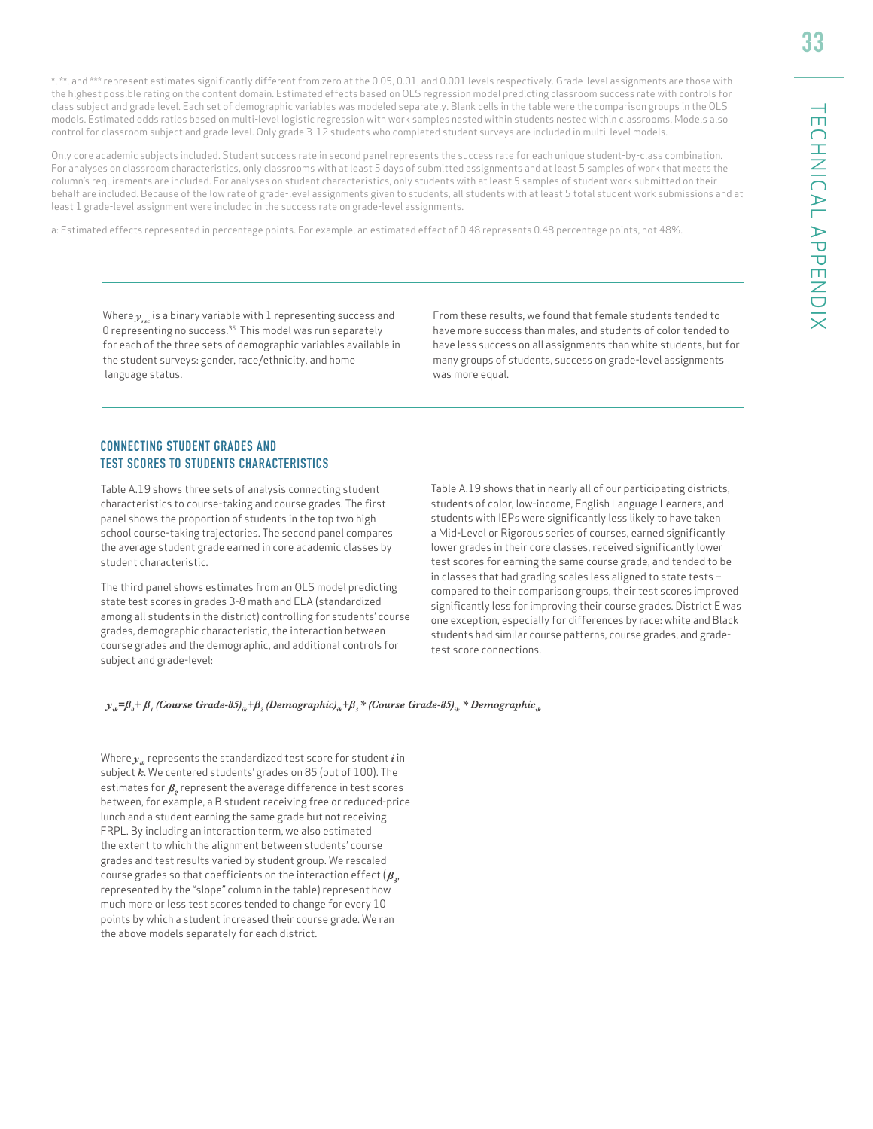\*, \*\*, and \*\*\* represent estimates significantly different from zero at the 0.05, 0.01, and 0.001 levels respectively. Grade-level assignments are those with the highest possible rating on the content domain. Estimated effects based on OLS regression model predicting classroom success rate with controls for class subject and grade level. Each set of demographic variables was modeled separately. Blank cells in the table were the comparison groups in the OLS models. Estimated odds ratios based on multi-level logistic regression with work samples nested within students nested within classrooms. Models also control for classroom subject and grade level. Only grade 3-12 students who completed student surveys are included in multi-level models.

Only core academic subjects included. Student success rate in second panel represents the success rate for each unique student-by-class combination. For analyses on classroom characteristics, only classrooms with at least 5 days of submitted assignments and at least 5 samples of work that meets the column's requirements are included. For analyses on student characteristics, only students with at least 5 samples of student work submitted on their behalf are included. Because of the low rate of grade-level assignments given to students, all students with at least 5 total student work submissions and at least 1 grade-level assignment were included in the success rate on grade-level assignments.

a: Estimated effects represented in percentage points. For example, an estimated effect of 0.48 represents 0.48 percentage points, not 48%.

Where  $y$  is a binary variable with 1 representing success and 0 representing no success.35 This model was run separately for each of the three sets of demographic variables available in the student surveys: gender, race/ethnicity, and home language status.

From these results, we found that female students tended to have more success than males, and students of color tended to have less success on all assignments than white students, but for many groups of students, success on grade-level assignments was more equal.

#### CONNECTING STUDENT GRADES AND TEST SCORES TO STUDENTS CHARACTERISTICS

Table A.19 shows three sets of analysis connecting student characteristics to course-taking and course grades. The first panel shows the proportion of students in the top two high school course-taking trajectories. The second panel compares the average student grade earned in core academic classes by student characteristic.

The third panel shows estimates from an OLS model predicting state test scores in grades 3-8 math and ELA (standardized among all students in the district) controlling for students' course grades, demographic characteristic, the interaction between course grades and the demographic, and additional controls for subject and grade-level:

Table A.19 shows that in nearly all of our participating districts, students of color, low-income, English Language Learners, and students with IEPs were significantly less likely to have taken a Mid-Level or Rigorous series of courses, earned significantly lower grades in their core classes, received significantly lower test scores for earning the same course grade, and tended to be in classes that had grading scales less aligned to state tests – compared to their comparison groups, their test scores improved significantly less for improving their course grades. District E was one exception, especially for differences by race: white and Black students had similar course patterns, course grades, and gradetest score connections.

 $y_{ik} = \beta_0 + \beta_1$  (Course Grade-85)<sub>ik</sub> + $\beta_2$  (Demographic)<sub>ik</sub> + $\beta_3$ \* (Course Grade-85)<sub>ik</sub> \* Demographic<sub>ik</sub>

Where  $y_{ik}$  represents the standardized test score for student  $i$  in subject *k*. We centered students' grades on 85 (out of 100). The estimates for  $\beta$ , represent the average difference in test scores between, for example, a B student receiving free or reduced-price lunch and a student earning the same grade but not receiving FRPL. By including an interaction term, we also estimated the extent to which the alignment between students' course grades and test results varied by student group. We rescaled course grades so that coefficients on the interaction effect  $(\beta_{3}, \beta_{4})$ represented by the "slope" column in the table) represent how much more or less test scores tended to change for every 10 points by which a student increased their course grade. We ran the above models separately for each district.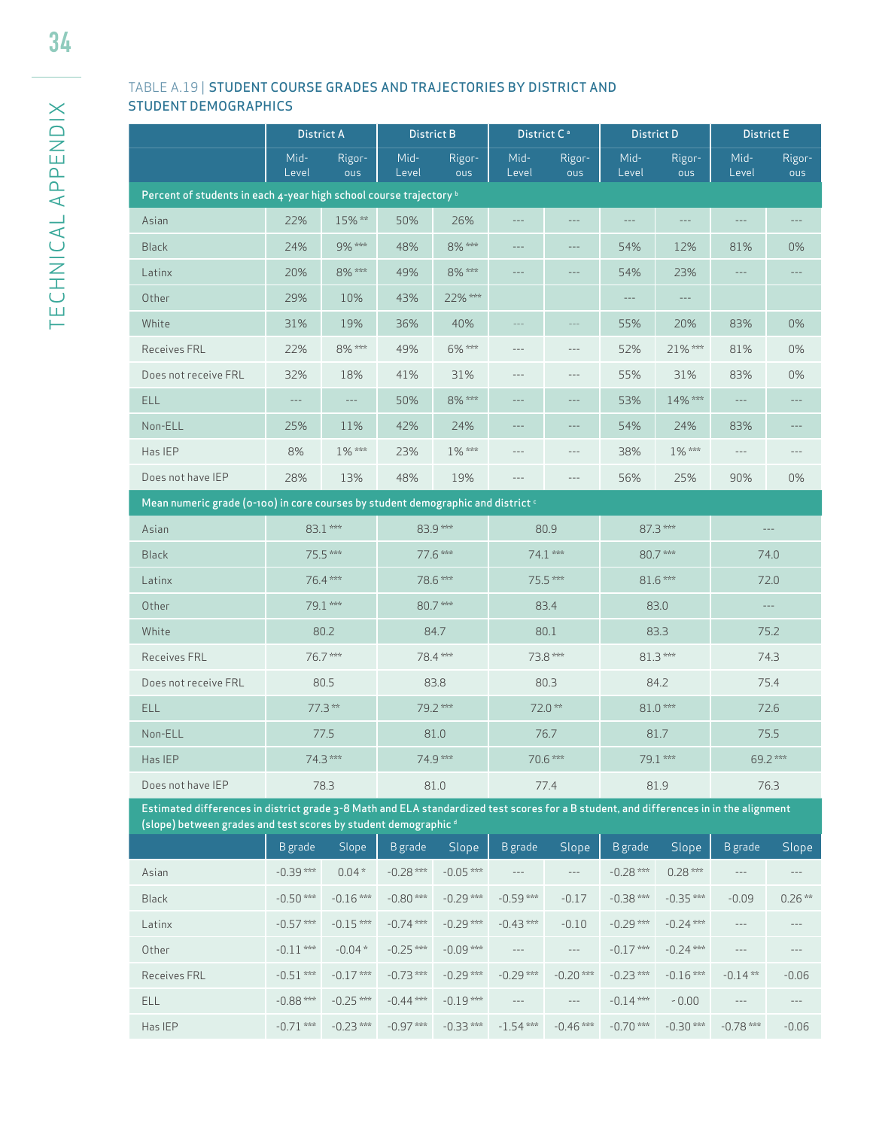### TABLE A.19 | STUDENT COURSE GRADES AND TRAJECTORIES BY DISTRICT AND STUDENT DEMOGRAPHICS

|                                                                                                                                        | <b>District A</b>     |                  | <b>District B</b>             |               | District C <sup>a</sup> |                   | <b>District D</b>             |                       | <b>District E</b>          |                     |
|----------------------------------------------------------------------------------------------------------------------------------------|-----------------------|------------------|-------------------------------|---------------|-------------------------|-------------------|-------------------------------|-----------------------|----------------------------|---------------------|
|                                                                                                                                        | Mid-<br>Level         | Rigor-<br>ous    | Mid-<br>Level                 | Rigor-<br>ous | Mid-<br>Level           | Rigor-<br>ous     | Mid-<br>Level                 | Rigor-<br>ous         | Mid-<br>Level              | Rigor-<br>ous       |
| Percent of students in each 4-year high school course trajectory b                                                                     |                       |                  |                               |               |                         |                   |                               |                       |                            |                     |
| Asian                                                                                                                                  | 22%                   | 15%**            | 50%                           | 26%           | $---$                   | $---$             | $---$                         | $\cdots$              | $\cdots$                   |                     |
| <b>Black</b>                                                                                                                           | 24%                   | 9% ***           | 48%                           | 8% ***        | $- - -$                 | $---$             | 54%                           | 12%                   | 81%                        | 0%                  |
| Latinx                                                                                                                                 | 20%                   | 8% ***           | 49%                           | 8% ***        | $- - -$                 | $---$             | 54%                           | 23%                   | $---$                      |                     |
| Other                                                                                                                                  | 29%                   | 10%              | 43%                           | 22% ***       |                         |                   | $---$                         | $---$                 |                            |                     |
| White                                                                                                                                  | 31%                   | 19%              | 36%                           | 40%           |                         |                   | 55%                           | 20%                   | 83%                        | 0%                  |
| Receives FRL                                                                                                                           | 22%                   | 8% ***           | 49%                           | 6% ***        | $- - -$                 | $---$             | 52%                           | 21% ***               | 81%                        | 0%                  |
| Does not receive FRL                                                                                                                   | 32%                   | 18%              | 41%                           | 31%           | $- - -$                 | $---$             | 55%                           | 31%                   | 83%                        | 0%                  |
| <b>ELL</b>                                                                                                                             | $--\,$                | $--\,$           | 50%                           | 8% ***        | $---$                   | $---$             | 53%                           | 14% ***               | $\cdots$                   |                     |
| Non-ELL                                                                                                                                | 25%                   | 11%              | 42%                           | 24%           | $- - -$                 | $---$             | 54%                           | 24%                   | 83%                        | ---                 |
| Has IEP                                                                                                                                | 8%                    | 1% ***           | 23%                           | 1% ***        | $- - -$                 | $---$             | 38%                           | 1% ***                | $\cdots$                   |                     |
| Does not have IEP                                                                                                                      | 28%                   | 13%              | 48%                           | 19%           | ---                     | $---$             | 56%                           | 25%                   | 90%                        | 0%                  |
| Mean numeric grade (0-100) in core courses by student demographic and district $\epsilon$                                              |                       |                  |                               |               |                         |                   |                               |                       |                            |                     |
| Asian                                                                                                                                  |                       | 83.1 ***         |                               | 83.9***       |                         | 80.9              |                               | $87.3***$             |                            | $\qquad \qquad - -$ |
| <b>Black</b>                                                                                                                           |                       | 75.5 ***         |                               | 77.6 ***      |                         | $74.1***$         |                               | 80.7***               | 74.0                       |                     |
| Latinx                                                                                                                                 |                       | 76.4 ***         |                               | 78.6 ***      |                         | 75.5 ***          |                               | 81.6***               |                            | 72.0                |
| Other                                                                                                                                  |                       | 79.1 ***         |                               | 80.7***       |                         | 83.4              |                               | 83.0                  | $-\, -\, -$                |                     |
| White                                                                                                                                  |                       | 80.2             |                               | 84.7          |                         | 80.1              |                               | 83.3                  |                            | 75.2                |
| <b>Receives FRL</b>                                                                                                                    |                       | 76.7***          |                               | 78.4 ***      | 73.8 ***                |                   | 81.3***                       |                       | 74.3                       |                     |
| Does not receive FRL                                                                                                                   |                       | 80.5             |                               | 83.8          |                         | 80.3              |                               | 84.2                  |                            | 75.4                |
| <b>ELL</b>                                                                                                                             |                       | 77.3**           |                               | 79.2 ***      |                         | 72.0**            |                               | 81.0***               |                            | 72.6                |
| Non-ELL                                                                                                                                |                       | 77.5             |                               | 81.0          |                         | 76.7              |                               | 81.7                  |                            | 75.5                |
| Has IEP                                                                                                                                |                       | 74.3 ***         |                               | 74.9 ***      |                         | 70.6 ***          |                               | 79.1 ***              |                            | 69.2***             |
| Does not have IEP                                                                                                                      |                       | 78.3             |                               | 81.0          |                         | 77.4              |                               | 81.9                  |                            | 76.3                |
| Estimated differences in district grade 3-8 Math and ELA standardized test scores for a B student, and differences in in the alignment |                       |                  |                               |               |                         |                   |                               |                       |                            |                     |
| (slope) between grades and test scores by student demographic <sup>d</sup>                                                             |                       |                  |                               | Slope         |                         |                   |                               |                       |                            |                     |
|                                                                                                                                        | B grade<br>$-0.39***$ | Slope<br>$0.04*$ | <b>B</b> grade<br>$-0.28$ *** | $-0.05$ ***   | <b>B</b> grade          | Slope<br>$\cdots$ | <b>B</b> grade<br>$-0.28$ *** | Slope<br>$0.28***$    | <b>B</b> grade<br>$\cdots$ | Slope<br>$\cdots$   |
| Asian<br><b>Black</b>                                                                                                                  | $-0.50$ ***           | $-0.16$ ***      | $-0.80$ ***                   | $-0.29$ ***   | $-0.59***$              | $-0.17$           | $-0.38***$                    | $-0.35***$            | $-0.09$                    | $0.26***$           |
|                                                                                                                                        | $-0.57***$            | $-0.15***$       | $-0.74$ ***                   | $-0.29***$    | $-0.43***$              | $-0.10$           | $-0.29***$                    | $-0.24$ ***           | $\cdots$                   | $---$               |
| Latinx<br>Other                                                                                                                        | $-0.11***$            | $-0.04*$         | $-0.25$ ***                   | $-0.09***$    | $---$                   | $---$             | $-0.17***$                    | $-0.24$ ***           | $---$                      |                     |
|                                                                                                                                        | $-0.51***$            | $-0.17$ ***      | $-0.73$ ***                   | $-0.29***$    | $-0.29$ ***             | $-0.20$ ***       | $-0.23***$                    | $-0.16***$            | $-0.14**$                  | $-0.06$             |
| Receives FRL<br>ELL                                                                                                                    | $-0.88$ ***           | $-0.25$ ***      | $-0.44$ ***                   | $-0.19***$    | ---                     | $---$             | $-0.14***$                    |                       | $---$                      |                     |
| Has IEP                                                                                                                                | $-0.71$ ***           | $-0.23***$       | $-0.97***$                    | $-0.33***$    | $-1.54***$              | $-0.46$ ***       | $-0.70$ ***                   | $-0.00$<br>$-0.30***$ | $-0.78$ ***                | $---$<br>$-0.06$    |
|                                                                                                                                        |                       |                  |                               |               |                         |                   |                               |                       |                            |                     |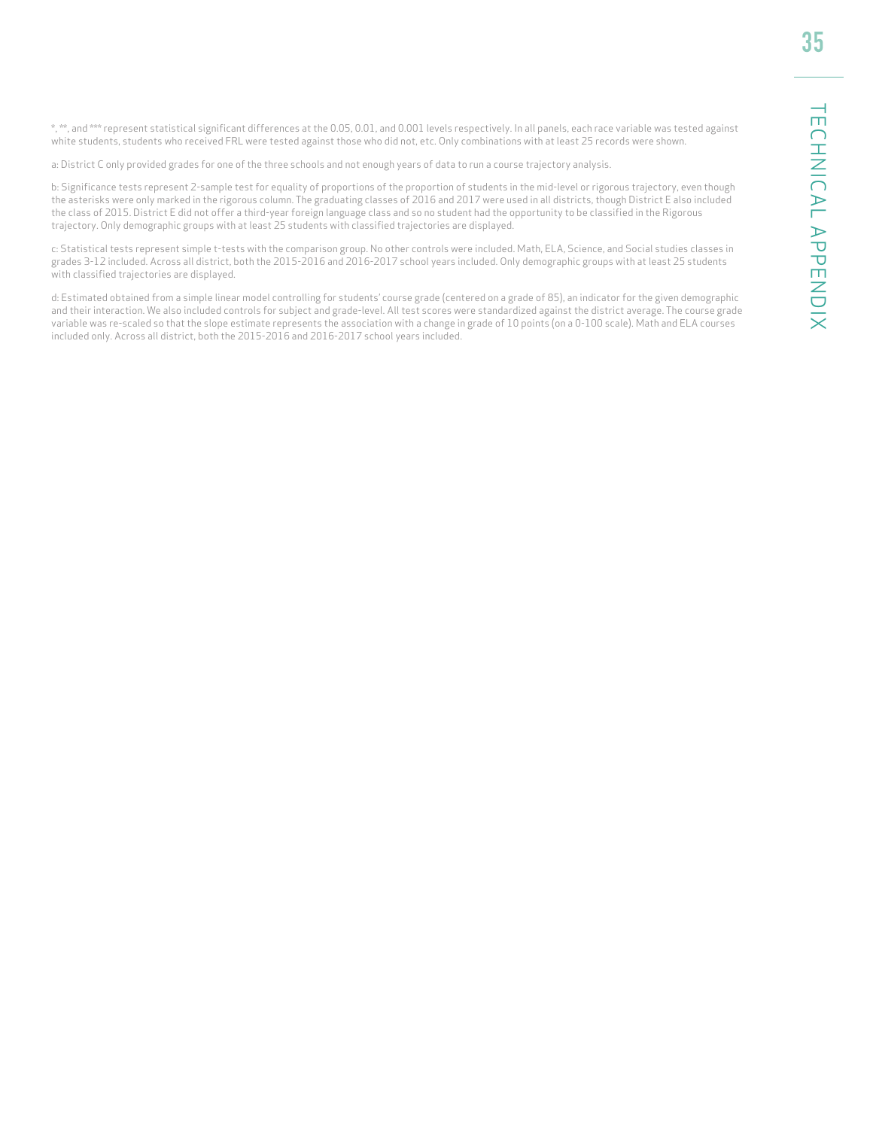\*, \*\*, and \*\*\* represent statistical significant differences at the 0.05, 0.01, and 0.001 levels respectively. In all panels, each race variable was tested against white students, students who received FRL were tested against those who did not, etc. Only combinations with at least 25 records were shown.

a: District C only provided grades for one of the three schools and not enough years of data to run a course trajectory analysis.

b: Significance tests represent 2-sample test for equality of proportions of the proportion of students in the mid-level or rigorous trajectory, even though the asterisks were only marked in the rigorous column. The graduating classes of 2016 and 2017 were used in all districts, though District E also included the class of 2015. District E did not offer a third-year foreign language class and so no student had the opportunity to be classified in the Rigorous trajectory. Only demographic groups with at least 25 students with classified trajectories are displayed.

c: Statistical tests represent simple t-tests with the comparison group. No other controls were included. Math, ELA, Science, and Social studies classes in grades 3-12 included. Across all district, both the 2015-2016 and 2016-2017 school years included. Only demographic groups with at least 25 students with classified trajectories are displayed.

d: Estimated obtained from a simple linear model controlling for students' course grade (centered on a grade of 85), an indicator for the given demographic and their interaction. We also included controls for subject and grade-level. All test scores were standardized against the district average. The course grade variable was re-scaled so that the slope estimate represents the association with a change in grade of 10 points (on a 0-100 scale). Math and ELA courses included only. Across all district, both the 2015-2016 and 2016-2017 school years included.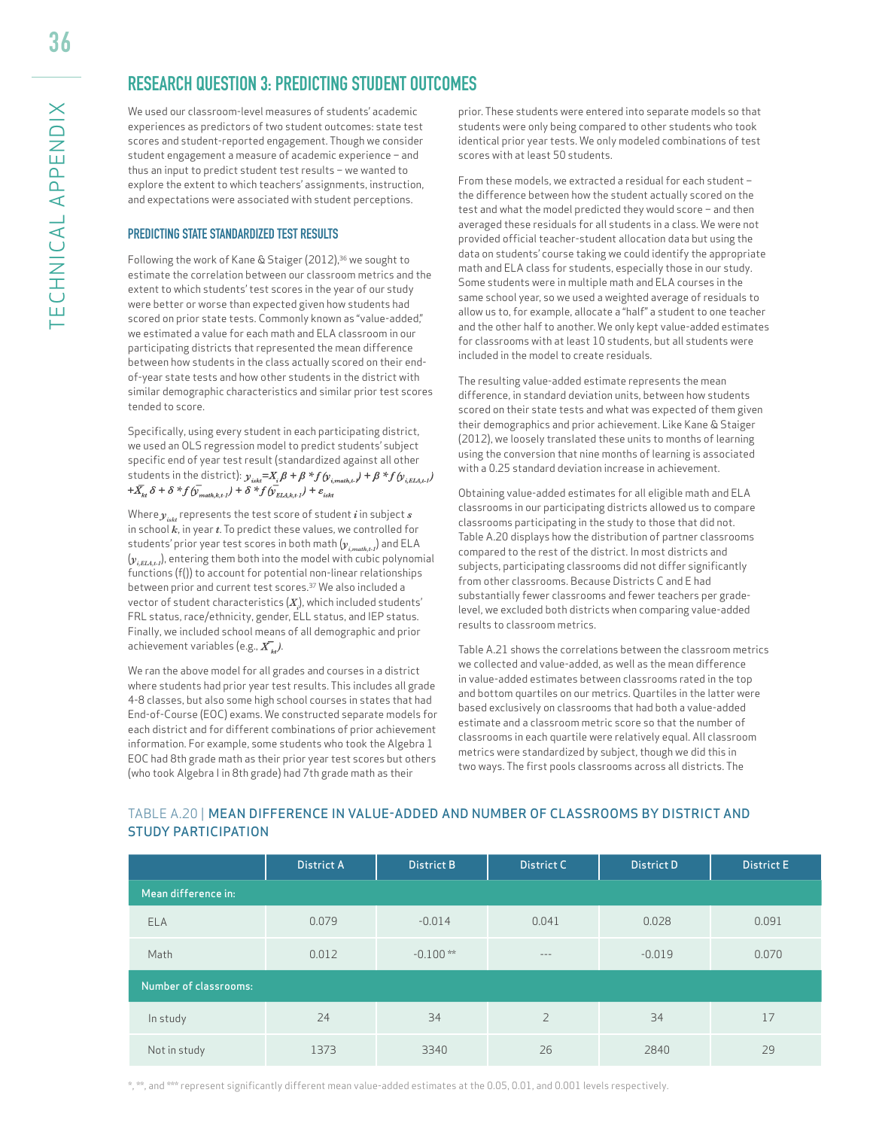36

# **RESEARCH QUESTION 3: PREDICTING STUDENT OUTCOMES**

We used our classroom-level measures of students' academic experiences as predictors of two student outcomes: state test scores and student-reported engagement. Though we consider student engagement a measure of academic experience – and thus an input to predict student test results – we wanted to explore the extent to which teachers' assignments, instruction, and expectations were associated with student perceptions.

#### PREDICTING STATE STANDARDIZED TEST RESULTS

Following the work of Kane & Staiger (2012),<sup>36</sup> we sought to estimate the correlation between our classroom metrics and the extent to which students' test scores in the year of our study were better or worse than expected given how students had scored on prior state tests. Commonly known as "value-added," we estimated a value for each math and ELA classroom in our participating districts that represented the mean difference between how students in the class actually scored on their endof-year state tests and how other students in the district with similar demographic characteristics and similar prior test scores tended to score.

Specifically, using every student in each participating district, we used an OLS regression model to predict students' subject specific end of year test result (standardized against all other students in the district):  $y_{isk} = X_i \beta + \beta * f(y_{i, math, t}) + \beta * f(y_{i, ELA, t})$  $+\bar{X}_{k\ell} \delta + \delta * f(\bar{V}_{math}+k+1}) + \delta * f(\bar{V}_{ELLk+1}) + \varepsilon_{iskt}$ 

Where  $y_{i,dt}$  represents the test score of student *i* in subject *s* in school *k*, in year *t*. To predict these values, we controlled for students' prior year test scores in both math (*yi,math,t-1*) and ELA  $(y_{i,ext})$ , entering them both into the model with cubic polynomial functions (f()) to account for potential non-linear relationships between prior and current test scores.37 We also included a vector of student characteristics  $\left( X_{i}\right)$ , which included students' FRL status, race/ethnicity, gender, ELL status, and IEP status. Finally, we included school means of all demographic and prior achievement variables (e.g.,  $\overline{X}_{\mu}$ ).

We ran the above model for all grades and courses in a district where students had prior year test results. This includes all grade 4-8 classes, but also some high school courses in states that had End-of-Course (EOC) exams. We constructed separate models for each district and for different combinations of prior achievement information. For example, some students who took the Algebra 1 EOC had 8th grade math as their prior year test scores but others (who took Algebra I in 8th grade) had 7th grade math as their

prior. These students were entered into separate models so that students were only being compared to other students who took identical prior year tests. We only modeled combinations of test scores with at least 50 students.

From these models, we extracted a residual for each student – the difference between how the student actually scored on the test and what the model predicted they would score – and then averaged these residuals for all students in a class. We were not provided official teacher-student allocation data but using the data on students' course taking we could identify the appropriate math and ELA class for students, especially those in our study. Some students were in multiple math and ELA courses in the same school year, so we used a weighted average of residuals to allow us to, for example, allocate a "half" a student to one teacher and the other half to another. We only kept value-added estimates for classrooms with at least 10 students, but all students were included in the model to create residuals.

The resulting value-added estimate represents the mean difference, in standard deviation units, between how students scored on their state tests and what was expected of them given their demographics and prior achievement. Like Kane & Staiger (2012), we loosely translated these units to months of learning using the conversion that nine months of learning is associated with a 0.25 standard deviation increase in achievement.

Obtaining value-added estimates for all eligible math and ELA classrooms in our participating districts allowed us to compare classrooms participating in the study to those that did not. Table A.20 displays how the distribution of partner classrooms compared to the rest of the district. In most districts and subjects, participating classrooms did not differ significantly from other classrooms. Because Districts C and E had substantially fewer classrooms and fewer teachers per gradelevel, we excluded both districts when comparing value-added results to classroom metrics.

Table A.21 shows the correlations between the classroom metrics we collected and value-added, as well as the mean difference in value-added estimates between classrooms rated in the top and bottom quartiles on our metrics. Quartiles in the latter were based exclusively on classrooms that had both a value-added estimate and a classroom metric score so that the number of classrooms in each quartile were relatively equal. All classroom metrics were standardized by subject, though we did this in two ways. The first pools classrooms across all districts. The

|                              | <b>District A</b> | <b>District B</b> | <b>District C</b> | <b>District D</b> | <b>District E</b> |
|------------------------------|-------------------|-------------------|-------------------|-------------------|-------------------|
| Mean difference in:          |                   |                   |                   |                   |                   |
| <b>ELA</b>                   | 0.079             | $-0.014$          | 0.041             | 0.028             | 0.091             |
| Math                         | 0.012             | $-0.100**$        | $- - -$           | $-0.019$          | 0.070             |
| <b>Number of classrooms:</b> |                   |                   |                   |                   |                   |
| In study                     | 24                | 34                | $\overline{2}$    | 34                | 17                |
| Not in study                 | 1373              | 3340              | 26                | 2840              | 29                |

#### TABLE A.20 | MEAN DIFFERENCE IN VALUE-ADDED AND NUMBER OF CLASSROOMS BY DISTRICT AND STUDY PARTICIPATION

\*, \*\*, and \*\*\* represent significantly different mean value-added estimates at the 0.05, 0.01, and 0.001 levels respectively.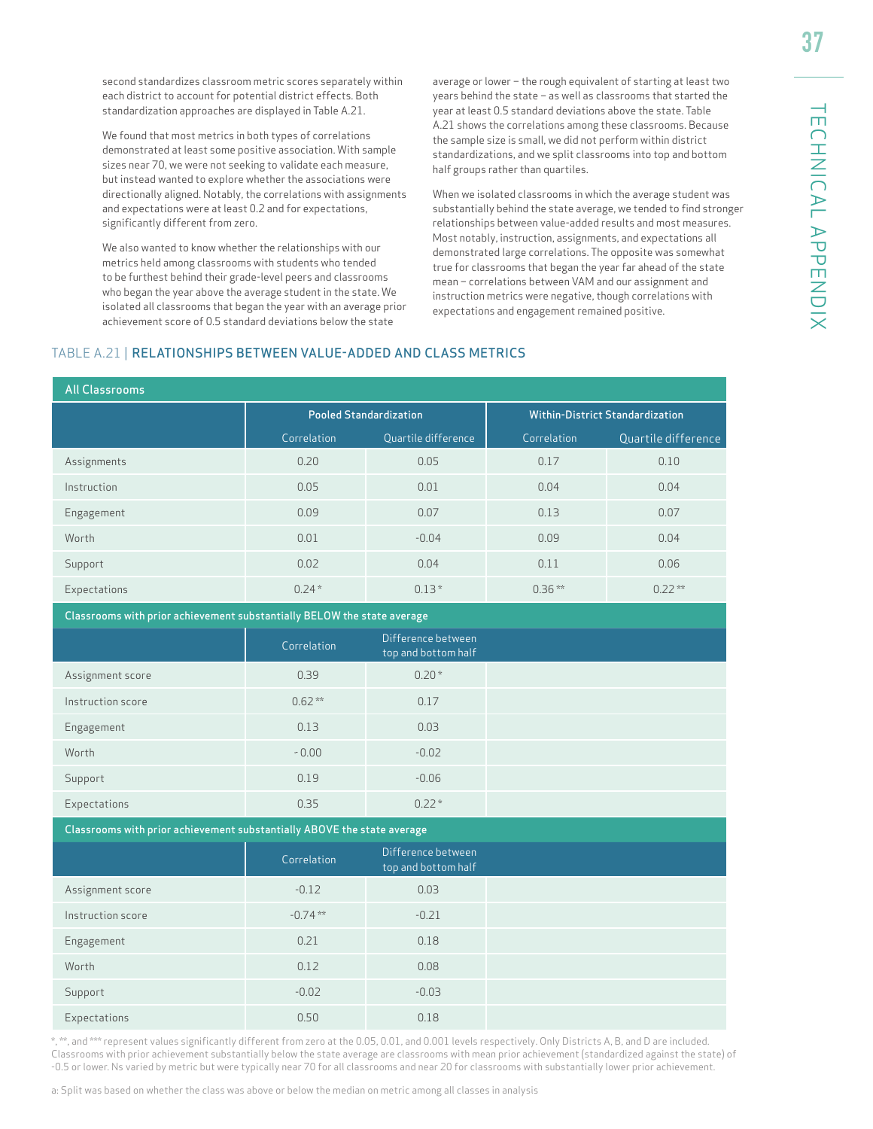second standardizes classroom metric scores separately within each district to account for potential district effects. Both standardization approaches are displayed in Table A.21.

We found that most metrics in both types of correlations demonstrated at least some positive association. With sample sizes near 70, we were not seeking to validate each measure, but instead wanted to explore whether the associations were directionally aligned. Notably, the correlations with assignments and expectations were at least 0.2 and for expectations, significantly different from zero.

We also wanted to know whether the relationships with our metrics held among classrooms with students who tended to be furthest behind their grade-level peers and classrooms who began the year above the average student in the state. We isolated all classrooms that began the year with an average prior achievement score of 0.5 standard deviations below the state

average or lower – the rough equivalent of starting at least two years behind the state – as well as classrooms that started the year at least 0.5 standard deviations above the state. Table A.21 shows the correlations among these classrooms. Because the sample size is small, we did not perform within district standardizations, and we split classrooms into top and bottom half groups rather than quartiles.

When we isolated classrooms in which the average student was substantially behind the state average, we tended to find stronger relationships between value-added results and most measures. Most notably, instruction, assignments, and expectations all demonstrated large correlations. The opposite was somewhat true for classrooms that began the year far ahead of the state mean – correlations between VAM and our assignment and instruction metrics were negative, though correlations with expectations and engagement remained positive.

#### TABLE A.21 | RELATIONSHIPS BETWEEN VALUE-ADDED AND CLASS METRICS

| <b>All Classrooms</b>                                                   |                               |                                           |              |                                        |
|-------------------------------------------------------------------------|-------------------------------|-------------------------------------------|--------------|----------------------------------------|
|                                                                         | <b>Pooled Standardization</b> |                                           |              | <b>Within-District Standardization</b> |
|                                                                         | Correlation                   | Quartile difference                       | Correlation  | Quartile difference                    |
| Assignments                                                             | 0.20                          | 0.05                                      | 0.17         | 0.10                                   |
| Instruction                                                             | 0.05                          | 0.01                                      | 0.04         | 0.04                                   |
| Engagement                                                              | 0.09                          | 0.07                                      | 0.13         | 0.07                                   |
| Worth                                                                   | 0.01                          | $-0.04$                                   | 0.09         | 0.04                                   |
| Support                                                                 | 0.02                          | 0.04                                      | 0.11<br>0.06 |                                        |
| Expectations                                                            | $0.24*$                       | $0.13*$                                   | $0.36***$    | $0.22***$                              |
| Classrooms with prior achievement substantially BELOW the state average |                               |                                           |              |                                        |
|                                                                         | Correlation                   | Difference between<br>top and bottom half |              |                                        |
| Assignment score                                                        | 0.39                          | $0.20*$                                   |              |                                        |
| Instruction score                                                       | $0.62**$                      | 0.17                                      |              |                                        |
| Engagement                                                              | 0.13                          | 0.03                                      |              |                                        |
| Worth                                                                   | $-0.00$                       | $-0.02$                                   |              |                                        |
| Support                                                                 | 0.19                          | $-0.06$                                   |              |                                        |
| Expectations                                                            | 0.35                          | $0.22*$                                   |              |                                        |
| Classrooms with prior achievement substantially ABOVE the state average |                               |                                           |              |                                        |
|                                                                         | Correlation                   | Difference between<br>top and bottom half |              |                                        |
| Assignment score                                                        | $-0.12$                       | 0.03                                      |              |                                        |
| Instruction score                                                       | $-0.74$ **                    | $-0.21$                                   |              |                                        |
| Engagement                                                              | 0.21                          | 0.18                                      |              |                                        |
| Worth                                                                   | 0.12                          | 0.08                                      |              |                                        |
| Support                                                                 | $-0.02$                       | $-0.03$                                   |              |                                        |
| Expectations                                                            | 0.50                          | 0.18                                      |              |                                        |

\*, \*\*, and \*\*\* represent values significantly different from zero at the 0.05, 0.01, and 0.001 levels respectively. Only Districts A, B, and D are included. Classrooms with prior achievement substantially below the state average are classrooms with mean prior achievement (standardized against the state) of -0.5 or lower. Ns varied by metric but were typically near 70 for all classrooms and near 20 for classrooms with substantially lower prior achievement.

a: Split was based on whether the class was above or below the median on metric among all classes in analysis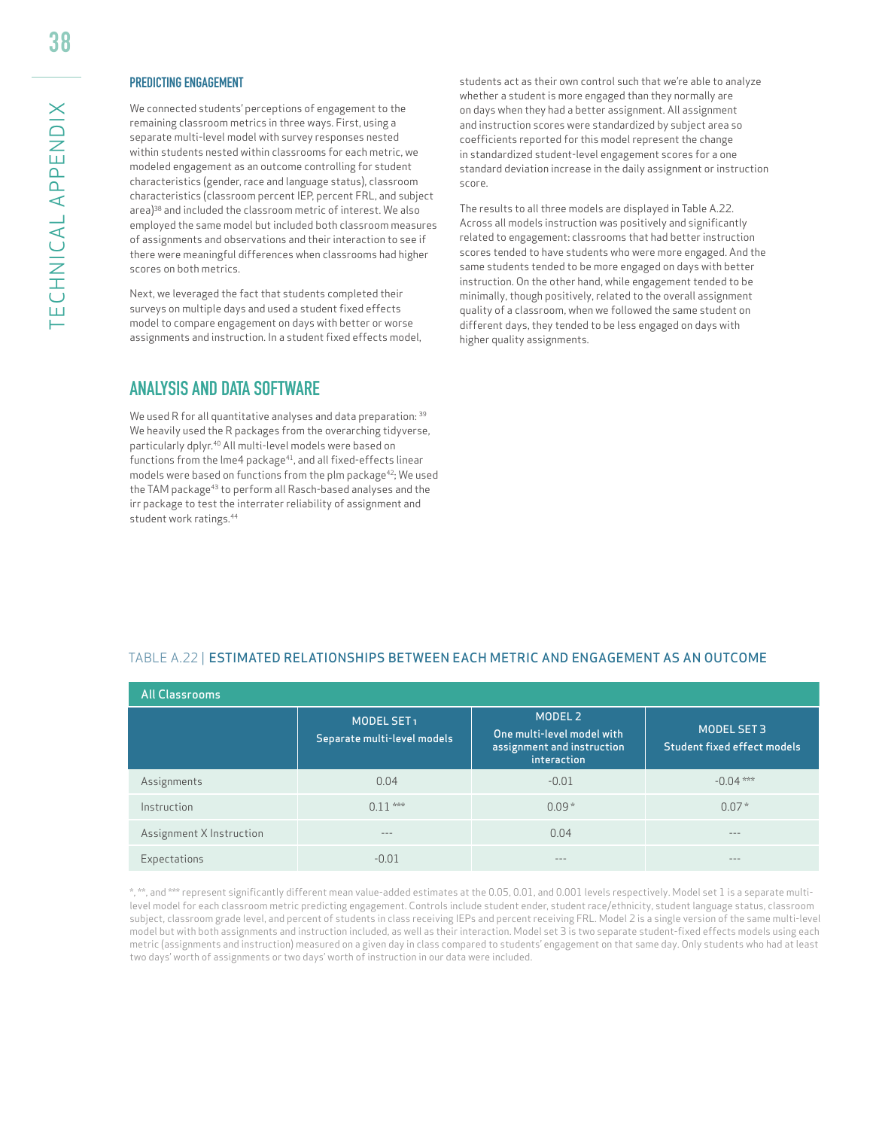#### PREDICTING ENGAGEMENT

We connected students' perceptions of engagement to the remaining classroom metrics in three ways. First, using a separate multi-level model with survey responses nested within students nested within classrooms for each metric, we modeled engagement as an outcome controlling for student characteristics (gender, race and language status), classroom characteristics (classroom percent IEP, percent FRL, and subject area)<sup>38</sup> and included the classroom metric of interest. We also employed the same model but included both classroom measures of assignments and observations and their interaction to see if there were meaningful differences when classrooms had higher scores on both metrics.

Next, we leveraged the fact that students completed their surveys on multiple days and used a student fixed effects model to compare engagement on days with better or worse assignments and instruction. In a student fixed effects model,

#### **ANALYSIS AND DATA SOFTWARE**

We used R for all quantitative analyses and data preparation: 39 We heavily used the R packages from the overarching tidyverse, particularly dplyr.40 All multi-level models were based on functions from the lme4 package<sup>41</sup>, and all fixed-effects linear models were based on functions from the plm package<sup>42</sup>; We used the TAM package<sup>43</sup> to perform all Rasch-based analyses and the irr package to test the interrater reliability of assignment and student work ratings.44

students act as their own control such that we're able to analyze whether a student is more engaged than they normally are on days when they had a better assignment. All assignment and instruction scores were standardized by subject area so coefficients reported for this model represent the change in standardized student-level engagement scores for a one standard deviation increase in the daily assignment or instruction score.

The results to all three models are displayed in Table A.22. Across all models instruction was positively and significantly related to engagement: classrooms that had better instruction scores tended to have students who were more engaged. And the same students tended to be more engaged on days with better instruction. On the other hand, while engagement tended to be minimally, though positively, related to the overall assignment quality of a classroom, when we followed the same student on different days, they tended to be less engaged on days with higher quality assignments.

#### TABLE A.22 | ESTIMATED RELATIONSHIPS BETWEEN EACH METRIC AND ENGAGEMENT AS AN OUTCOME

| All Classrooms           |                                                       |                                                                                    |                                            |  |  |
|--------------------------|-------------------------------------------------------|------------------------------------------------------------------------------------|--------------------------------------------|--|--|
|                          | MODEL SET <sub>1</sub><br>Separate multi-level models | MODEL 2<br>One multi-level model with<br>assignment and instruction<br>interaction | MODEL SET 3<br>Student fixed effect models |  |  |
| Assignments              | 0.04                                                  | $-0.01$                                                                            | $-0.04***$                                 |  |  |
| Instruction              | $0.11***$                                             | $0.09*$                                                                            | $0.07*$                                    |  |  |
| Assignment X Instruction | $- - -$                                               | 0.04                                                                               | $- - -$                                    |  |  |
| Expectations             | $-0.01$                                               | ---                                                                                | $\sim$ $-$                                 |  |  |

\*, \*\*, and \*\*\* represent significantly different mean value-added estimates at the 0.05, 0.01, and 0.001 levels respectively. Model set 1 is a separate multilevel model for each classroom metric predicting engagement. Controls include student ender, student race/ethnicity, student language status, classroom subject, classroom grade level, and percent of students in class receiving IEPs and percent receiving FRL. Model 2 is a single version of the same multi-level model but with both assignments and instruction included, as well as their interaction. Model set 3 is two separate student-fixed effects models using each metric (assignments and instruction) measured on a given day in class compared to students' engagement on that same day. Only students who had at least two days' worth of assignments or two days' worth of instruction in our data were included.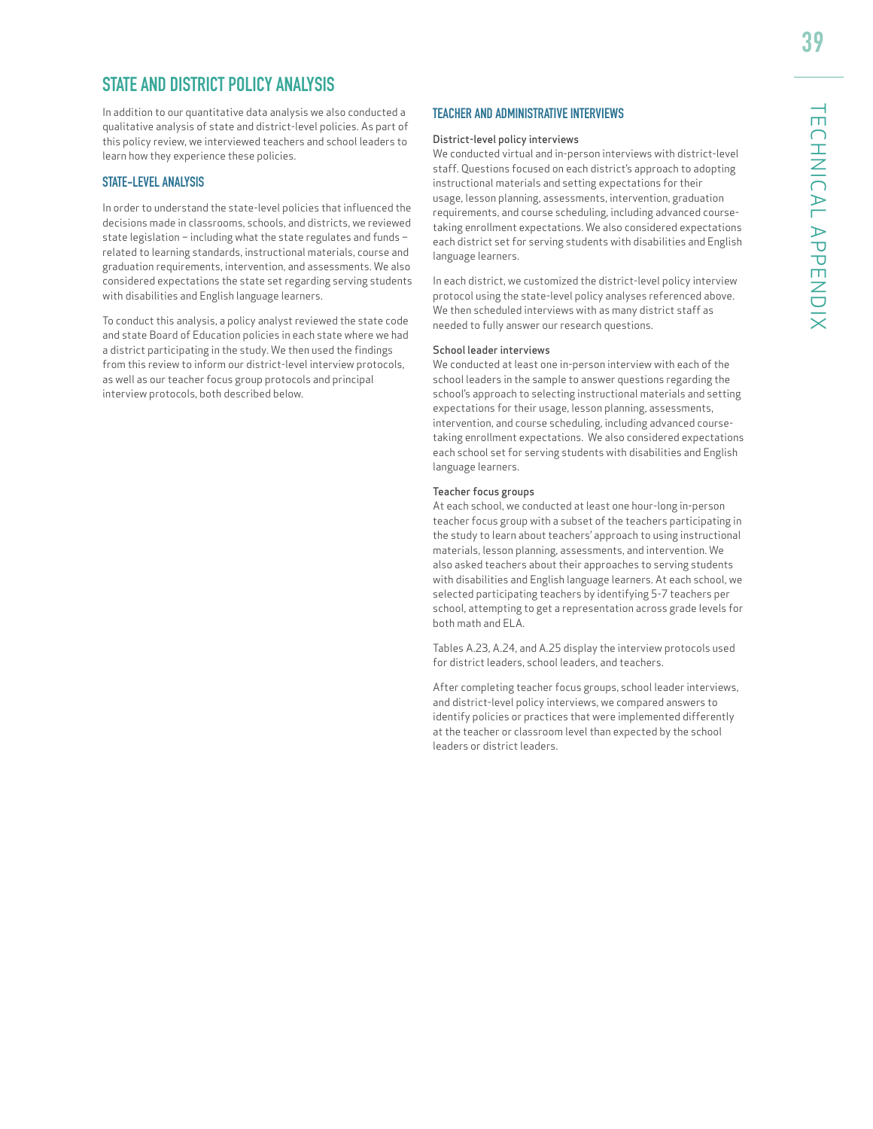# **STATE AND DISTRICT POLICY ANALYSIS**

In addition to our quantitative data analysis we also conducted a qualitative analysis of state and district-level policies. As part of this policy review, we interviewed teachers and school leaders to learn how they experience these policies.

#### STATE-LEVEL ANALYSIS

In order to understand the state-level policies that influenced the decisions made in classrooms, schools, and districts, we reviewed state legislation – including what the state regulates and funds – related to learning standards, instructional materials, course and graduation requirements, intervention, and assessments. We also considered expectations the state set regarding serving students with disabilities and English language learners.

To conduct this analysis, a policy analyst reviewed the state code and state Board of Education policies in each state where we had a district participating in the study. We then used the findings from this review to inform our district-level interview protocols, as well as our teacher focus group protocols and principal interview protocols, both described below.

#### TEACHER AND ADMINISTRATIVE INTERVIEWS

#### District-level policy interviews

We conducted virtual and in-person interviews with district-level staff. Questions focused on each district's approach to adopting instructional materials and setting expectations for their usage, lesson planning, assessments, intervention, graduation requirements, and course scheduling, including advanced coursetaking enrollment expectations. We also considered expectations each district set for serving students with disabilities and English language learners.

In each district, we customized the district-level policy interview protocol using the state-level policy analyses referenced above. We then scheduled interviews with as many district staff as needed to fully answer our research questions.

#### School leader interviews

We conducted at least one in-person interview with each of the school leaders in the sample to answer questions regarding the school's approach to selecting instructional materials and setting expectations for their usage, lesson planning, assessments, intervention, and course scheduling, including advanced coursetaking enrollment expectations. We also considered expectations each school set for serving students with disabilities and English language learners.

#### Teacher focus groups

At each school, we conducted at least one hour-long in-person teacher focus group with a subset of the teachers participating in the study to learn about teachers' approach to using instructional materials, lesson planning, assessments, and intervention. We also asked teachers about their approaches to serving students with disabilities and English language learners. At each school, we selected participating teachers by identifying 5-7 teachers per school, attempting to get a representation across grade levels for both math and ELA.

Tables A.23, A.24, and A.25 display the interview protocols used for district leaders, school leaders, and teachers.

After completing teacher focus groups, school leader interviews, and district-level policy interviews, we compared answers to identify policies or practices that were implemented differently at the teacher or classroom level than expected by the school leaders or district leaders.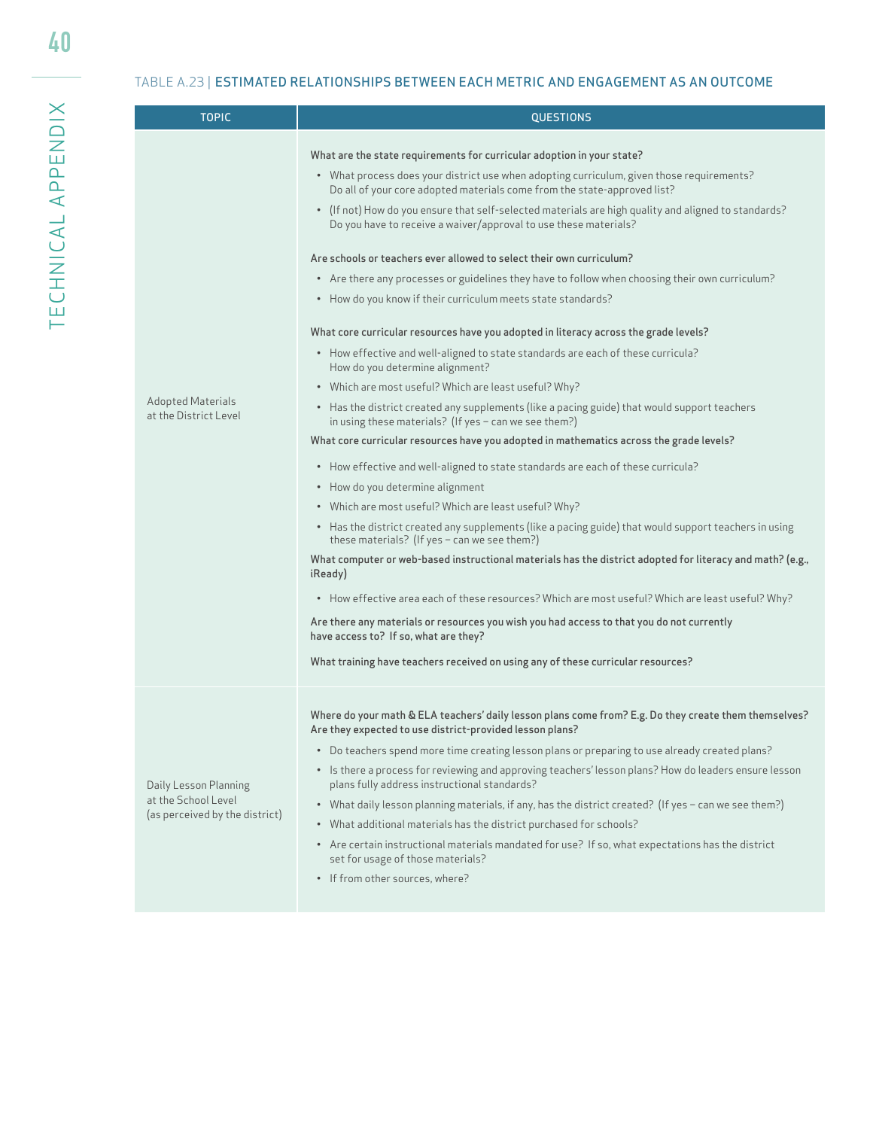| <b>TOPIC</b>                                                                   | <b>QUESTIONS</b>                                                                                                                                                                                                                                                                                                                                                                                                                                                                                                                                                                                                                                                                                                                                                                                                                                                                                                                                                                                                                                                                                                                                                                                                                                                                                                                                                                                                                                                                                                                                                                                                                                                                                                                                                                                                                                                                                                                                                                                        |  |  |  |
|--------------------------------------------------------------------------------|---------------------------------------------------------------------------------------------------------------------------------------------------------------------------------------------------------------------------------------------------------------------------------------------------------------------------------------------------------------------------------------------------------------------------------------------------------------------------------------------------------------------------------------------------------------------------------------------------------------------------------------------------------------------------------------------------------------------------------------------------------------------------------------------------------------------------------------------------------------------------------------------------------------------------------------------------------------------------------------------------------------------------------------------------------------------------------------------------------------------------------------------------------------------------------------------------------------------------------------------------------------------------------------------------------------------------------------------------------------------------------------------------------------------------------------------------------------------------------------------------------------------------------------------------------------------------------------------------------------------------------------------------------------------------------------------------------------------------------------------------------------------------------------------------------------------------------------------------------------------------------------------------------------------------------------------------------------------------------------------------------|--|--|--|
| Adopted Materials<br>at the District Level                                     | What are the state requirements for curricular adoption in your state?<br>• What process does your district use when adopting curriculum, given those requirements?<br>Do all of your core adopted materials come from the state-approved list?<br>• (If not) How do you ensure that self-selected materials are high quality and aligned to standards?<br>Do you have to receive a waiver/approval to use these materials?<br>Are schools or teachers ever allowed to select their own curriculum?<br>• Are there any processes or guidelines they have to follow when choosing their own curriculum?<br>• How do you know if their curriculum meets state standards?<br>What core curricular resources have you adopted in literacy across the grade levels?<br>• How effective and well-aligned to state standards are each of these curricula?<br>How do you determine alignment?<br>• Which are most useful? Which are least useful? Why?<br>• Has the district created any supplements (like a pacing guide) that would support teachers<br>in using these materials? (If yes $-$ can we see them?)<br>What core curricular resources have you adopted in mathematics across the grade levels?<br>• How effective and well-aligned to state standards are each of these curricula?<br>• How do you determine alignment<br>• Which are most useful? Which are least useful? Why?<br>• Has the district created any supplements (like a pacing guide) that would support teachers in using<br>these materials? (If yes $-$ can we see them?)<br>What computer or web-based instructional materials has the district adopted for literacy and math? (e.g.,<br>iReady)<br>• How effective area each of these resources? Which are most useful? Which are least useful? Why?<br>Are there any materials or resources you wish you had access to that you do not currently<br>have access to? If so, what are they?<br>What training have teachers received on using any of these curricular resources? |  |  |  |
| Daily Lesson Planning<br>at the School Level<br>(as perceived by the district) | Where do your math & ELA teachers' daily lesson plans come from? E.g. Do they create them themselves?<br>Are they expected to use district-provided lesson plans?<br>Do teachers spend more time creating lesson plans or preparing to use already created plans?<br>$\bullet$<br>• Is there a process for reviewing and approving teachers' lesson plans? How do leaders ensure lesson<br>plans fully address instructional standards?<br>• What daily lesson planning materials, if any, has the district created? (If yes - can we see them?)<br>• What additional materials has the district purchased for schools?<br>• Are certain instructional materials mandated for use? If so, what expectations has the district<br>set for usage of those materials?<br>• If from other sources, where?                                                                                                                                                                                                                                                                                                                                                                                                                                                                                                                                                                                                                                                                                                                                                                                                                                                                                                                                                                                                                                                                                                                                                                                                    |  |  |  |

40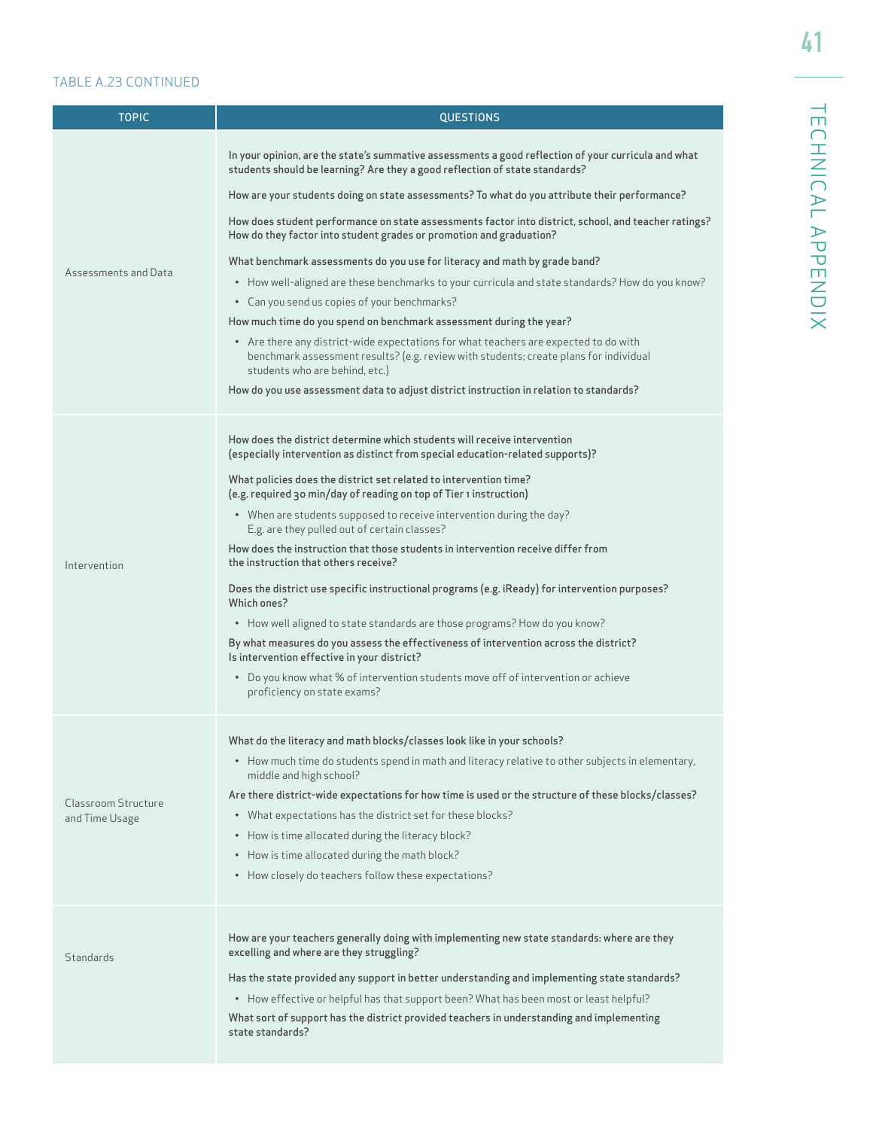# TABLE A.23 CONTINUED

| <b>TOPIC</b>         | <b>QUESTIONS</b>                                                                                                                                                                                                |  |  |  |
|----------------------|-----------------------------------------------------------------------------------------------------------------------------------------------------------------------------------------------------------------|--|--|--|
|                      |                                                                                                                                                                                                                 |  |  |  |
|                      | In your opinion, are the state's summative assessments a good reflection of your curricula and what<br>students should be learning? Are they a good reflection of state standards?                              |  |  |  |
|                      | How are your students doing on state assessments? To what do you attribute their performance?                                                                                                                   |  |  |  |
|                      | How does student performance on state assessments factor into district, school, and teacher ratings?<br>How do they factor into student grades or promotion and graduation?                                     |  |  |  |
|                      | What benchmark assessments do you use for literacy and math by grade band?                                                                                                                                      |  |  |  |
| Assessments and Data | • How well-aligned are these benchmarks to your curricula and state standards? How do you know?                                                                                                                 |  |  |  |
|                      | • Can you send us copies of your benchmarks?                                                                                                                                                                    |  |  |  |
|                      | How much time do you spend on benchmark assessment during the year?                                                                                                                                             |  |  |  |
|                      | • Are there any district-wide expectations for what teachers are expected to do with<br>benchmark assessment results? (e.g. review with students; create plans for individual<br>students who are behind, etc.) |  |  |  |
|                      | How do you use assessment data to adjust district instruction in relation to standards?                                                                                                                         |  |  |  |
|                      |                                                                                                                                                                                                                 |  |  |  |
|                      | How does the district determine which students will receive intervention<br>(especially intervention as distinct from special education-related supports)?                                                      |  |  |  |
|                      | What policies does the district set related to intervention time?<br>(e.g. required 30 min/day of reading on top of Tier 1 instruction)                                                                         |  |  |  |
|                      | • When are students supposed to receive intervention during the day?<br>E.g. are they pulled out of certain classes?                                                                                            |  |  |  |
| Intervention         | How does the instruction that those students in intervention receive differ from<br>the instruction that others receive?                                                                                        |  |  |  |
|                      | Does the district use specific instructional programs (e.g. iReady) for intervention purposes?<br>Which ones?                                                                                                   |  |  |  |
|                      | • How well aligned to state standards are those programs? How do you know?                                                                                                                                      |  |  |  |
|                      | By what measures do you assess the effectiveness of intervention across the district?<br>Is intervention effective in your district?                                                                            |  |  |  |
|                      | • Do you know what % of intervention students move off of intervention or achieve<br>proficiency on state exams?                                                                                                |  |  |  |
|                      | What do the literacy and math blocks/classes look like in your schools?                                                                                                                                         |  |  |  |
|                      | • How much time do students spend in math and literacy relative to other subjects in elementary,<br>middle and high school?                                                                                     |  |  |  |
| Classroom Structure  | Are there district-wide expectations for how time is used or the structure of these blocks/classes?                                                                                                             |  |  |  |
| and Time Usage       | • What expectations has the district set for these blocks?                                                                                                                                                      |  |  |  |
|                      | • How is time allocated during the literacy block?                                                                                                                                                              |  |  |  |
|                      | • How is time allocated during the math block?                                                                                                                                                                  |  |  |  |
|                      | • How closely do teachers follow these expectations?                                                                                                                                                            |  |  |  |
|                      | How are your teachers generally doing with implementing new state standards: where are they                                                                                                                     |  |  |  |
| Standards            | excelling and where are they struggling?                                                                                                                                                                        |  |  |  |
|                      | Has the state provided any support in better understanding and implementing state standards?                                                                                                                    |  |  |  |
|                      | • How effective or helpful has that support been? What has been most or least helpful?                                                                                                                          |  |  |  |
|                      | What sort of support has the district provided teachers in understanding and implementing<br>state standards?                                                                                                   |  |  |  |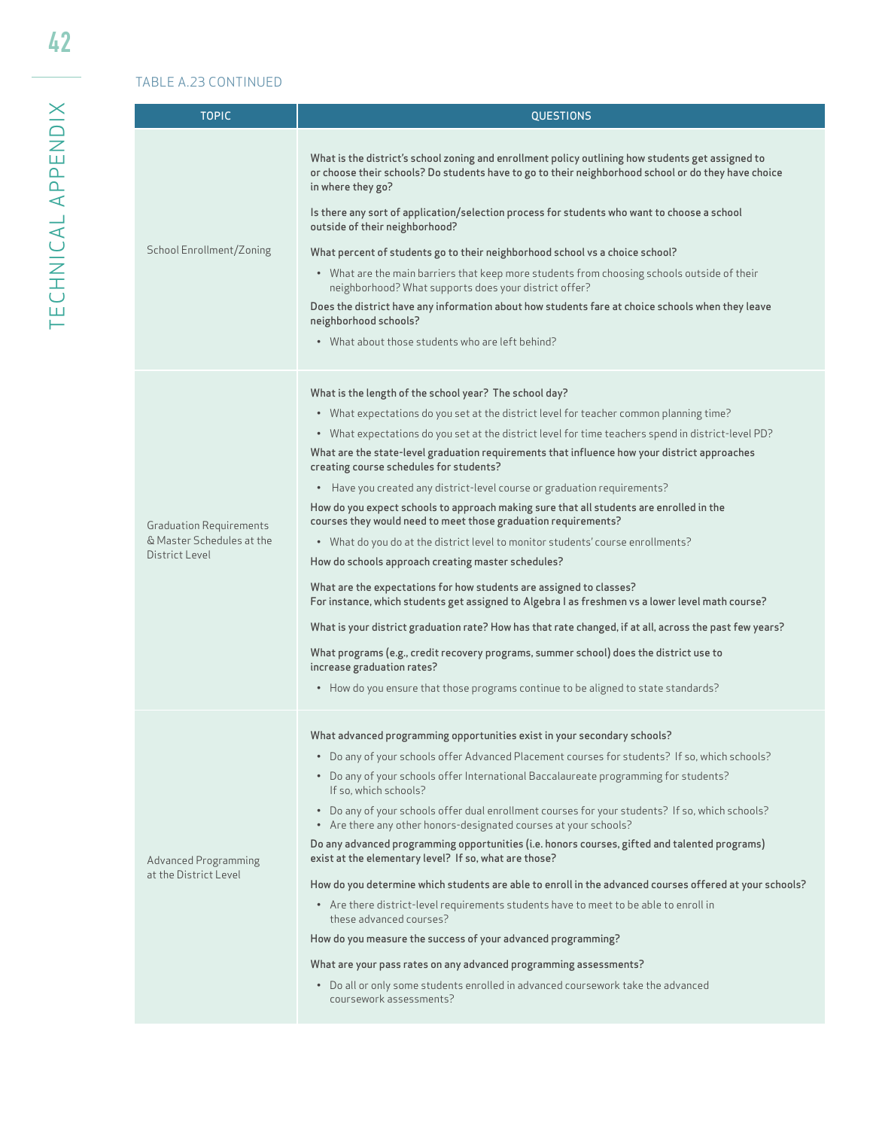### TABLE A.23 CONTINUED

| <b>TOPIC</b>                                                                  | <b>QUESTIONS</b>                                                                                                                                                                                                                                                                                                                                                                                                                                                                                                                                                                                                                                                                                                                                                                                                                                                                                                                                                                                                                                                                                                                                                                                                                                                                        |  |  |  |
|-------------------------------------------------------------------------------|-----------------------------------------------------------------------------------------------------------------------------------------------------------------------------------------------------------------------------------------------------------------------------------------------------------------------------------------------------------------------------------------------------------------------------------------------------------------------------------------------------------------------------------------------------------------------------------------------------------------------------------------------------------------------------------------------------------------------------------------------------------------------------------------------------------------------------------------------------------------------------------------------------------------------------------------------------------------------------------------------------------------------------------------------------------------------------------------------------------------------------------------------------------------------------------------------------------------------------------------------------------------------------------------|--|--|--|
| School Enrollment/Zoning                                                      | What is the district's school zoning and enrollment policy outlining how students get assigned to<br>or choose their schools? Do students have to go to their neighborhood school or do they have choice<br>in where they go?<br>Is there any sort of application/selection process for students who want to choose a school<br>outside of their neighborhood?<br>What percent of students go to their neighborhood school vs a choice school?<br>• What are the main barriers that keep more students from choosing schools outside of their<br>neighborhood? What supports does your district offer?<br>Does the district have any information about how students fare at choice schools when they leave<br>neighborhood schools?<br>• What about those students who are left behind?                                                                                                                                                                                                                                                                                                                                                                                                                                                                                                 |  |  |  |
| <b>Graduation Requirements</b><br>& Master Schedules at the<br>District Level | What is the length of the school year? The school day?<br>• What expectations do you set at the district level for teacher common planning time?<br>• What expectations do you set at the district level for time teachers spend in district-level PD?<br>What are the state-level graduation requirements that influence how your district approaches<br>creating course schedules for students?<br>• Have you created any district-level course or graduation requirements?<br>How do you expect schools to approach making sure that all students are enrolled in the<br>courses they would need to meet those graduation requirements?<br>• What do you do at the district level to monitor students' course enrollments?<br>How do schools approach creating master schedules?<br>What are the expectations for how students are assigned to classes?<br>For instance, which students get assigned to Algebra I as freshmen vs a lower level math course?<br>What is your district graduation rate? How has that rate changed, if at all, across the past few years?<br>What programs (e.g., credit recovery programs, summer school) does the district use to<br>increase graduation rates?<br>• How do you ensure that those programs continue to be aligned to state standards? |  |  |  |
| <b>Advanced Programming</b><br>at the District Level                          | What advanced programming opportunities exist in your secondary schools?<br>• Do any of your schools offer Advanced Placement courses for students? If so, which schools?<br>• Do any of your schools offer International Baccalaureate programming for students?<br>If so, which schools?<br>• Do any of your schools offer dual enrollment courses for your students? If so, which schools?<br>• Are there any other honors-designated courses at your schools?<br>Do any advanced programming opportunities (i.e. honors courses, gifted and talented programs)<br>exist at the elementary level? If so, what are those?<br>How do you determine which students are able to enroll in the advanced courses offered at your schools?<br>• Are there district-level requirements students have to meet to be able to enroll in<br>these advanced courses?<br>How do you measure the success of your advanced programming?<br>What are your pass rates on any advanced programming assessments?<br>• Do all or only some students enrolled in advanced coursework take the advanced<br>coursework assessments?                                                                                                                                                                          |  |  |  |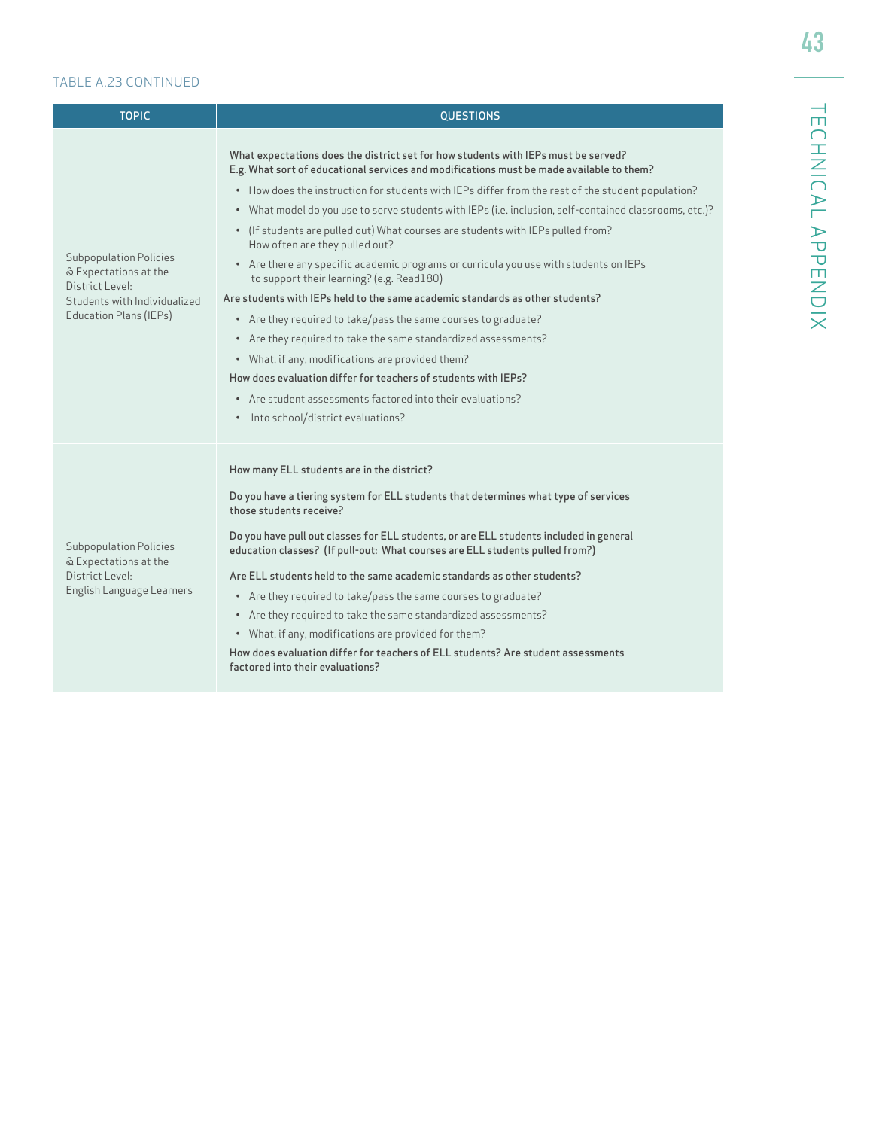### TABLE A.23 CONTINUED

| <b>TOPIC</b>                                                                                                                        | <b>QUESTIONS</b>                                                                                                                                                                                                                                                                                                                                                                                                                                                                                                                                                                                                                                                                                                                                                                                                                                                                                                                                                                                                                                                                                         |
|-------------------------------------------------------------------------------------------------------------------------------------|----------------------------------------------------------------------------------------------------------------------------------------------------------------------------------------------------------------------------------------------------------------------------------------------------------------------------------------------------------------------------------------------------------------------------------------------------------------------------------------------------------------------------------------------------------------------------------------------------------------------------------------------------------------------------------------------------------------------------------------------------------------------------------------------------------------------------------------------------------------------------------------------------------------------------------------------------------------------------------------------------------------------------------------------------------------------------------------------------------|
| <b>Subpopulation Policies</b><br>& Expectations at the<br>District Level:<br>Students with Individualized<br>Education Plans (IEPs) | What expectations does the district set for how students with IEPs must be served?<br>E.g. What sort of educational services and modifications must be made available to them?<br>• How does the instruction for students with IEPs differ from the rest of the student population?<br>• What model do you use to serve students with IEPs (i.e. inclusion, self-contained classrooms, etc.)?<br>• (If students are pulled out) What courses are students with IEPs pulled from?<br>How often are they pulled out?<br>• Are there any specific academic programs or curricula you use with students on IEPs<br>to support their learning? (e.g. Read180)<br>Are students with IEPs held to the same academic standards as other students?<br>• Are they required to take/pass the same courses to graduate?<br>• Are they required to take the same standardized assessments?<br>• What, if any, modifications are provided them?<br>How does evaluation differ for teachers of students with IEPs?<br>• Are student assessments factored into their evaluations?<br>• Into school/district evaluations? |
| <b>Subpopulation Policies</b><br>& Expectations at the<br>District Level:<br>English Language Learners                              | How many ELL students are in the district?<br>Do you have a tiering system for ELL students that determines what type of services<br>those students receive?<br>Do you have pull out classes for ELL students, or are ELL students included in general<br>education classes? (If pull-out: What courses are ELL students pulled from?)<br>Are ELL students held to the same academic standards as other students?<br>• Are they required to take/pass the same courses to graduate?<br>• Are they required to take the same standardized assessments?<br>• What, if any, modifications are provided for them?<br>How does evaluation differ for teachers of ELL students? Are student assessments<br>factored into their evaluations?                                                                                                                                                                                                                                                                                                                                                                    |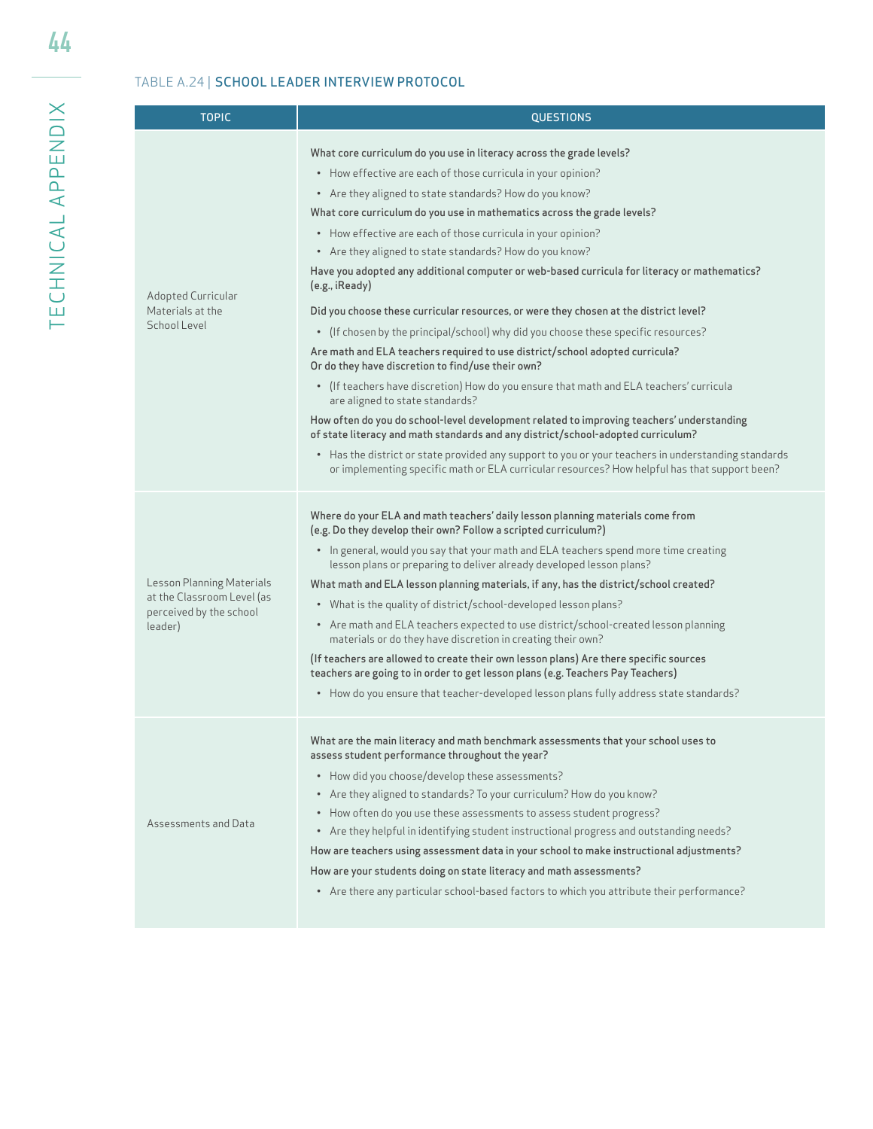# TABLE A.24 | SCHOOL LEADER INTERVIEW PROTOCOL

| <b>TOPIC</b>                                                                                  | <b>QUESTIONS</b>                                                                                                                                                                                                                                                                                                                                                                                                                                                                                                                                                                                                                                                                                                                                                                                                                                                                                                                                                                                                                                                                                                                                                                                                                                                                                                                                                              |  |  |  |
|-----------------------------------------------------------------------------------------------|-------------------------------------------------------------------------------------------------------------------------------------------------------------------------------------------------------------------------------------------------------------------------------------------------------------------------------------------------------------------------------------------------------------------------------------------------------------------------------------------------------------------------------------------------------------------------------------------------------------------------------------------------------------------------------------------------------------------------------------------------------------------------------------------------------------------------------------------------------------------------------------------------------------------------------------------------------------------------------------------------------------------------------------------------------------------------------------------------------------------------------------------------------------------------------------------------------------------------------------------------------------------------------------------------------------------------------------------------------------------------------|--|--|--|
| Adopted Curricular<br>Materials at the<br>School Level                                        | What core curriculum do you use in literacy across the grade levels?<br>• How effective are each of those curricula in your opinion?<br>• Are they aligned to state standards? How do you know?<br>What core curriculum do you use in mathematics across the grade levels?<br>• How effective are each of those curricula in your opinion?<br>• Are they aligned to state standards? How do you know?<br>Have you adopted any additional computer or web-based curricula for literacy or mathematics?<br>(e.g., iReady)<br>Did you choose these curricular resources, or were they chosen at the district level?<br>(If chosen by the principal/school) why did you choose these specific resources?<br>$\bullet$<br>Are math and ELA teachers required to use district/school adopted curricula?<br>Or do they have discretion to find/use their own?<br>• (If teachers have discretion) How do you ensure that math and ELA teachers' curricula<br>are aligned to state standards?<br>How often do you do school-level development related to improving teachers' understanding<br>of state literacy and math standards and any district/school-adopted curriculum?<br>• Has the district or state provided any support to you or your teachers in understanding standards<br>or implementing specific math or ELA curricular resources? How helpful has that support been? |  |  |  |
| Lesson Planning Materials<br>at the Classroom Level (as<br>perceived by the school<br>leader) | Where do your ELA and math teachers' daily lesson planning materials come from<br>(e.g. Do they develop their own? Follow a scripted curriculum?)<br>• In general, would you say that your math and ELA teachers spend more time creating<br>lesson plans or preparing to deliver already developed lesson plans?<br>What math and ELA lesson planning materials, if any, has the district/school created?<br>• What is the quality of district/school-developed lesson plans?<br>• Are math and ELA teachers expected to use district/school-created lesson planning<br>materials or do they have discretion in creating their own?<br>(If teachers are allowed to create their own lesson plans) Are there specific sources<br>teachers are going to in order to get lesson plans (e.g. Teachers Pay Teachers)<br>• How do you ensure that teacher-developed lesson plans fully address state standards?                                                                                                                                                                                                                                                                                                                                                                                                                                                                    |  |  |  |
| Assessments and Data                                                                          | What are the main literacy and math benchmark assessments that your school uses to<br>assess student performance throughout the year?<br>• How did you choose/develop these assessments?<br>• Are they aligned to standards? To your curriculum? How do you know?<br>How often do you use these assessments to assess student progress?<br>Are they helpful in identifying student instructional progress and outstanding needs?<br>$\bullet$<br>How are teachers using assessment data in your school to make instructional adjustments?<br>How are your students doing on state literacy and math assessments?<br>• Are there any particular school-based factors to which you attribute their performance?                                                                                                                                                                                                                                                                                                                                                                                                                                                                                                                                                                                                                                                                 |  |  |  |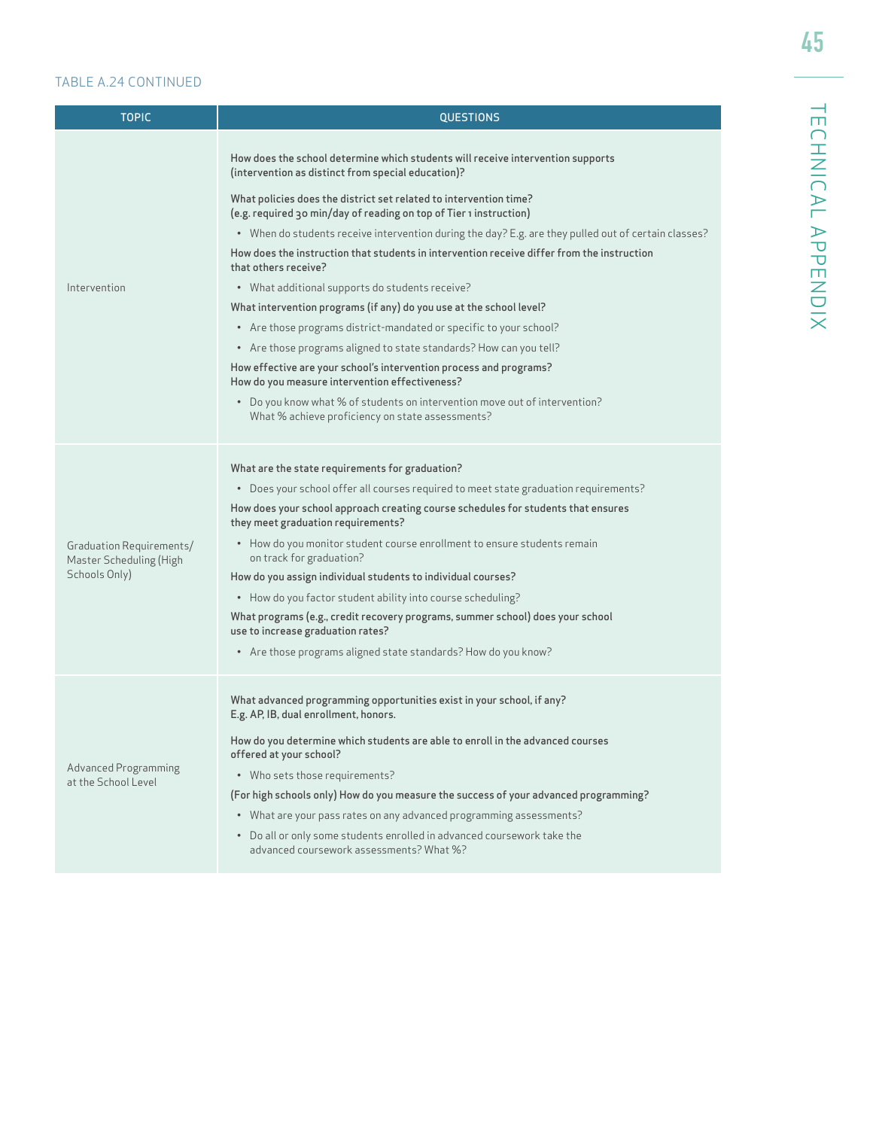#### TABLE A.24 CONTINUED

| <b>TOPIC</b>                                        | <b>QUESTIONS</b>                                                                                                                        |  |  |  |  |
|-----------------------------------------------------|-----------------------------------------------------------------------------------------------------------------------------------------|--|--|--|--|
|                                                     | How does the school determine which students will receive intervention supports<br>(intervention as distinct from special education)?   |  |  |  |  |
|                                                     | What policies does the district set related to intervention time?<br>(e.g. required 30 min/day of reading on top of Tier 1 instruction) |  |  |  |  |
|                                                     | • When do students receive intervention during the day? E.g. are they pulled out of certain classes?                                    |  |  |  |  |
|                                                     | How does the instruction that students in intervention receive differ from the instruction<br>that others receive?                      |  |  |  |  |
| Intervention                                        | • What additional supports do students receive?                                                                                         |  |  |  |  |
|                                                     | What intervention programs (if any) do you use at the school level?                                                                     |  |  |  |  |
|                                                     | • Are those programs district-mandated or specific to your school?                                                                      |  |  |  |  |
|                                                     | • Are those programs aligned to state standards? How can you tell?                                                                      |  |  |  |  |
|                                                     | How effective are your school's intervention process and programs?<br>How do you measure intervention effectiveness?                    |  |  |  |  |
|                                                     | • Do you know what % of students on intervention move out of intervention?<br>What % achieve proficiency on state assessments?          |  |  |  |  |
|                                                     | What are the state requirements for graduation?                                                                                         |  |  |  |  |
|                                                     | • Does your school offer all courses required to meet state graduation requirements?                                                    |  |  |  |  |
|                                                     | How does your school approach creating course schedules for students that ensures<br>they meet graduation requirements?                 |  |  |  |  |
| Graduation Requirements/<br>Master Scheduling (High | • How do you monitor student course enrollment to ensure students remain<br>on track for graduation?                                    |  |  |  |  |
| Schools Only)                                       | How do you assign individual students to individual courses?                                                                            |  |  |  |  |
|                                                     | • How do you factor student ability into course scheduling?                                                                             |  |  |  |  |
|                                                     | What programs (e.g., credit recovery programs, summer school) does your school<br>use to increase graduation rates?                     |  |  |  |  |
|                                                     | • Are those programs aligned state standards? How do you know?                                                                          |  |  |  |  |
|                                                     | What advanced programming opportunities exist in your school, if any?<br>E.g. AP, IB, dual enrollment, honors.                          |  |  |  |  |
|                                                     | How do you determine which students are able to enroll in the advanced courses<br>offered at your school?                               |  |  |  |  |
| <b>Advanced Programming</b><br>at the School Level  | • Who sets those requirements?                                                                                                          |  |  |  |  |
|                                                     | (For high schools only) How do you measure the success of your advanced programming?                                                    |  |  |  |  |
|                                                     | • What are your pass rates on any advanced programming assessments?                                                                     |  |  |  |  |
|                                                     | • Do all or only some students enrolled in advanced coursework take the<br>advanced coursework assessments? What %?                     |  |  |  |  |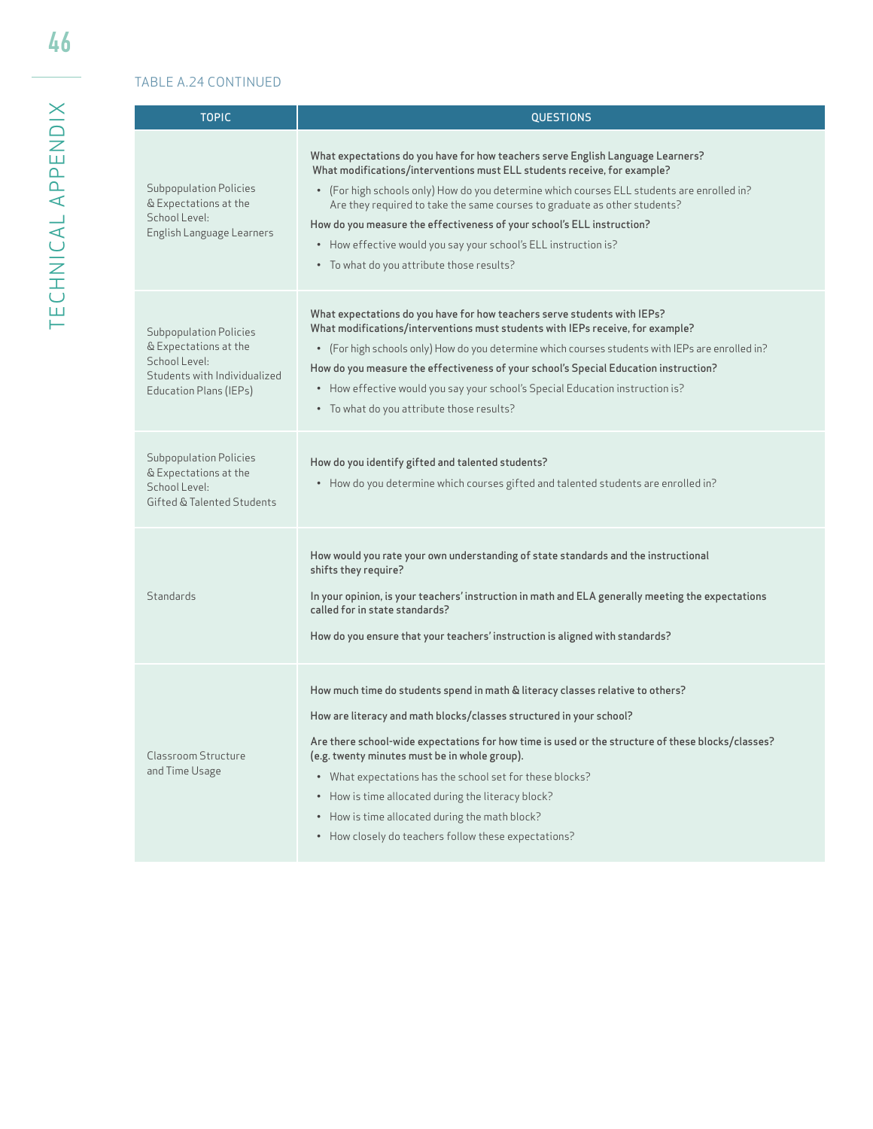# TABLE A.24 CONTINUED

I

| <b>TOPIC</b>                                                                                                                      | <b>QUESTIONS</b>                                                                                                                                                                                                                                                                                                                                                                                                                                                                                                                        |  |  |  |
|-----------------------------------------------------------------------------------------------------------------------------------|-----------------------------------------------------------------------------------------------------------------------------------------------------------------------------------------------------------------------------------------------------------------------------------------------------------------------------------------------------------------------------------------------------------------------------------------------------------------------------------------------------------------------------------------|--|--|--|
| Subpopulation Policies<br>& Expectations at the<br>School Level:<br>English Language Learners                                     | What expectations do you have for how teachers serve English Language Learners?<br>What modifications/interventions must ELL students receive, for example?<br>• (For high schools only) How do you determine which courses ELL students are enrolled in?<br>Are they required to take the same courses to graduate as other students?<br>How do you measure the effectiveness of your school's ELL instruction?<br>• How effective would you say your school's ELL instruction is?<br>• To what do you attribute those results?        |  |  |  |
| <b>Subpopulation Policies</b><br>& Expectations at the<br>School Level:<br>Students with Individualized<br>Education Plans (IEPs) | What expectations do you have for how teachers serve students with IEPs?<br>What modifications/interventions must students with IEPs receive, for example?<br>• (For high schools only) How do you determine which courses students with IEPs are enrolled in?<br>How do you measure the effectiveness of your school's Special Education instruction?<br>• How effective would you say your school's Special Education instruction is?<br>• To what do you attribute those results?                                                    |  |  |  |
| <b>Subpopulation Policies</b><br>& Expectations at the<br>School Level:<br>Gifted & Talented Students                             | How do you identify gifted and talented students?<br>• How do you determine which courses gifted and talented students are enrolled in?                                                                                                                                                                                                                                                                                                                                                                                                 |  |  |  |
| Standards                                                                                                                         | How would you rate your own understanding of state standards and the instructional<br>shifts they require?<br>In your opinion, is your teachers' instruction in math and ELA generally meeting the expectations<br>called for in state standards?<br>How do you ensure that your teachers' instruction is aligned with standards?                                                                                                                                                                                                       |  |  |  |
| Classroom Structure<br>and Time Usage                                                                                             | How much time do students spend in math & literacy classes relative to others?<br>How are literacy and math blocks/classes structured in your school?<br>Are there school-wide expectations for how time is used or the structure of these blocks/classes?<br>(e.g. twenty minutes must be in whole group).<br>• What expectations has the school set for these blocks?<br>• How is time allocated during the literacy block?<br>• How is time allocated during the math block?<br>• How closely do teachers follow these expectations? |  |  |  |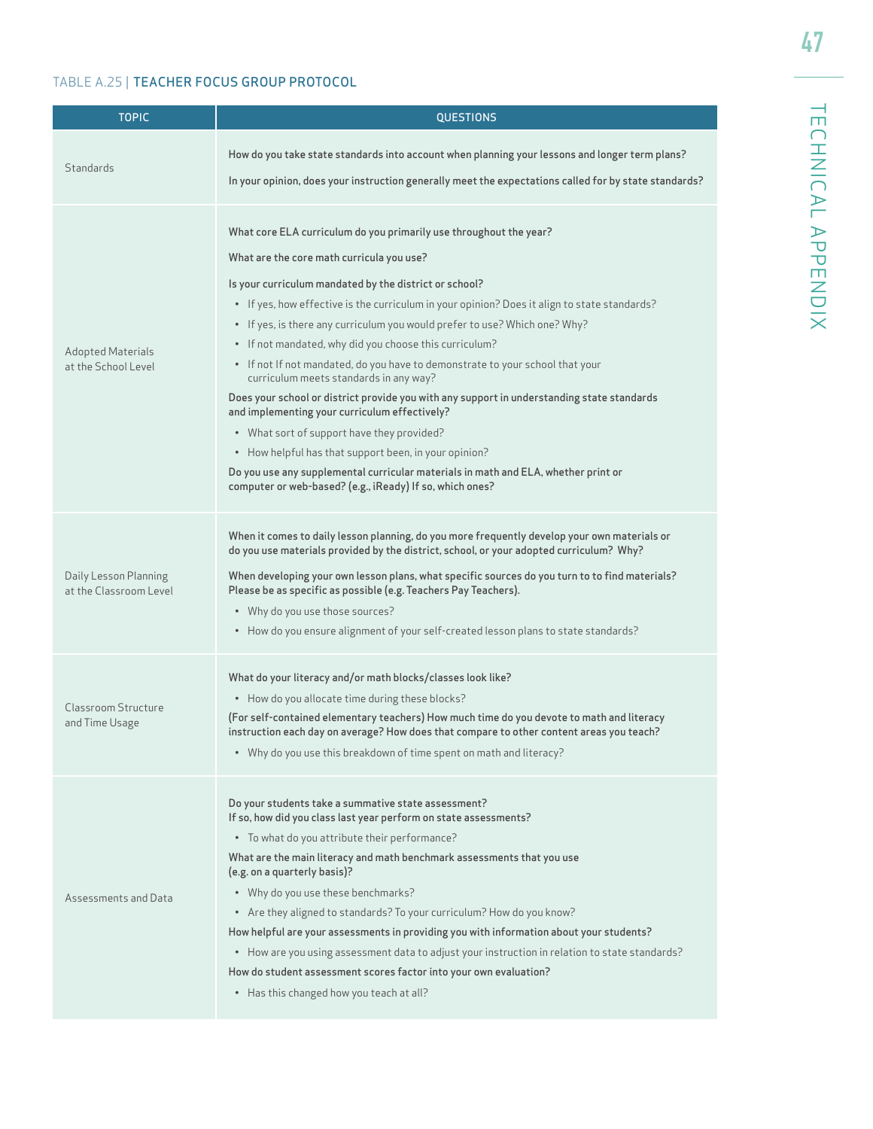TECHNICAL APPENDIX

TECHNICAL APPENDIX

# TABLE A.25 | TEACHER FOCUS GROUP PROTOCOL

| <b>TOPIC</b>                                    | <b>QUESTIONS</b>                                                                                                                                                                                                                                                                                                                                                                                                                                                                                                                                                                                                                                                                                                                                                                                                                                                                                                                                     |  |  |  |
|-------------------------------------------------|------------------------------------------------------------------------------------------------------------------------------------------------------------------------------------------------------------------------------------------------------------------------------------------------------------------------------------------------------------------------------------------------------------------------------------------------------------------------------------------------------------------------------------------------------------------------------------------------------------------------------------------------------------------------------------------------------------------------------------------------------------------------------------------------------------------------------------------------------------------------------------------------------------------------------------------------------|--|--|--|
| Standards                                       | How do you take state standards into account when planning your lessons and longer term plans?<br>In your opinion, does your instruction generally meet the expectations called for by state standards?                                                                                                                                                                                                                                                                                                                                                                                                                                                                                                                                                                                                                                                                                                                                              |  |  |  |
| <b>Adopted Materials</b><br>at the School Level | What core ELA curriculum do you primarily use throughout the year?<br>What are the core math curricula you use?<br>Is your curriculum mandated by the district or school?<br>• If yes, how effective is the curriculum in your opinion? Does it align to state standards?<br>• If yes, is there any curriculum you would prefer to use? Which one? Why?<br>• If not mandated, why did you choose this curriculum?<br>• If not If not mandated, do you have to demonstrate to your school that your<br>curriculum meets standards in any way?<br>Does your school or district provide you with any support in understanding state standards<br>and implementing your curriculum effectively?<br>• What sort of support have they provided?<br>• How helpful has that support been, in your opinion?<br>Do you use any supplemental curricular materials in math and ELA, whether print or<br>computer or web-based? (e.g., iReady) If so, which ones? |  |  |  |
| Daily Lesson Planning<br>at the Classroom Level | When it comes to daily lesson planning, do you more frequently develop your own materials or<br>do you use materials provided by the district, school, or your adopted curriculum? Why?<br>When developing your own lesson plans, what specific sources do you turn to to find materials?<br>Please be as specific as possible (e.g. Teachers Pay Teachers).<br>• Why do you use those sources?<br>• How do you ensure alignment of your self-created lesson plans to state standards?                                                                                                                                                                                                                                                                                                                                                                                                                                                               |  |  |  |
| Classroom Structure<br>and Time Usage           | What do your literacy and/or math blocks/classes look like?<br>• How do you allocate time during these blocks?<br>(For self-contained elementary teachers) How much time do you devote to math and literacy<br>instruction each day on average? How does that compare to other content areas you teach?<br>• Why do you use this breakdown of time spent on math and literacy?                                                                                                                                                                                                                                                                                                                                                                                                                                                                                                                                                                       |  |  |  |
| Assessments and Data                            | Do your students take a summative state assessment?<br>If so, how did you class last year perform on state assessments?<br>• To what do you attribute their performance?<br>What are the main literacy and math benchmark assessments that you use<br>(e.g. on a quarterly basis)?<br>• Why do you use these benchmarks?<br>• Are they aligned to standards? To your curriculum? How do you know?<br>How helpful are your assessments in providing you with information about your students?<br>• How are you using assessment data to adjust your instruction in relation to state standards?<br>How do student assessment scores factor into your own evaluation?<br>• Has this changed how you teach at all?                                                                                                                                                                                                                                      |  |  |  |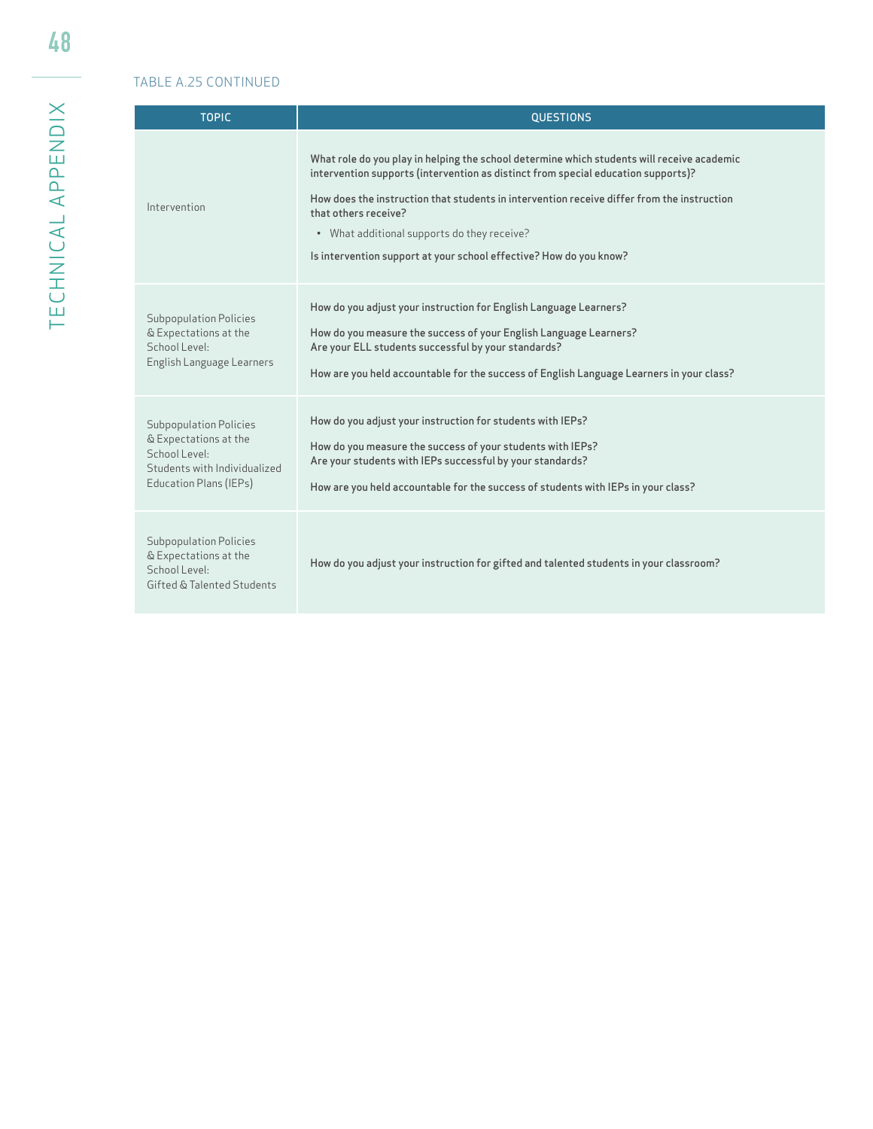# TABLE A.25 CONTINUED

| <b>TOPIC</b>                                                                                                                      | <b>OUESTIONS</b>                                                                                                                                                                                                                                                                                                                                                                                                           |
|-----------------------------------------------------------------------------------------------------------------------------------|----------------------------------------------------------------------------------------------------------------------------------------------------------------------------------------------------------------------------------------------------------------------------------------------------------------------------------------------------------------------------------------------------------------------------|
| Intervention                                                                                                                      | What role do you play in helping the school determine which students will receive academic<br>intervention supports (intervention as distinct from special education supports)?<br>How does the instruction that students in intervention receive differ from the instruction<br>that others receive?<br>• What additional supports do they receive?<br>Is intervention support at your school effective? How do you know? |
| <b>Subpopulation Policies</b><br>& Expectations at the<br>School Level:<br>English Language Learners                              | How do you adjust your instruction for English Language Learners?<br>How do you measure the success of your English Language Learners?<br>Are your ELL students successful by your standards?<br>How are you held accountable for the success of English Language Learners in your class?                                                                                                                                  |
| <b>Subpopulation Policies</b><br>& Expectations at the<br>School Level:<br>Students with Individualized<br>Education Plans (IEPs) | How do you adjust your instruction for students with IEPs?<br>How do you measure the success of your students with IEPs?<br>Are your students with IEPs successful by your standards?<br>How are you held accountable for the success of students with IEPs in your class?                                                                                                                                                 |
| <b>Subpopulation Policies</b><br>& Expectations at the<br>School Level:<br>Gifted & Talented Students                             | How do you adjust your instruction for gifted and talented students in your classroom?                                                                                                                                                                                                                                                                                                                                     |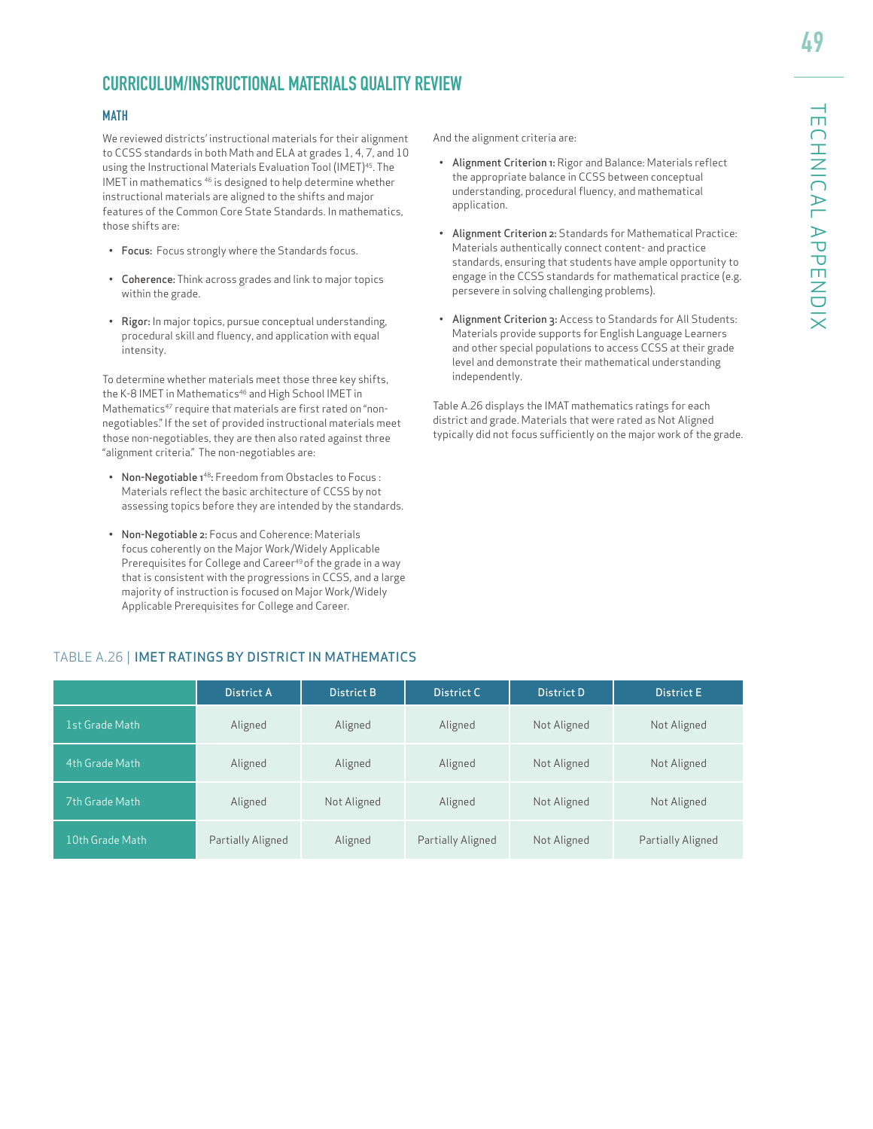# **CURRICULUM/INSTRUCTIONAL MATERIALS QUALITY REVIEW**

#### MATH

We reviewed districts' instructional materials for their alignment to CCSS standards in both Math and ELA at grades 1, 4, 7, and 10 using the Instructional Materials Evaluation Tool (IMET)<sup>45</sup>. The IMET in mathematics 46 is designed to help determine whether instructional materials are aligned to the shifts and major features of the Common Core State Standards. In mathematics, those shifts are:

- Focus: Focus strongly where the Standards focus.
- Coherence: Think across grades and link to major topics within the grade.
- Rigor: In major topics, pursue conceptual understanding, procedural skill and fluency, and application with equal intensity.

To determine whether materials meet those three key shifts, the K-8 IMET in Mathematics<sup>46</sup> and High School IMET in Mathematics<sup>47</sup> require that materials are first rated on "nonnegotiables." If the set of provided instructional materials meet those non-negotiables, they are then also rated against three "alignment criteria." The non-negotiables are:

- Non-Negotiable 1<sup>48</sup>: Freedom from Obstacles to Focus : Materials reflect the basic architecture of CCSS by not assessing topics before they are intended by the standards.
- Non-Negotiable 2: Focus and Coherence: Materials focus coherently on the Major Work/Widely Applicable Prerequisites for College and Career<sup>49</sup> of the grade in a way that is consistent with the progressions in CCSS, and a large majority of instruction is focused on Major Work/Widely Applicable Prerequisites for College and Career.

And the alignment criteria are:

- Alignment Criterion 1: Rigor and Balance: Materials reflect the appropriate balance in CCSS between conceptual understanding, procedural fluency, and mathematical application.
- Alignment Criterion 2: Standards for Mathematical Practice: Materials authentically connect content- and practice standards, ensuring that students have ample opportunity to engage in the CCSS standards for mathematical practice (e.g. persevere in solving challenging problems).
- Alignment Criterion 3: Access to Standards for All Students: Materials provide supports for English Language Learners and other special populations to access CCSS at their grade level and demonstrate their mathematical understanding independently.

Table A.26 displays the IMAT mathematics ratings for each district and grade. Materials that were rated as Not Aligned typically did not focus sufficiently on the major work of the grade.

|                 | <b>District A</b> | <b>District B</b> | District C        | <b>District D</b> | <b>District E</b> |
|-----------------|-------------------|-------------------|-------------------|-------------------|-------------------|
| 1st Grade Math  | Aligned           | Aligned           | Aligned           | Not Aligned       | Not Aligned       |
| 4th Grade Math  | Aligned           | Aligned           | Aligned           | Not Aligned       | Not Aligned       |
| 7th Grade Math  | Aligned           | Not Aligned       | Aligned           | Not Aligned       | Not Aligned       |
| 10th Grade Math | Partially Aligned | Aligned           | Partially Aligned | Not Aligned       | Partially Aligned |

#### TABLE A.26 | IMET RATINGS BY DISTRICT IN MATHEMATICS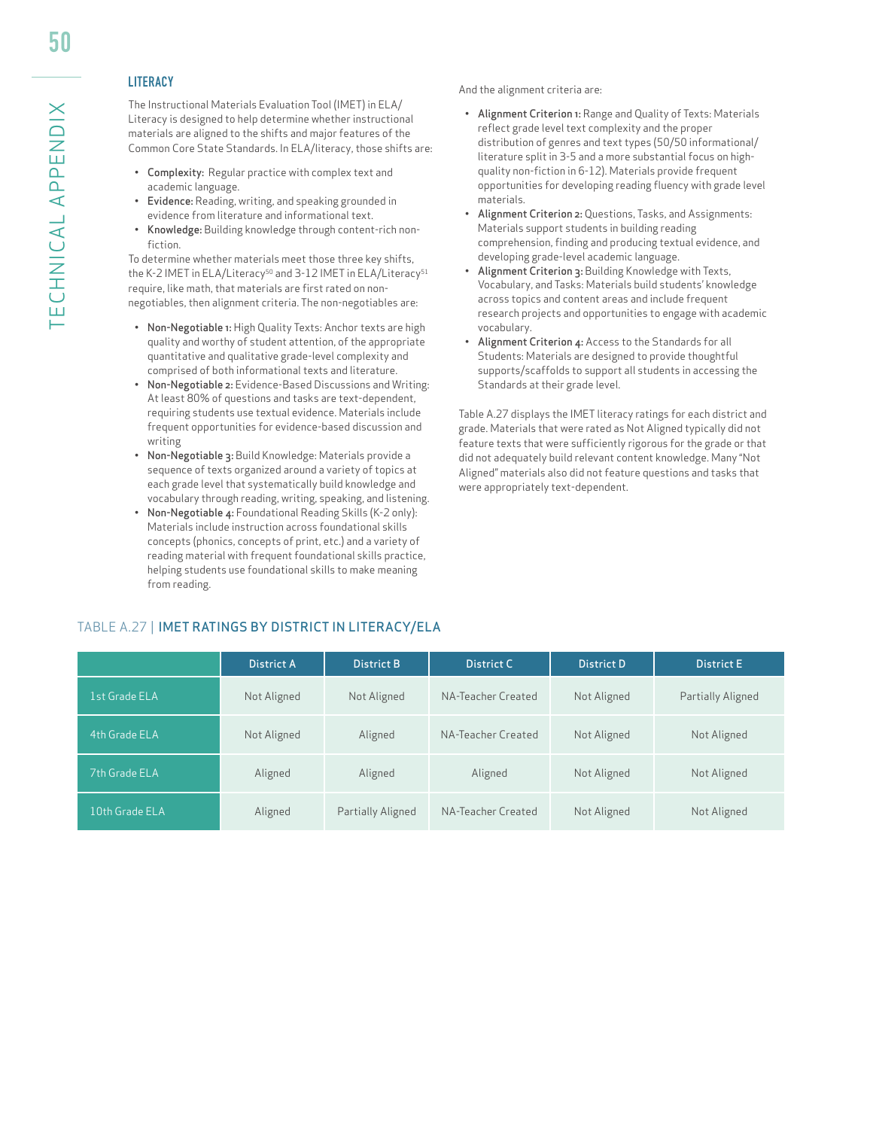### **LITERACY**

The Instructional Materials Evaluation Tool (IMET) in ELA/ Literacy is designed to help determine whether instructional materials are aligned to the shifts and major features of the Common Core State Standards. In ELA/literacy, those shifts are:

- Complexity: Regular practice with complex text and academic language.
- Evidence: Reading, writing, and speaking grounded in evidence from literature and informational text.
- Knowledge: Building knowledge through content-rich nonfiction.

To determine whether materials meet those three key shifts, the K-2 IMET in ELA/Literacy<sup>50</sup> and 3-12 IMET in ELA/Literacy<sup>51</sup> require, like math, that materials are first rated on nonnegotiables, then alignment criteria. The non-negotiables are:

- Non-Negotiable 1: High Quality Texts: Anchor texts are high quality and worthy of student attention, of the appropriate quantitative and qualitative grade-level complexity and comprised of both informational texts and literature.
- Non-Negotiable 2: Evidence-Based Discussions and Writing: At least 80% of questions and tasks are text-dependent, requiring students use textual evidence. Materials include frequent opportunities for evidence-based discussion and writing
- Non-Negotiable 3: Build Knowledge: Materials provide a sequence of texts organized around a variety of topics at each grade level that systematically build knowledge and vocabulary through reading, writing, speaking, and listening.
- Non-Negotiable 4: Foundational Reading Skills (K-2 only): Materials include instruction across foundational skills concepts (phonics, concepts of print, etc.) and a variety of reading material with frequent foundational skills practice, helping students use foundational skills to make meaning from reading.

And the alignment criteria are:

- Alignment Criterion 1: Range and Quality of Texts: Materials reflect grade level text complexity and the proper distribution of genres and text types (50/50 informational/ literature split in 3-5 and a more substantial focus on highquality non-fiction in 6-12). Materials provide frequent opportunities for developing reading fluency with grade level materials.
- Alignment Criterion 2: Questions, Tasks, and Assignments: Materials support students in building reading comprehension, finding and producing textual evidence, and developing grade-level academic language.
- Alignment Criterion 3: Building Knowledge with Texts, Vocabulary, and Tasks: Materials build students' knowledge across topics and content areas and include frequent research projects and opportunities to engage with academic vocabulary.
- Alignment Criterion 4: Access to the Standards for all Students: Materials are designed to provide thoughtful supports/scaffolds to support all students in accessing the Standards at their grade level.

Table A.27 displays the IMET literacy ratings for each district and grade. Materials that were rated as Not Aligned typically did not feature texts that were sufficiently rigorous for the grade or that did not adequately build relevant content knowledge. Many "Not Aligned" materials also did not feature questions and tasks that were appropriately text-dependent.

|                | District A  | District B        | District C         | District D  | <b>District E</b> |
|----------------|-------------|-------------------|--------------------|-------------|-------------------|
| 1st Grade ELA  | Not Aligned | Not Aligned       | NA-Teacher Created | Not Aligned | Partially Aligned |
| 4th Grade ELA  | Not Aligned | Aligned           | NA-Teacher Created | Not Aligned | Not Aligned       |
| 7th Grade ELA  | Aligned     | Aligned           | Aligned            | Not Aligned | Not Aligned       |
| 10th Grade ELA | Aligned     | Partially Aligned | NA-Teacher Created | Not Aligned | Not Aligned       |

#### TABLE A.27 | IMET RATINGS BY DISTRICT IN LITERACY/ELA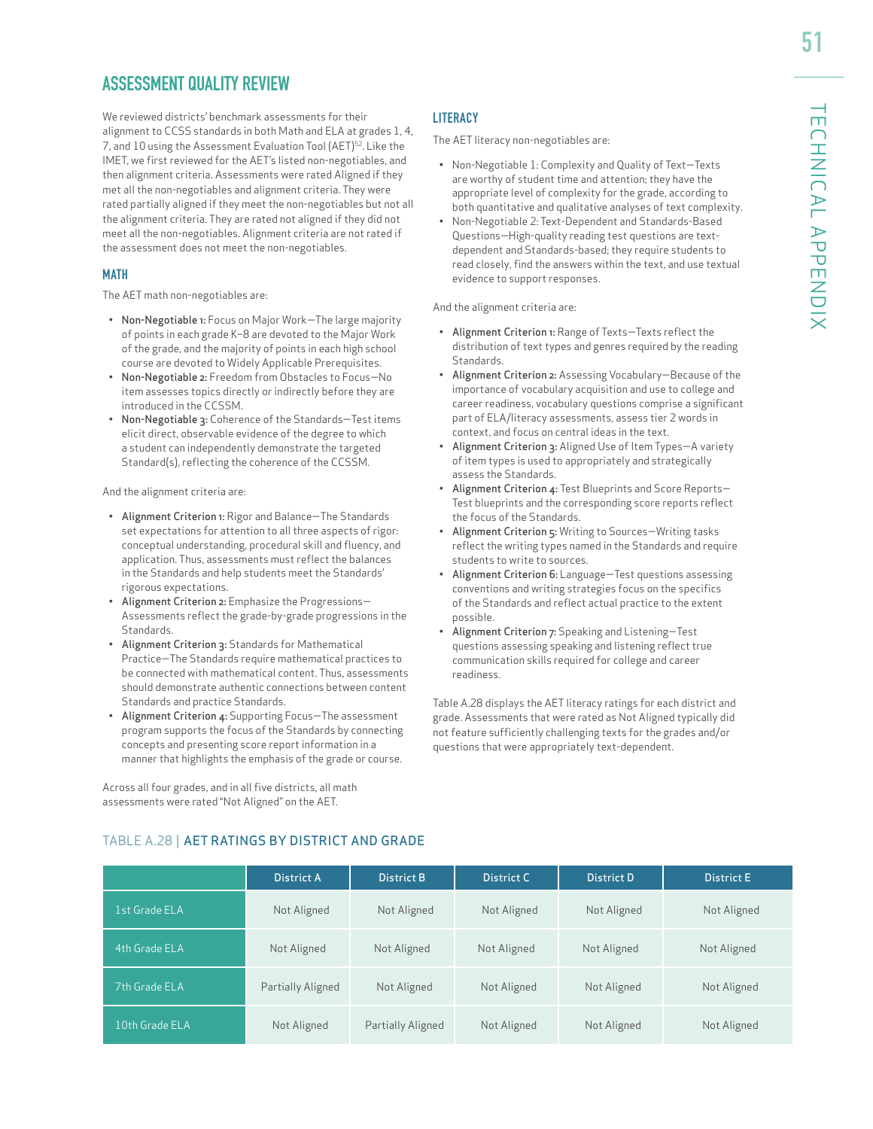# **ASSESSMENT QUALITY REVIEW**

We reviewed districts' benchmark assessments for their alignment to CCSS standards in both Math and ELA at grades 1, 4, 7, and 10 using the Assessment Evaluation Tool (AET)52. Like the IMET, we first reviewed for the AET's listed non-negotiables, and then alignment criteria. Assessments were rated Aligned if they met all the non-negotiables and alignment criteria. They were rated partially aligned if they meet the non-negotiables but not all the alignment criteria. They are rated not aligned if they did not meet all the non-negotiables. Alignment criteria are not rated if the assessment does not meet the non-negotiables.

#### **MATH**

The AET math non-negotiables are:

- Non-Negotiable 1: Focus on Major Work—The large majority of points in each grade K–8 are devoted to the Major Work of the grade, and the majority of points in each high school course are devoted to Widely Applicable Prerequisites.
- Non-Negotiable 2: Freedom from Obstacles to Focus—No item assesses topics directly or indirectly before they are introduced in the CCSSM.
- Non-Negotiable 3: Coherence of the Standards—Test items elicit direct, observable evidence of the degree to which a student can independently demonstrate the targeted Standard(s), reflecting the coherence of the CCSSM.

And the alignment criteria are:

- Alignment Criterion 1: Rigor and Balance—The Standards set expectations for attention to all three aspects of rigor: conceptual understanding, procedural skill and fluency, and application. Thus, assessments must reflect the balances in the Standards and help students meet the Standards' rigorous expectations.
- Alignment Criterion 2: Emphasize the Progressions— Assessments reflect the grade-by-grade progressions in the Standards.
- Alignment Criterion 3: Standards for Mathematical Practice—The Standards require mathematical practices to be connected with mathematical content. Thus, assessments should demonstrate authentic connections between content Standards and practice Standards.
- Alignment Criterion 4: Supporting Focus—The assessment program supports the focus of the Standards by connecting concepts and presenting score report information in a manner that highlights the emphasis of the grade or course.

Across all four grades, and in all five districts, all math assessments were rated "Not Aligned" on the AET.

#### **LITERACY**

The AET literacy non-negotiables are:

- Non-Negotiable 1: Complexity and Quality of Text—Texts are worthy of student time and attention; they have the appropriate level of complexity for the grade, according to both quantitative and qualitative analyses of text complexity.
- Non-Negotiable 2: Text-Dependent and Standards-Based Questions—High-quality reading test questions are textdependent and Standards-based; they require students to read closely, find the answers within the text, and use textual evidence to support responses.

And the alignment criteria are:

- Alignment Criterion 1: Range of Texts—Texts reflect the distribution of text types and genres required by the reading Standards.
- Alignment Criterion 2: Assessing Vocabulary—Because of the importance of vocabulary acquisition and use to college and career readiness, vocabulary questions comprise a significant part of ELA/literacy assessments, assess tier 2 words in context, and focus on central ideas in the text.
- Alignment Criterion 3: Aligned Use of Item Types—A variety of item types is used to appropriately and strategically assess the Standards.
- Alignment Criterion 4: Test Blueprints and Score Reports— Test blueprints and the corresponding score reports reflect the focus of the Standards.
- Alignment Criterion 5: Writing to Sources—Writing tasks reflect the writing types named in the Standards and require students to write to sources.
- Alignment Criterion 6: Language—Test questions assessing conventions and writing strategies focus on the specifics of the Standards and reflect actual practice to the extent possible.
- Alignment Criterion 7: Speaking and Listening—Test questions assessing speaking and listening reflect true communication skills required for college and career readiness.

Table A.28 displays the AET literacy ratings for each district and grade. Assessments that were rated as Not Aligned typically did not feature sufficiently challenging texts for the grades and/or questions that were appropriately text-dependent.

|                | District A        | District B        | District C  | District D  | <b>District E</b> |
|----------------|-------------------|-------------------|-------------|-------------|-------------------|
| 1st Grade ELA  | Not Aligned       | Not Aligned       | Not Aligned | Not Aligned | Not Aligned       |
| 4th Grade ELA  | Not Aligned       | Not Aligned       | Not Aligned | Not Aligned | Not Aligned       |
| 7th Grade ELA  | Partially Aligned | Not Aligned       | Not Aligned | Not Aligned | Not Aligned       |
| 10th Grade ELA | Not Aligned       | Partially Aligned | Not Aligned | Not Aligned | Not Aligned       |

#### TABLE A.28 | AET RATINGS BY DISTRICT AND GRADE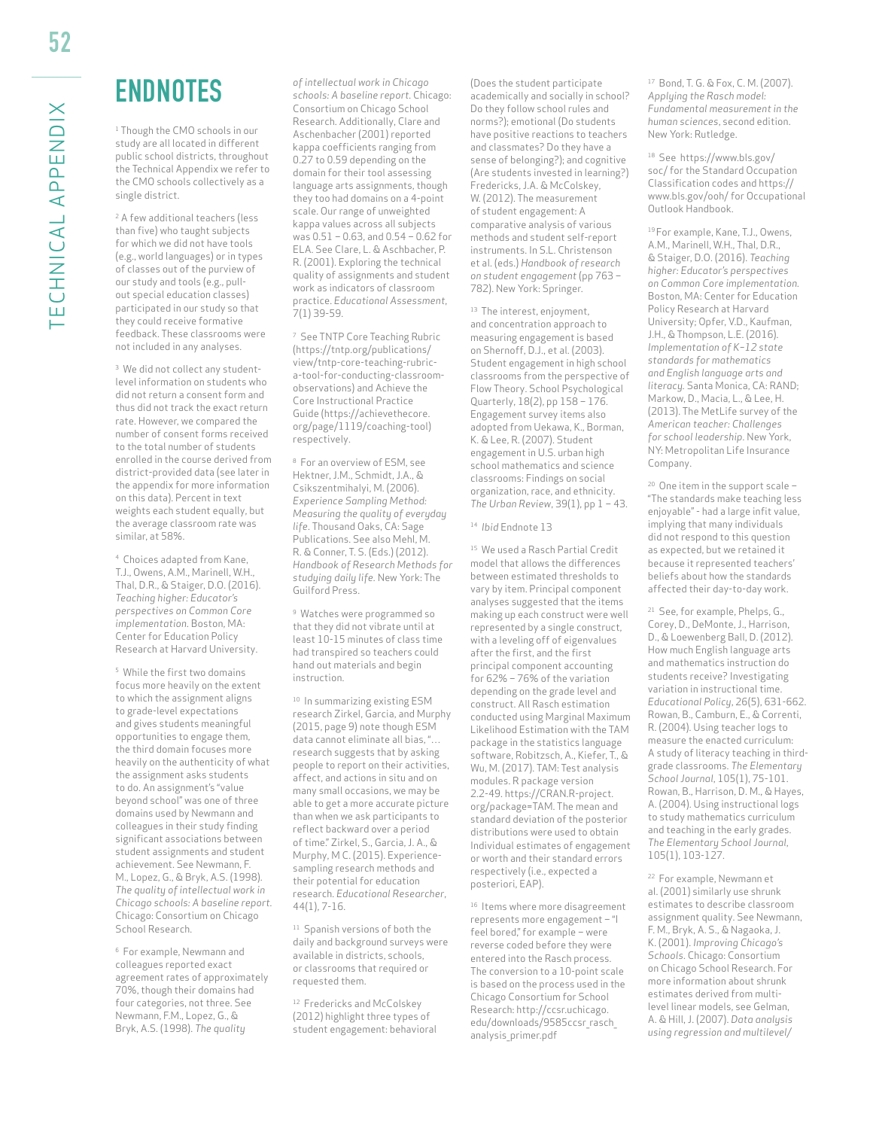# ENDNOTES

<sup>1</sup> Though the CMO schools in our study are all located in different public school districts, throughout the Technical Appendix we refer to the CMO schools collectively as a single district.

<sup>2</sup> A few additional teachers (less than five) who taught subjects for which we did not have tools (e.g., world languages) or in types of classes out of the purview of our study and tools (e.g., pullout special education classes) participated in our study so that they could receive formative feedback. These classrooms were not included in any analyses.

<sup>3</sup> We did not collect any studentlevel information on students who did not return a consent form and thus did not track the exact return rate. However, we compared the number of consent forms received to the total number of students enrolled in the course derived from district-provided data (see later in the appendix for more information on this data). Percent in text weights each student equally, but the average classroom rate was similar, at 58%.

4 Choices adapted from Kane, T.J., Owens, A.M., Marinell, W.H., Thal, D.R., & Staiger, D.O. (2016). *Teaching higher: Educator's perspectives on Common Core implementation.* Boston, MA: Center for Education Policy Research at Harvard University.

5 While the first two domains focus more heavily on the extent to which the assignment aligns to grade-level expectations and gives students meaningful opportunities to engage them, the third domain focuses more heavily on the authenticity of what the assignment asks students to do. An assignment's "value beyond school" was one of three domains used by Newmann and colleagues in their study finding significant associations between student assignments and student achievement. See Newmann, F. M., Lopez, G., & Bryk, A.S. (1998). *The quality of intellectual work in Chicago schools: A baseline report.*  Chicago: Consortium on Chicago School Research.

6 For example, Newmann and colleagues reported exact agreement rates of approximately 70%, though their domains had four categories, not three. See Newmann, F.M., Lopez, G., & Bryk, A.S. (1998). *The quality* 

*of intellectual work in Chicago schools: A baseline report.* Chicago: Consortium on Chicago School Research. Additionally, Clare and Aschenbacher (2001) reported kappa coefficients ranging from 0.27 to 0.59 depending on the domain for their tool assessing language arts assignments, though they too had domains on a 4-point scale. Our range of unweighted kappa values across all subjects was 0.51 – 0.63, and 0.54 – 0.62 for ELA. See Clare, L. & Aschbacher, P. R. (2001). Exploring the technical quality of assignments and student work as indicators of classroom practice. *Educational Assessment*, 7(1) 39-59.

7 See TNTP Core Teaching Rubric (https://tntp.org/publications/ view/tntp-core-teaching-rubrica-tool-for-conducting-classroomobservations) and Achieve the Core Instructional Practice Guide (https://achievethecore. org/page/1119/coaching-tool) respectively.

8 For an overview of ESM, see Hektner, J.M., Schmidt, J.A., & Csikszentmihalyi, M. (2006). *Experience Sampling Method: Measuring the quality of everyday life*. Thousand Oaks, CA: Sage Publications. See also Mehl, M. R. & Conner, T. S. (Eds.) (2012). *Handbook of Research Methods for studying daily life.* New York: The Guilford Press.

9 Watches were programmed so that they did not vibrate until at least 10-15 minutes of class time had transpired so teachers could hand out materials and begin instruction.

10 In summarizing existing ESM research Zirkel, Garcia, and Murphy (2015, page 9) note though ESM data cannot eliminate all bias, "… research suggests that by asking people to report on their activities, affect, and actions in situ and on many small occasions, we may be able to get a more accurate picture than when we ask participants to reflect backward over a period of time." Zirkel, S., Garcia, J. A., & Murphy, M C. (2015). Experiencesampling research methods and their potential for education research. *Educational Researcher*, 44(1), 7-16.

<sup>11</sup> Spanish versions of both the daily and background surveys were available in districts, schools, or classrooms that required or requested them.

12 Fredericks and McColskey (2012) highlight three types of student engagement: behavioral

(Does the student participate academically and socially in school? Do they follow school rules and norms?); emotional (Do students have positive reactions to teachers and classmates? Do they have a sense of belonging?); and cognitive (Are students invested in learning?) Fredericks, J.A. & McColskey, W. (2012). The measurement of student engagement: A comparative analysis of various methods and student self-report instruments. In S.L. Christenson et al. (eds.) *Handbook of research on student engagement* (pp 763 – 782). New York: Springer.

13 The interest, enjoyment, and concentration approach to measuring engagement is based on Shernoff, D.J., et al. (2003). Student engagement in high school classrooms from the perspective of Flow Theory. School Psychological Quarterly, 18(2), pp 158 – 176. Engagement survey items also adopted from Uekawa, K., Borman, K. & Lee, R. (2007). Student engagement in U.S. urban high school mathematics and science classrooms: Findings on social organization, race, and ethnicity. *The Urban Review*, 39(1), pp 1 – 43.

14 *Ibid* Endnote 13

15 We used a Rasch Partial Credit model that allows the differences between estimated thresholds to vary by item. Principal component analyses suggested that the items making up each construct were well represented by a single construct, with a leveling off of eigenvalues after the first, and the first principal component accounting for 62% – 76% of the variation depending on the grade level and construct. All Rasch estimation conducted using Marginal Maximum Likelihood Estimation with the TAM package in the statistics language software, Robitzsch, A., Kiefer, T., & Wu, M. (2017). TAM: Test analysis modules. R package version 2.2-49. https://CRAN.R-project. org/package=TAM. The mean and standard deviation of the posterior distributions were used to obtain Individual estimates of engagement or worth and their standard errors respectively (i.e., expected a posteriori, EAP).

<sup>16</sup> Items where more disagreement represents more engagement – "I feel bored," for example – were reverse coded before they were entered into the Rasch process. The conversion to a 10-point scale is based on the process used in the Chicago Consortium for School Research: http://ccsr.uchicago. edu/downloads/9585ccsr\_rasch\_ analysis\_primer.pdf

17 Bond, T. G. & Fox, C. M. (2007). *Applying the Rasch model: Fundamental measurement in the human sciences*, second edition. New York: Rutledge.

18 See https://www.bls.gov/ soc/ for the Standard Occupation Classification codes and https:// www.bls.gov/ooh/ for Occupational Outlook Handbook.

19 For example, Kane, T.J., Owens, A.M., Marinell, W.H., Thal, D.R., & Staiger, D.O. (2016). *Teaching higher: Educator's perspectives on Common Core implementation.*  Boston, MA: Center for Education Policy Research at Harvard University; Opfer, V.D., Kaufman, J.H., & Thompson, L.E. (2016). *Implementation of K–12 state standards for mathematics and English language arts and literacy.* Santa Monica, CA: RAND; Markow, D., Macia, L., & Lee, H. (2013). The MetLife survey of the *American teacher: Challenges for school leadership.* New York, NY: Metropolitan Life Insurance Company.

20 One item in the support scale – "The standards make teaching less enjoyable" - had a large infit value, implying that many individuals did not respond to this question as expected, but we retained it because it represented teachers' beliefs about how the standards affected their day-to-day work.

21 See, for example, Phelps, G., Corey, D., DeMonte, J., Harrison, D., & Loewenberg Ball, D. (2012). How much English language arts and mathematics instruction do students receive? Investigating variation in instructional time. *Educational Policy*, 26(5), 631-662. Rowan, B., Camburn, E., & Correnti, R. (2004). Using teacher logs to measure the enacted curriculum: A study of literacy teaching in thirdgrade classrooms. *The Elementary School Journal*, 105(1), 75-101. Rowan, B., Harrison, D. M., & Hayes, A. (2004). Using instructional logs to study mathematics curriculum and teaching in the early grades. *The Elementary School Journal*, 105(1), 103-127.

22 For example, Newmann et al. (2001) similarly use shrunk estimates to describe classroom assignment quality. See Newmann, F. M., Bryk, A. S., & Nagaoka, J. K. (2001). *Improving Chicago's Schools*. Chicago: Consortium on Chicago School Research. For more information about shrunk estimates derived from multilevel linear models, see Gelman, A. & Hill, J. (2007). *Data analysis using regression and multilevel/*